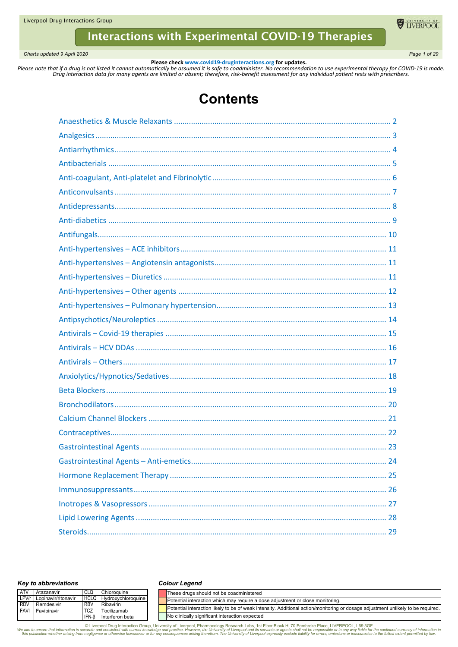*Charts updated 9 April 2020 Page 1 of 29*

**U** LIVERPOOL

**Please check www.covid19-druginteractions.org for updates.**<br>.Please note that if a drug is not listed it cannot automatically be assumed it is safe to coadminister. No recommendation to use experimental therapy for COVID-

# **Contents**

#### *Key to abbreviations*

#### *Colour Legend*

| <b>ATV</b> | Atazanavir                | CLQ        | Chloroguine                    | These drugs should not be coadministered                                                                                         |
|------------|---------------------------|------------|--------------------------------|----------------------------------------------------------------------------------------------------------------------------------|
|            | LPV/r Lopinavir/ritonavir |            | <b>HCLQ</b> Hydroxychloroquine | <b>I</b> Potential interaction which may require a dose adjustment or close monitoring.                                          |
|            | RDV Remdesivir            | <b>RBV</b> | Ribavirin                      |                                                                                                                                  |
|            | FAVI Favipiravir          | <b>TCZ</b> | Tocilizumab                    | Potential interaction likely to be of weak intensity. Additional action/monitoring or dosage adjustment unlikely to be required. |
|            |                           | IFN-B      | Interferon beta                | No clinically significant interaction expected                                                                                   |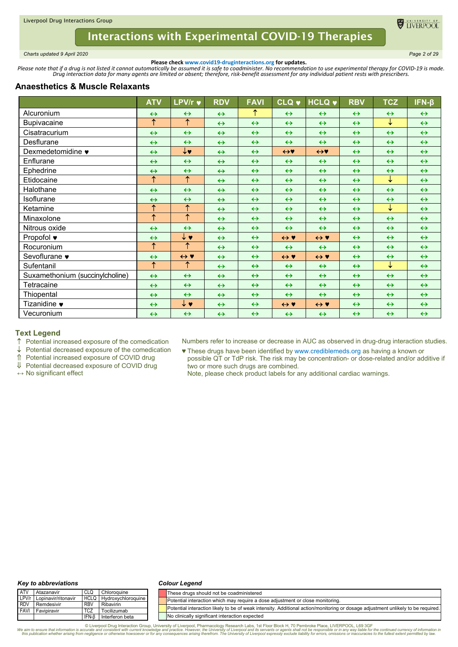

<span id="page-1-0"></span>*Charts updated 9 April 2020 Page 2 of 29*

**Please check www.covid19-druginteractions.org for updates.**<br>.Please note that if a drug is not listed it cannot automatically be assumed it is safe to coadminister. No recommendation to use experimental therapy for COVID-

# **Anaesthetics & Muscle Relaxants**

|                                 | <b>ATV</b>            | <b>LPV/r ♥</b>        | <b>RDV</b>        | <b>FAVI</b>       | <b>CLQ v</b>        | <b>HCLQ v</b>             | <b>RBV</b>        | <b>TCZ</b>        | $IFN-\beta$       |
|---------------------------------|-----------------------|-----------------------|-------------------|-------------------|---------------------|---------------------------|-------------------|-------------------|-------------------|
| Alcuronium                      | $\leftrightarrow$     | $\leftrightarrow$     | $\leftrightarrow$ | ↑                 | $\leftrightarrow$   | $\leftrightarrow$         | $\leftrightarrow$ | $\leftrightarrow$ | $\leftrightarrow$ |
| <b>Bupivacaine</b>              | $\overline{\uparrow}$ | $\overline{\uparrow}$ | $\leftrightarrow$ | $\leftrightarrow$ | $\leftrightarrow$   | $\leftrightarrow$         | $\leftrightarrow$ | $\downarrow$      | $\leftrightarrow$ |
| Cisatracurium                   | $\leftrightarrow$     | $\leftrightarrow$     | $\leftrightarrow$ | $\leftrightarrow$ | $\leftrightarrow$   | $\leftrightarrow$         | $\leftrightarrow$ | $\leftrightarrow$ | $\leftrightarrow$ |
| Desflurane                      | $\leftrightarrow$     | $\leftrightarrow$     | $\leftrightarrow$ | $\leftrightarrow$ | $\leftrightarrow$   | $\leftrightarrow$         | $\leftrightarrow$ | $\leftrightarrow$ | $\leftrightarrow$ |
| Dexmedetomidine •               | $\leftrightarrow$     | ↓♥                    | $\leftrightarrow$ | $\leftrightarrow$ | $\leftrightarrow$   | $\leftrightarrow$         | $\leftrightarrow$ | $\leftrightarrow$ | $\leftrightarrow$ |
| Enflurane                       | $\leftrightarrow$     | $\leftrightarrow$     | $\leftrightarrow$ | $\leftrightarrow$ | $\leftrightarrow$   | $\leftrightarrow$         | $\leftrightarrow$ | $\leftrightarrow$ | $\leftrightarrow$ |
| Ephedrine                       | $\leftrightarrow$     | $\leftrightarrow$     | $\leftrightarrow$ | $\leftrightarrow$ | $\leftrightarrow$   | $\leftrightarrow$         | $\leftrightarrow$ | $\leftrightarrow$ | $\leftrightarrow$ |
| Etidocaine                      | $\uparrow$            | $\uparrow$            | $\leftrightarrow$ | $\leftrightarrow$ | $\leftrightarrow$   | $\leftrightarrow$         | $\leftrightarrow$ | $\downarrow$      | $\leftrightarrow$ |
| Halothane                       | $\leftrightarrow$     | $\leftrightarrow$     | $\leftrightarrow$ | $\leftrightarrow$ | $\leftrightarrow$   | $\leftrightarrow$         | $\leftrightarrow$ | $\leftrightarrow$ | $\leftrightarrow$ |
| Isoflurane                      | $\leftrightarrow$     | $\leftrightarrow$     | $\leftrightarrow$ | $\leftrightarrow$ | $\leftrightarrow$   | $\leftrightarrow$         | $\leftrightarrow$ | $\leftrightarrow$ | $\leftrightarrow$ |
| Ketamine                        | $\uparrow$            | $\uparrow$            | $\leftrightarrow$ | $\leftrightarrow$ | $\leftrightarrow$   | $\leftrightarrow$         | $\leftrightarrow$ | ↓                 | $\leftrightarrow$ |
| Minaxolone                      | $\overline{\uparrow}$ | $\overline{\uparrow}$ | $\leftrightarrow$ | $\leftrightarrow$ | $\leftrightarrow$   | $\leftrightarrow$         | $\leftrightarrow$ | $\leftrightarrow$ | $\leftrightarrow$ |
| Nitrous oxide                   | $\leftrightarrow$     | $\leftrightarrow$     | $\leftrightarrow$ | $\leftrightarrow$ | $\leftrightarrow$   | $\leftrightarrow$         | $\leftrightarrow$ | $\leftrightarrow$ | $\leftrightarrow$ |
| Propofol $\bullet$              | $\leftrightarrow$     | ↓♥                    | $\leftrightarrow$ | $\leftrightarrow$ | $\leftrightarrow$ Y | $\leftrightarrow \bullet$ | $\leftrightarrow$ | $\leftrightarrow$ | $\leftrightarrow$ |
| Rocuronium                      | $\overline{\uparrow}$ | $\uparrow$            | $\leftrightarrow$ | $\leftrightarrow$ | $\leftrightarrow$   | $\leftrightarrow$         | $\leftrightarrow$ | $\leftrightarrow$ | $\leftrightarrow$ |
| Sevoflurane •                   | $\leftrightarrow$     | $\leftrightarrow$ Y   | $\leftrightarrow$ | $\leftrightarrow$ | $\leftrightarrow$ Y | $\leftrightarrow \bullet$ | $\leftrightarrow$ | $\leftrightarrow$ | $\leftrightarrow$ |
| Sufentanil                      | $\overline{\uparrow}$ | ↑                     | $\leftrightarrow$ | $\leftrightarrow$ | $\leftrightarrow$   | $\leftrightarrow$         | $\leftrightarrow$ | $\downarrow$      | $\leftrightarrow$ |
| Suxamethonium (succinylcholine) | $\leftrightarrow$     | $\leftrightarrow$     | $\leftrightarrow$ | $\leftrightarrow$ | $\leftrightarrow$   | $\leftrightarrow$         | $\leftrightarrow$ | $\leftrightarrow$ | $\leftrightarrow$ |
| Tetracaine                      | $\leftrightarrow$     | $\leftrightarrow$     | $\leftrightarrow$ | $\leftrightarrow$ | $\leftrightarrow$   | $\leftrightarrow$         | $\leftrightarrow$ | $\leftrightarrow$ | $\leftrightarrow$ |
| Thiopental                      | $\leftrightarrow$     | $\leftrightarrow$     | $\leftrightarrow$ | $\leftrightarrow$ | $\leftrightarrow$   | $\leftrightarrow$         | $\leftrightarrow$ | $\leftrightarrow$ | $\leftrightarrow$ |
| Tizanidine •                    | $\leftrightarrow$     | ↓♥                    | $\leftrightarrow$ | $\leftrightarrow$ | $\leftrightarrow$ Y | $\leftrightarrow$ Y       | $\leftrightarrow$ | $\leftrightarrow$ | $\leftrightarrow$ |
| Vecuronium                      | $\leftrightarrow$     | $\leftrightarrow$     | $\leftrightarrow$ | $\leftrightarrow$ | $\leftrightarrow$   | $\leftrightarrow$         | $\leftrightarrow$ | $\leftrightarrow$ | $\leftrightarrow$ |

# **Text Legend**

 $\uparrow$  Potential increased exposure of the comedication  $\downarrow$  Potential decreased exposure of the comedication

Potential decreased exposure of the comedication

Potential increased exposure of COVID drug

Potential decreased exposure of COVID drug

**↔** No significant effect

Numbers refer to increase or decrease in AUC as observed in drug-drug interaction studies.

♥ These drugs have been identified by www.crediblemeds.org as having a known or possible QT or TdP risk. The risk may be concentration- or dose-related and/or additive if two or more such drugs are combined.

Note, please check product labels for any additional cardiac warnings.

#### *Key to abbreviations*

#### *Colour Legend*

| ATV   | Atazanavir                |              | Chloroquine             | These drugs should not be coadministered                                                                                         |
|-------|---------------------------|--------------|-------------------------|----------------------------------------------------------------------------------------------------------------------------------|
|       | LPV/r Lopinavir/ritonavir |              | HCLQ Hydroxychloroquine | Potential interaction which may require a dose adiustment or close monitoring.                                                   |
| I RDV | Remdesivir                | RBV          | Ribavirin               |                                                                                                                                  |
|       | <b>FAVI</b> Favipiravir   | TCZ          | Tocilizumab             | Potential interaction likely to be of weak intensity. Additional action/monitoring or dosage adjustment unlikely to be required. |
|       |                           | <b>IFN-B</b> | Interferon beta         | No clinically significant interaction expected                                                                                   |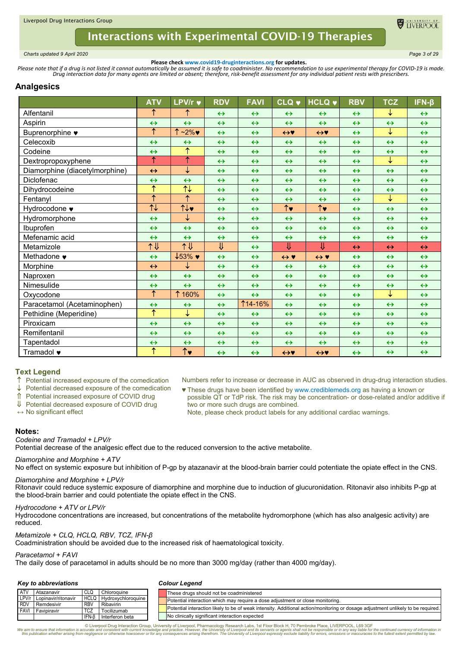

<span id="page-2-0"></span>*Charts updated 9 April 2020 Page 3 of 29*

**Please check www.covid19-druginteractions.org for updates.**<br>.Please note that if a drug is not listed it cannot automatically be assumed it is safe to coadminister. No recommendation to use experimental therapy for COVID-

# **Analgesics**

|                                | <b>ATV</b>            | LPV/r v                               | <b>RDV</b>        | <b>FAVI</b>       | <b>CLQ v</b>        | <b>HCLQ v</b>        | <b>RBV</b>        | <b>TCZ</b>        | $IFN-\beta$       |
|--------------------------------|-----------------------|---------------------------------------|-------------------|-------------------|---------------------|----------------------|-------------------|-------------------|-------------------|
| Alfentanil                     | ↑                     | ↑                                     | $\leftrightarrow$ | $\leftrightarrow$ | $\leftrightarrow$   | $\leftrightarrow$    | $\leftrightarrow$ | ↓                 | $\leftrightarrow$ |
| Aspirin                        | $\leftrightarrow$     | $\leftrightarrow$                     | $\leftrightarrow$ | $\leftrightarrow$ | $\leftrightarrow$   | $\leftrightarrow$    | $\leftrightarrow$ | $\leftrightarrow$ | $\leftrightarrow$ |
| Buprenorphine •                | ↑                     | $\uparrow$ ~2%                        | $\leftrightarrow$ | $\leftrightarrow$ | $\leftrightarrow$   | $\leftrightarrow$    | $\leftrightarrow$ | ↓                 | $\leftrightarrow$ |
| Celecoxib                      | $\leftrightarrow$     | $\leftrightarrow$                     | $\leftrightarrow$ | $\leftrightarrow$ | $\leftrightarrow$   | $\leftrightarrow$    | $\leftrightarrow$ | $\leftrightarrow$ | $\leftrightarrow$ |
| Codeine                        | $\leftrightarrow$     | $\overline{\uparrow}$                 | $\leftrightarrow$ | $\leftrightarrow$ | $\leftrightarrow$   | $\leftrightarrow$    | $\leftrightarrow$ | $\leftrightarrow$ | $\leftrightarrow$ |
| Dextropropoxyphene             | ↑                     | $\overline{\uparrow}$                 | $\leftrightarrow$ | $\leftrightarrow$ | $\leftrightarrow$   | $\leftrightarrow$    | $\leftrightarrow$ | ↓                 | $\leftrightarrow$ |
| Diamorphine (diacetylmorphine) | $\leftrightarrow$     | ↓                                     | $\leftrightarrow$ | $\leftrightarrow$ | $\leftrightarrow$   | $\leftrightarrow$    | $\leftrightarrow$ | $\leftrightarrow$ | $\leftrightarrow$ |
| Diclofenac                     | $\leftrightarrow$     | $\leftrightarrow$                     | $\leftrightarrow$ | $\leftrightarrow$ | $\leftrightarrow$   | $\leftrightarrow$    | $\leftrightarrow$ | $\leftrightarrow$ | $\leftrightarrow$ |
| Dihydrocodeine                 | ↑                     | $\overline{\overline{\mathcal{F}}}$   | $\leftrightarrow$ | $\leftrightarrow$ | $\leftrightarrow$   | $\leftrightarrow$    | $\leftrightarrow$ | $\leftrightarrow$ | $\leftrightarrow$ |
| Fentanyl                       | ↑                     | $\uparrow$                            | $\leftrightarrow$ | $\leftrightarrow$ | $\leftrightarrow$   | $\leftrightarrow$    | $\leftrightarrow$ | ↓                 | $\leftrightarrow$ |
| Hydrocodone ♥                  | $\uparrow\downarrow$  | $\uparrow\downarrow\downarrow$        | $\leftrightarrow$ | $\leftrightarrow$ | $\uparrow$          | $\uparrow\downarrow$ | $\leftrightarrow$ | $\leftrightarrow$ | $\leftrightarrow$ |
| Hydromorphone                  | $\leftrightarrow$     | ↓                                     | $\leftrightarrow$ | $\leftrightarrow$ | $\leftrightarrow$   | $\leftrightarrow$    | $\leftrightarrow$ | $\leftrightarrow$ | $\leftrightarrow$ |
| Ibuprofen                      | $\leftrightarrow$     | $\leftrightarrow$                     | $\leftrightarrow$ | $\leftrightarrow$ | $\leftrightarrow$   | $\leftrightarrow$    | $\leftrightarrow$ | $\leftrightarrow$ | $\leftrightarrow$ |
| Mefenamic acid                 | $\leftrightarrow$     | $\leftrightarrow$                     | $\leftrightarrow$ | $\leftrightarrow$ | $\leftrightarrow$   | $\leftrightarrow$    | $\leftrightarrow$ | $\leftrightarrow$ | $\leftrightarrow$ |
| Metamizole                     | 1 V                   | 个儿                                    | ⇓                 | $\leftrightarrow$ | ⇓                   | ⇓                    | $\leftrightarrow$ | $\leftrightarrow$ | $\leftrightarrow$ |
| Methadone $\bullet$            | $\leftrightarrow$     | $\downarrow$ 53% $\blacktriangledown$ | $\leftrightarrow$ | $\leftrightarrow$ | $\leftrightarrow$ Y | $\leftrightarrow$ Y  | $\leftrightarrow$ | $\leftrightarrow$ | $\leftrightarrow$ |
| Morphine                       | $\leftrightarrow$     | ↓                                     | $\leftrightarrow$ | $\leftrightarrow$ | $\leftrightarrow$   | $\leftrightarrow$    | $\leftrightarrow$ | $\leftrightarrow$ | $\leftrightarrow$ |
| Naproxen                       | $\leftrightarrow$     | $\leftrightarrow$                     | $\leftrightarrow$ | $\leftrightarrow$ | $\leftrightarrow$   | $\leftrightarrow$    | $\leftrightarrow$ | $\leftrightarrow$ | $\leftrightarrow$ |
| Nimesulide                     | $\leftrightarrow$     | $\leftrightarrow$                     | $\leftrightarrow$ | $\leftrightarrow$ | $\leftrightarrow$   | $\leftrightarrow$    | $\leftrightarrow$ | $\leftrightarrow$ | $\leftrightarrow$ |
| Oxycodone                      | ↑                     | 160%                                  | $\leftrightarrow$ | $\leftrightarrow$ | $\leftrightarrow$   | $\leftrightarrow$    | $\leftrightarrow$ | ↓                 | $\leftrightarrow$ |
| Paracetamol (Acetaminophen)    | $\leftrightarrow$     | $\leftrightarrow$                     | $\leftrightarrow$ | <b>114-16%</b>    | $\leftrightarrow$   | $\leftrightarrow$    | $\leftrightarrow$ | $\leftrightarrow$ | $\leftrightarrow$ |
| Pethidine (Meperidine)         | $\overline{\uparrow}$ | ↓                                     | $\leftrightarrow$ | $\leftrightarrow$ | $\leftrightarrow$   | $\leftrightarrow$    | $\leftrightarrow$ | $\leftrightarrow$ | $\leftrightarrow$ |
| Piroxicam                      | $\leftrightarrow$     | $\leftrightarrow$                     | $\leftrightarrow$ | $\leftrightarrow$ | $\leftrightarrow$   | $\leftrightarrow$    | $\leftrightarrow$ | $\leftrightarrow$ | $\leftrightarrow$ |
| Remifentanil                   | $\leftrightarrow$     | $\leftrightarrow$                     | $\leftrightarrow$ | $\leftrightarrow$ | $\leftrightarrow$   | $\leftrightarrow$    | $\leftrightarrow$ | $\leftrightarrow$ | $\leftrightarrow$ |
| Tapentadol                     | $\leftrightarrow$     | $\leftrightarrow$                     | $\leftrightarrow$ | $\leftrightarrow$ | $\leftrightarrow$   | $\leftrightarrow$    | $\leftrightarrow$ | $\leftrightarrow$ | $\leftrightarrow$ |
| Tramadol •                     | $\overline{\uparrow}$ | $\overline{\uparrow\downarrow}$       | $\leftrightarrow$ | $\leftrightarrow$ | $\leftrightarrow$   | $\leftrightarrow$    | $\leftrightarrow$ | $\leftrightarrow$ | $\leftrightarrow$ |

# **Text Legend**

Potential increased exposure of the comedication

Potential decreased exposure of the comedication

Potential increased exposure of COVID drug

Potential decreased exposure of COVID drug

**↔** No significant effect

Numbers refer to increase or decrease in AUC as observed in drug-drug interaction studies.

♥ These drugs have been identified by www.crediblemeds.org as having a known or possible QT or TdP risk. The risk may be concentration- or dose-related and/or additive if two or more such drugs are combined.

Note, please check product labels for any additional cardiac warnings.

### **Notes:**

### *Codeine and Tramadol + LPV/r*

Potential decrease of the analgesic effect due to the reduced conversion to the active metabolite.

## *Diamorphine and Morphine + ATV*

No effect on systemic exposure but inhibition of P-gp by atazanavir at the blood-brain barrier could potentiate the opiate effect in the CNS.

# *Diamorphine and Morphine + LPV/r*

Ritonavir could reduce systemic exposure of diamorphine and morphine due to induction of glucuronidation. Ritonavir also inhibits P-gp at the blood-brain barrier and could potentiate the opiate effect in the CNS.

# *Hydrocodone + ATV or LPV/r*

Hydrocodone concentrations are increased, but concentrations of the metabolite hydromorphone (which has also analgesic activity) are reduced.

# *Metamizole + CLQ, HCLQ, RBV, TCZ, IFN-β*

Coadministration should be avoided due to the increased risk of haematological toxicity.

# *Paracetamol + FAVI*

The daily dose of paracetamol in adults should be no more than 3000 mg/day (rather than 4000 mg/day).

# *Key to abbreviations*

## *Colour Legend*

|             | Atazanavir                | CLQ        | Chloroguine                    | These drugs should not be coadministered                                                                                         |
|-------------|---------------------------|------------|--------------------------------|----------------------------------------------------------------------------------------------------------------------------------|
|             | LPV/r Lopinavir/ritonavir |            | <b>HCLQ Hydroxychloroquine</b> | Potential interaction which may require a dose adjustment or close monitoring.                                                   |
| RDV         | Remdesivir                | <b>RBV</b> | Ribavirin                      |                                                                                                                                  |
| <b>FAVI</b> | Favipiravir               | <b>TCZ</b> | Tocilizumab                    | Potential interaction likely to be of weak intensity. Additional action/monitoring or dosage adjustment unlikely to be required. |
|             |                           | IFN-B      | Interferon beta                | No clinically significant interaction expected                                                                                   |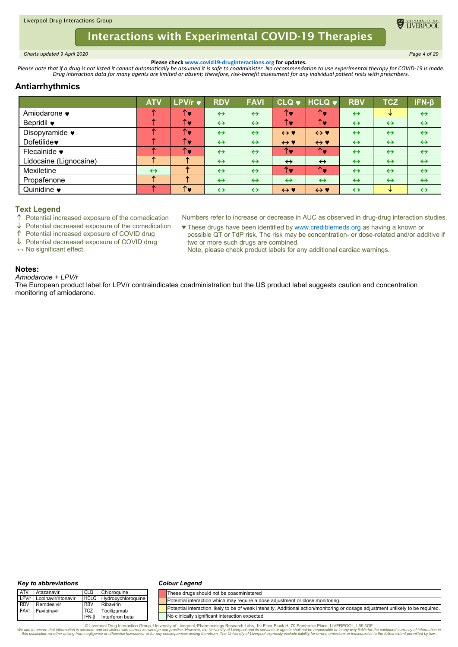<span id="page-3-0"></span>*Charts updated 9 April 2020 Page 4 of 29*

**DE TIVERPOO** 

**Please check www.covid19-druginteractions.org for updates.**<br>.Please note that if a drug is not listed it cannot automatically be assumed it is safe to coadminister. No recommendation to use experimental therapy for COVID-

# **Antiarrhythmics**

|                         | <b>ATV</b>        | LPV/r $\blacktriangledown$ | <b>RDV</b>        | <b>FAVI</b>       | <b>CLQ v</b>        | $HCLQ$ $\blacktriangledown$ | <b>RBV</b>        | <b>TCZ</b>        | IFN-β             |
|-------------------------|-------------------|----------------------------|-------------------|-------------------|---------------------|-----------------------------|-------------------|-------------------|-------------------|
| Amiodarone •            |                   | <b>TV</b>                  | $\leftrightarrow$ | $\leftrightarrow$ | Υ                   | T.                          | $\leftrightarrow$ | ₩                 | $\leftrightarrow$ |
| Bepridil ♥              |                   | ↑♥                         | $\leftrightarrow$ | $\leftrightarrow$ | ↑v                  | <b>TOL</b>                  | $\leftrightarrow$ | $\leftrightarrow$ | $\leftrightarrow$ |
| Disopyramide •          |                   | ↑♥                         | $\leftrightarrow$ | $\leftrightarrow$ | $\leftrightarrow$ Y | $\leftrightarrow$ Y         | $\leftrightarrow$ | $\leftrightarrow$ | $\leftrightarrow$ |
| Dofetilide <sup>*</sup> |                   | ↑♥                         | $\leftrightarrow$ | $\leftrightarrow$ | $\leftrightarrow$ Y | $\leftrightarrow$ Y         | $\leftrightarrow$ | $\leftrightarrow$ | $\leftrightarrow$ |
| Flecainide •            |                   | ↑♥                         | $\leftrightarrow$ | $\leftrightarrow$ | ↑♥                  | ↑♥                          | $\leftrightarrow$ | $\leftrightarrow$ | $\leftrightarrow$ |
| Lidocaine (Lignocaine)  |                   |                            | $\leftrightarrow$ | $\leftrightarrow$ | $\leftrightarrow$   | $\leftrightarrow$           | $\leftrightarrow$ | $\leftrightarrow$ | $\leftrightarrow$ |
| Mexiletine              | $\leftrightarrow$ |                            | $\leftrightarrow$ | $\leftrightarrow$ | ↑v                  | ↑♥                          | $\leftrightarrow$ | $\leftrightarrow$ | $\leftrightarrow$ |
| Propafenone             |                   |                            | $\leftrightarrow$ | $\leftrightarrow$ | $\leftrightarrow$   | $\leftrightarrow$           | $\leftrightarrow$ | $\leftrightarrow$ | $\leftrightarrow$ |
| Quinidine •             |                   | ΥΩ                         | $\leftrightarrow$ | $\leftrightarrow$ | $\leftrightarrow$ Y | $\leftrightarrow$ Y         | $\leftrightarrow$ | ₩                 | $\leftrightarrow$ |

## **Text Legend**

 $\uparrow$  Potential increased exposure of the comedication

Potential decreased exposure of the comedication

Potential increased exposure of COVID drug

Potential decreased exposure of COVID drug

**↔** No significant effect

♥ These drugs have been identified by www.crediblemeds.org as having a known or possible QT or TdP risk. The risk may be concentration- or dose-related and/or additive if two or more such drugs are combined. Note, please check product labels for any additional cardiac warnings.

Numbers refer to increase or decrease in AUC as observed in drug-drug interaction studies.

# **Notes:**

*Amiodarone + LPV/r* The European product label for LPV/r contraindicates coadministration but the US product label suggests caution and concentration monitoring of amiodarone.

#### *Key to abbreviations*

#### *Colour Legend*

| <b>ATV</b>  | Atazanavir          | CLG         | Chloroauine        | These drugs should not be coadministered                                                                                         |
|-------------|---------------------|-------------|--------------------|----------------------------------------------------------------------------------------------------------------------------------|
| LPV/r       | Lopinavir/ritonavir | <b>HCLG</b> | Hydroxychloroguine | Potential interaction which may require a dose adiustment or close monitoring.                                                   |
| <b>RDV</b>  | Remdesivir          | <b>RBV</b>  | Ribavirin          |                                                                                                                                  |
| <b>FAVI</b> | Favipiravir         | TCZ         | Tocilizumab        | Potential interaction likely to be of weak intensity. Additional action/monitoring or dosage adiustment unlikely to be required. |
|             |                     | 'FN-6       | Interferon beta    | No clinically significant interaction expected                                                                                   |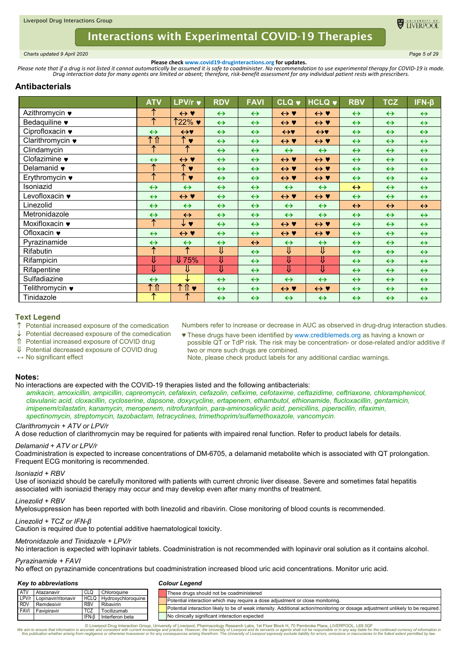

<span id="page-4-0"></span>*Charts updated 9 April 2020 Page 5 of 29*

**Please check www.covid19-druginteractions.org for updates.**<br>.Please note that if a drug is not listed it cannot automatically be assumed it is safe to coadminister. No recommendation to use experimental therapy for COVID-

# **Antibacterials**

|                                   | <b>ATV</b>        | LPV/r v                   | <b>RDV</b>        | <b>FAVI</b>       | <b>CLQ v</b>        | <b>HCLQ v</b>             | <b>RBV</b>        | <b>TCZ</b>        | $IFN-\beta$       |
|-----------------------------------|-------------------|---------------------------|-------------------|-------------------|---------------------|---------------------------|-------------------|-------------------|-------------------|
| Azithromycin ♥                    | ↑                 | $\leftrightarrow \bullet$ | $\leftrightarrow$ | $\leftrightarrow$ | $\leftrightarrow$ Y | $\leftrightarrow$ Y       | $\leftrightarrow$ | $\leftrightarrow$ | $\leftrightarrow$ |
| Bedaquiline •                     | ᠰ                 | 122% ♥                    | $\leftrightarrow$ | $\leftrightarrow$ | $\leftrightarrow$ Y | $\leftrightarrow$ Y       | $\leftrightarrow$ | $\leftrightarrow$ | $\leftrightarrow$ |
| Ciprofloxacin •                   | $\leftrightarrow$ | $\leftrightarrow$         | $\leftrightarrow$ | $\leftrightarrow$ | $\leftrightarrow$   | $\leftrightarrow$         | $\leftrightarrow$ | $\leftrightarrow$ | $\leftrightarrow$ |
| Clarithromycin •                  | ↑↑                | ↑♥                        | $\leftrightarrow$ | $\leftrightarrow$ | $\leftrightarrow$ Y | $\leftrightarrow \bullet$ | $\leftrightarrow$ | $\leftrightarrow$ | $\leftrightarrow$ |
| Clindamycin                       | ↑                 | ↑                         | $\leftrightarrow$ | $\leftrightarrow$ | $\leftrightarrow$   | $\leftrightarrow$         | $\leftrightarrow$ | $\leftrightarrow$ | $\leftrightarrow$ |
| Clofazimine •                     | $\leftrightarrow$ | $\leftrightarrow$ Y       | $\leftrightarrow$ | $\leftrightarrow$ | $\leftrightarrow$ Y | $\leftrightarrow$ Y       | $\leftrightarrow$ | $\leftrightarrow$ | $\leftrightarrow$ |
| Delamanid •                       | →                 | ↑♥                        | $\leftrightarrow$ | $\leftrightarrow$ | $\leftrightarrow$ Y | $\leftrightarrow \bullet$ | $\leftrightarrow$ | $\leftrightarrow$ | $\leftrightarrow$ |
| Erythromycin $\bullet$            | ∧                 | $\uparrow \bullet$        | $\leftrightarrow$ | $\leftrightarrow$ | $\leftrightarrow$ Y | $\leftrightarrow$ Y       | $\leftrightarrow$ | $\leftrightarrow$ | $\leftrightarrow$ |
| Isoniazid                         | $\leftrightarrow$ | $\leftrightarrow$         | $\leftrightarrow$ | $\leftrightarrow$ | $\leftrightarrow$   | $\leftrightarrow$         | $\leftrightarrow$ | $\leftrightarrow$ | $\leftrightarrow$ |
| Levofloxacin ♥                    | $\leftrightarrow$ | $\leftrightarrow$ Y       | $\leftrightarrow$ | $\leftrightarrow$ | $\leftrightarrow$ Y | $\leftrightarrow$ Y       | $\leftrightarrow$ | $\leftrightarrow$ | $\leftrightarrow$ |
| Linezolid                         | $\leftrightarrow$ | $\leftrightarrow$         | $\leftrightarrow$ | $\leftrightarrow$ | $\leftrightarrow$   | $\leftrightarrow$         | $\leftrightarrow$ | $\leftrightarrow$ | $\leftrightarrow$ |
| Metronidazole                     | $\leftrightarrow$ | $\leftrightarrow$         | $\leftrightarrow$ | $\leftrightarrow$ | $\leftrightarrow$   | $\leftrightarrow$         | $\leftrightarrow$ | $\leftrightarrow$ | $\leftrightarrow$ |
| Moxifloxacin $\blacktriangledown$ | $\uparrow$        | ↓♥                        | $\leftrightarrow$ | $\leftrightarrow$ | $\leftrightarrow$ Y | $\leftrightarrow$ Y       | $\leftrightarrow$ | $\leftrightarrow$ | $\leftrightarrow$ |
| Ofloxacin $\bullet$               | $\leftrightarrow$ | $\leftrightarrow \bullet$ | $\leftrightarrow$ | $\leftrightarrow$ | $\leftrightarrow$ Y | $\leftrightarrow \bullet$ | $\leftrightarrow$ | $\leftrightarrow$ | $\leftrightarrow$ |
| Pyrazinamide                      | $\leftrightarrow$ | $\leftrightarrow$         | $\leftrightarrow$ | $\leftrightarrow$ | $\leftrightarrow$   | $\leftrightarrow$         | $\leftrightarrow$ | $\leftrightarrow$ | $\leftrightarrow$ |
| Rifabutin                         | ቶ                 | ↑                         | ⇓                 | $\leftrightarrow$ | ⇓                   | ⇓                         | $\leftrightarrow$ | $\leftrightarrow$ | $\leftrightarrow$ |
| Rifampicin                        | ⇓                 | $\sqrt{75\%}$             | ↓                 | $\leftrightarrow$ | ⇓                   | ⇓                         | $\leftrightarrow$ | $\leftrightarrow$ | $\leftrightarrow$ |
| Rifapentine                       | ⇓                 | ⇓                         | ⇓                 | $\leftrightarrow$ | ⇓                   | ⇓                         | $\leftrightarrow$ | $\leftrightarrow$ | $\leftrightarrow$ |
| Sulfadiazine                      | $\leftrightarrow$ | ↓                         | $\leftrightarrow$ | $\leftrightarrow$ | $\leftrightarrow$   | $\leftrightarrow$         | $\leftrightarrow$ | $\leftrightarrow$ | $\leftrightarrow$ |
| Telithromycin ♥                   | 个介                | ↑↑<br>$\bullet$           | $\leftrightarrow$ | $\leftrightarrow$ | $\leftrightarrow$ Y | $\leftrightarrow$ Y       | $\leftrightarrow$ | $\leftrightarrow$ | $\leftrightarrow$ |
| Tinidazole                        | ↑                 | ́                         | $\leftrightarrow$ | $\leftrightarrow$ | $\leftrightarrow$   | $\leftrightarrow$         | $\leftrightarrow$ | $\leftrightarrow$ | $\leftrightarrow$ |

# **Text Legend**

 $\uparrow$  Potential increased exposure of the comedication

Potential decreased exposure of the comedication

Potential increased exposure of COVID drug

↓ Potential decreased exposure of COVID drug

**↔** No significant effect

♥ These drugs have been identified by www.crediblemeds.org as having a known or possible QT or TdP risk. The risk may be concentration- or dose-related and/or additive if two or more such drugs are combined. Note, please check product labels for any additional cardiac warnings.

Numbers refer to increase or decrease in AUC as observed in drug-drug interaction studies.

#### **Notes:**

No interactions are expected with the COVID-19 therapies listed and the following antibacterials:

*amikacin, amoxicillin, ampicillin, capreomycin, cefalexin, cefazolin, cefixime, cefotaxime, ceftazidime, ceftriaxone, chloramphenicol, clavulanic acid, cloxacillin, cycloserine, dapsone, doxycycline, ertapenem, ethambutol, ethionamide, flucloxacillin, gentamicin, imipenem/cilastatin, kanamycin, meropenem, nitrofurantoin, para-aminosalicylic acid, penicillins, piperacillin, rifaximin, spectinomycin, streptomycin, tazobactam, tetracyclines, trimethoprim/sulfamethoxazole, vancomycin.*

### *Clarithromycin + ATV or LPV/r*

A dose reduction of clarithromycin may be required for patients with impaired renal function. Refer to product labels for details.

### *Delamanid + ATV or LPV/r*

Coadministration is expected to increase concentrations of DM-6705, a delamanid metabolite which is associated with QT prolongation. Frequent ECG monitoring is recommended.

### *Isoniazid + RBV*

Use of isoniazid should be carefully monitored with patients with current chronic liver disease. Severe and sometimes fatal hepatitis associated with isoniazid therapy may occur and may develop even after many months of treatment.

### *Linezolid + RBV*

Myelosuppression has been reported with both linezolid and ribavirin. Close monitoring of blood counts is recommended.

### *Linezolid + TCZ or IFN-β*

Caution is required due to potential additive haematological toxicity.

### *Metronidazole and Tinidazole + LPV/r*

No interaction is expected with lopinavir tablets. Coadministration is not recommended with lopinavir oral solution as it contains alcohol.

### *Pyrazinamide + FAVI*

No effect on pyrazinamide concentrations but coadministration increased blood uric acid concentrations. Monitor uric acid.

#### *Key to abbreviations*

#### *Colour Legend*

|      | Atazanavir                | <b>CLQ</b> | Chloroquine                    |  | These drugs should not be coadministered                                                                                         |
|------|---------------------------|------------|--------------------------------|--|----------------------------------------------------------------------------------------------------------------------------------|
|      | LPV/r Lopinavir/ritonavir |            | <b>HCLQ Hydroxychloroquine</b> |  | Potential interaction which may require a dose adjustment or close monitoring.                                                   |
|      | Remdesivir                | <b>RBV</b> | Ribavirin                      |  |                                                                                                                                  |
| FAVI | Favipiravir               | <b>TCZ</b> | Tocilizumab                    |  | Potential interaction likely to be of weak intensity. Additional action/monitoring or dosage adjustment unlikely to be required. |
|      |                           | IFN-B      | Interferon beta                |  | No clinically significant interaction expected                                                                                   |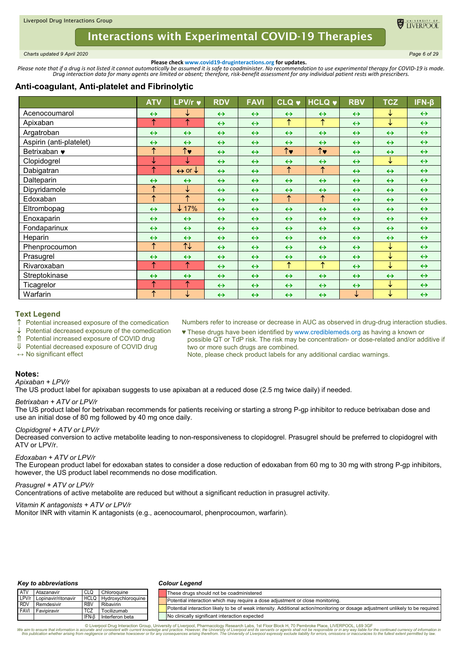<span id="page-5-0"></span>*Charts updated 9 April 2020 Page 6 of 29*

**ELIVERPOC** 

**Please check www.covid19-druginteractions.org for updates.**<br>.Please note that if a drug is not listed it cannot automatically be assumed it is safe to coadminister. No recommendation to use experimental therapy for COVID-

# **Anti-coagulant, Anti-platelet and Fibrinolytic**

|                         | <b>ATV</b>        | LPV/r $\blacktriangledown$        | <b>RDV</b>        | <b>FAVI</b>       | <b>CLQ v</b>          | <b>HCLQ v</b>         | <b>RBV</b>        | <b>TCZ</b>        | $IFN-\beta$       |
|-------------------------|-------------------|-----------------------------------|-------------------|-------------------|-----------------------|-----------------------|-------------------|-------------------|-------------------|
| Acenocoumarol           | $\leftrightarrow$ | ↓                                 | $\leftrightarrow$ | $\leftrightarrow$ | $\leftrightarrow$     | $\leftrightarrow$     | $\leftrightarrow$ | ↓                 | $\leftrightarrow$ |
| Apixaban                | ↑                 | ↑                                 | $\leftrightarrow$ | $\leftrightarrow$ | $\uparrow$            | $\uparrow$            | $\leftrightarrow$ | ↓                 | $\leftrightarrow$ |
| Argatroban              | $\leftrightarrow$ | $\leftrightarrow$                 | $\leftrightarrow$ | $\leftrightarrow$ | $\leftrightarrow$     | $\leftrightarrow$     | $\leftrightarrow$ | $\leftrightarrow$ | $\leftrightarrow$ |
| Aspirin (anti-platelet) | $\leftrightarrow$ | $\leftrightarrow$                 | $\leftrightarrow$ | $\leftrightarrow$ | $\leftrightarrow$     | $\leftrightarrow$     | $\leftrightarrow$ | $\leftrightarrow$ | $\leftrightarrow$ |
| Betrixaban $\bullet$    | $\uparrow$        | $\overline{\uparrow}$             | $\leftrightarrow$ | $\leftrightarrow$ | $\overline{\uparrow}$ | $\overline{\uparrow}$ | $\leftrightarrow$ | $\leftrightarrow$ | $\leftrightarrow$ |
| Clopidogrel             | ↓                 | ↓                                 | $\leftrightarrow$ | $\leftrightarrow$ | $\leftrightarrow$     | $\leftrightarrow$     | $\leftrightarrow$ | ↓                 | $\leftrightarrow$ |
| Dabigatran              | ↑                 | $\leftrightarrow$ or $\downarrow$ | $\leftrightarrow$ | $\leftrightarrow$ | $\uparrow$            | ↑                     | $\leftrightarrow$ | $\leftrightarrow$ | $\leftrightarrow$ |
| Dalteparin              | $\leftrightarrow$ | $\leftrightarrow$                 | $\leftrightarrow$ | $\leftrightarrow$ | $\leftrightarrow$     | $\leftrightarrow$     | $\leftrightarrow$ | $\leftrightarrow$ | $\leftrightarrow$ |
| Dipyridamole            | $\uparrow$        | ↓                                 | $\leftrightarrow$ | $\leftrightarrow$ | $\leftrightarrow$     | $\leftrightarrow$     | $\leftrightarrow$ | $\leftrightarrow$ | $\leftrightarrow$ |
| Edoxaban                | ↑                 | ↑                                 | $\leftrightarrow$ | $\leftrightarrow$ | $\uparrow$            | $\uparrow$            | $\leftrightarrow$ | $\leftrightarrow$ | $\leftrightarrow$ |
| Eltrombopag             | $\leftrightarrow$ | $\downarrow$ 17%                  | $\leftrightarrow$ | $\leftrightarrow$ | $\leftrightarrow$     | $\leftrightarrow$     | $\leftrightarrow$ | $\leftrightarrow$ | $\leftrightarrow$ |
| Enoxaparin              | $\leftrightarrow$ | $\leftrightarrow$                 | $\leftrightarrow$ | $\leftrightarrow$ | $\leftrightarrow$     | $\leftrightarrow$     | $\leftrightarrow$ | $\leftrightarrow$ | $\leftrightarrow$ |
| Fondaparinux            | $\leftrightarrow$ | $\leftrightarrow$                 | $\leftrightarrow$ | $\leftrightarrow$ | $\leftrightarrow$     | $\leftrightarrow$     | $\leftrightarrow$ | $\leftrightarrow$ | $\leftrightarrow$ |
| Heparin                 | $\leftrightarrow$ | $\leftrightarrow$                 | $\leftrightarrow$ | $\leftrightarrow$ | $\leftrightarrow$     | $\leftrightarrow$     | $\leftrightarrow$ | $\leftrightarrow$ | $\leftrightarrow$ |
| Phenprocoumon           | $\uparrow$        | $\uparrow\downarrow$              | $\leftrightarrow$ | $\leftrightarrow$ | $\leftrightarrow$     | $\leftrightarrow$     | $\leftrightarrow$ | ↓                 | $\leftrightarrow$ |
| Prasugrel               | $\leftrightarrow$ | $\leftrightarrow$                 | $\leftrightarrow$ | $\leftrightarrow$ | $\leftrightarrow$     | $\leftrightarrow$     | $\leftrightarrow$ | ↓                 | $\leftrightarrow$ |
| Rivaroxaban             | ↑                 | $\uparrow$                        | $\leftrightarrow$ | $\leftrightarrow$ | $\uparrow$            | $\uparrow$            | $\leftrightarrow$ | ↓                 | $\leftrightarrow$ |
| Streptokinase           | $\leftrightarrow$ | $\leftrightarrow$                 | $\leftrightarrow$ | $\leftrightarrow$ | $\leftrightarrow$     | $\leftrightarrow$     | $\leftrightarrow$ | $\leftrightarrow$ | $\leftrightarrow$ |
| Ticagrelor              | ↑                 | ↑                                 | $\leftrightarrow$ | $\leftrightarrow$ | $\leftrightarrow$     | $\leftrightarrow$     | $\leftrightarrow$ | ↓                 | $\leftrightarrow$ |
| Warfarin                | $\uparrow$        | ↓                                 | $\leftrightarrow$ | $\leftrightarrow$ | $\leftrightarrow$     | $\leftrightarrow$     | $\downarrow$      | ↓                 | $\leftrightarrow$ |

## **Text Legend**

 $\uparrow$  Potential increased exposure of the comedication

↓ Potential decreased exposure of the comedication

Potential increased exposure of COVID drug

↓ Potential decreased exposure of COVID drug

**↔** No significant effect

Numbers refer to increase or decrease in AUC as observed in drug-drug interaction studies. ♥ These drugs have been identified by www.crediblemeds.org as having a known or possible QT or TdP risk. The risk may be concentration- or dose-related and/or additive if

two or more such drugs are combined. Note, please check product labels for any additional cardiac warnings.

### **Notes:**

*Apixaban + LPV/r*

The US product label for apixaban suggests to use apixaban at a reduced dose (2.5 mg twice daily) if needed.

### *Betrixaban + ATV or LPV/r*

The US product label for betrixaban recommends for patients receiving or starting a strong P-gp inhibitor to reduce betrixaban dose and use an initial dose of 80 mg followed by 40 mg once daily.

## *Clopidogrel + ATV or LPV/r*

Decreased conversion to active metabolite leading to non-responsiveness to clopidogrel. Prasugrel should be preferred to clopidogrel with ATV or LPV/r.

### *Edoxaban + ATV or LPV/r*

The European product label for edoxaban states to consider a dose reduction of edoxaban from 60 mg to 30 mg with strong P-gp inhibitors, however, the US product label recommends no dose modification.

### *Prasugrel + ATV or LPV/r*

Concentrations of active metabolite are reduced but without a significant reduction in prasugrel activity.

### *Vitamin K antagonists + ATV or LPV/r*

Monitor INR with vitamin K antagonists (e.g., acenocoumarol, phenprocoumon, warfarin).

### *Key to abbreviations*

### *Colour Legend*

| <b>ATV</b>   | Atazanavir          | <b>CLQ</b>  | Chloroquine          | These drugs should not be coadministered                                                                                         |
|--------------|---------------------|-------------|----------------------|----------------------------------------------------------------------------------------------------------------------------------|
| $L$ PV/r     | Lopinavir/ritonavir | <b>HCLO</b> | J Hydroxychloroguine | Potential interaction which may require a dose adjustment or close monitoring.                                                   |
| <b>I</b> RDV | Remdesivir          | <b>RBV</b>  | Ribavirin            |                                                                                                                                  |
| I FAVI       | Favipiravir         | <b>TCZ</b>  | Tocilizumab          | Potential interaction likely to be of weak intensity. Additional action/monitoring or dosage adjustment unlikely to be required. |
|              |                     | IFN-B       | Interferon beta      | No clinically significant interaction expected                                                                                   |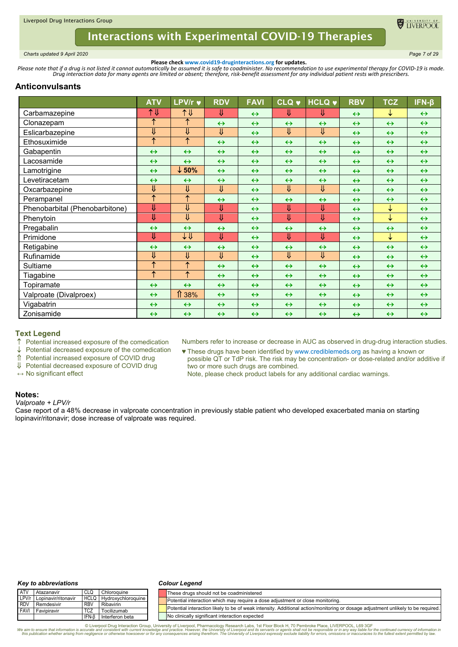

<span id="page-6-0"></span>*Charts updated 9 April 2020 Page 7 of 29*

**Please check www.covid19-druginteractions.org for updates.**<br>.Please note that if a drug is not listed it cannot automatically be assumed it is safe to coadminister. No recommendation to use experimental therapy for COVID-

# **Anticonvulsants**

|                                | <b>ATV</b>            | <b>LPV/r ♥</b>          | <b>RDV</b>              | <b>FAVI</b>       | <b>CLQ v</b>      | <b>HCLQ v</b>     | <b>RBV</b>        | <b>TCZ</b>        | $IFN-\beta$       |
|--------------------------------|-----------------------|-------------------------|-------------------------|-------------------|-------------------|-------------------|-------------------|-------------------|-------------------|
| Carbamazepine                  | 1↓                    | 1↓                      | ⇓                       | $\leftrightarrow$ | ⇓                 | ⇓                 | $\leftrightarrow$ | ↓                 | $\leftrightarrow$ |
| Clonazepam                     | ↑                     | ↑                       | $\leftrightarrow$       | $\leftrightarrow$ | $\leftrightarrow$ | $\leftrightarrow$ | $\leftrightarrow$ | $\leftrightarrow$ | $\leftrightarrow$ |
| Eslicarbazepine                | ⇓                     | ⇓                       | $\overline{\Downarrow}$ | $\leftrightarrow$ | ⇓                 | ⇓                 | $\leftrightarrow$ | $\leftrightarrow$ | $\leftrightarrow$ |
| Ethosuximide                   | ↑                     | ↑                       | $\leftrightarrow$       | $\leftrightarrow$ | $\leftrightarrow$ | $\leftrightarrow$ | $\leftrightarrow$ | $\leftrightarrow$ | $\leftrightarrow$ |
| Gabapentin                     | $\leftrightarrow$     | $\leftrightarrow$       | $\leftrightarrow$       | $\leftrightarrow$ | $\leftrightarrow$ | $\leftrightarrow$ | $\leftrightarrow$ | $\leftrightarrow$ | $\leftrightarrow$ |
| Lacosamide                     | $\leftrightarrow$     | $\leftrightarrow$       | $\leftrightarrow$       | $\leftrightarrow$ | $\leftrightarrow$ | $\leftrightarrow$ | $\leftrightarrow$ | $\leftrightarrow$ | $\leftrightarrow$ |
| Lamotrigine                    | $\leftrightarrow$     | $\downarrow$ 50%        | $\leftrightarrow$       | $\leftrightarrow$ | $\leftrightarrow$ | $\leftrightarrow$ | $\leftrightarrow$ | $\leftrightarrow$ | $\leftrightarrow$ |
| Levetiracetam                  | $\leftrightarrow$     | $\leftrightarrow$       | $\leftrightarrow$       | $\leftrightarrow$ | $\leftrightarrow$ | $\leftrightarrow$ | $\leftrightarrow$ | $\leftrightarrow$ | $\leftrightarrow$ |
| Oxcarbazepine                  | ⇓                     | $\overline{\mathsf{U}}$ | $\overline{\Downarrow}$ | $\leftrightarrow$ | ⇓                 | ⇓                 | $\leftrightarrow$ | $\leftrightarrow$ | $\leftrightarrow$ |
| Perampanel                     | ↑                     | $\uparrow$              | $\leftrightarrow$       | $\leftrightarrow$ | $\leftrightarrow$ | $\leftrightarrow$ | $\leftrightarrow$ | $\leftrightarrow$ | $\leftrightarrow$ |
| Phenobarbital (Phenobarbitone) | ⇓                     | ⇓                       | ⇓                       | $\leftrightarrow$ | ⇓                 | ⇓                 | $\leftrightarrow$ | ↓                 | $\leftrightarrow$ |
| Phenytoin                      | ⇓                     | ⇓                       | $\overline{\mathsf{U}}$ | $\leftrightarrow$ | ⇓                 | ⇓                 | $\leftrightarrow$ | $\downarrow$      | $\leftrightarrow$ |
| Pregabalin                     | $\leftrightarrow$     | $\leftrightarrow$       | $\leftrightarrow$       | $\leftrightarrow$ | $\leftrightarrow$ | $\leftrightarrow$ | $\leftrightarrow$ | $\leftrightarrow$ | $\leftrightarrow$ |
| Primidone                      | ⇓                     | ↓↓                      | ⇓                       | $\leftrightarrow$ | ⇓                 | ⇓                 | $\leftrightarrow$ | ↓                 | $\leftrightarrow$ |
| Retigabine                     | $\leftrightarrow$     | $\leftrightarrow$       | $\leftrightarrow$       | $\leftrightarrow$ | $\leftrightarrow$ | $\leftrightarrow$ | $\leftrightarrow$ | $\leftrightarrow$ | $\leftrightarrow$ |
| Rufinamide                     | ⇓                     | ⇓                       | ⇓                       | $\leftrightarrow$ | ⇓                 | ⇓                 | $\leftrightarrow$ | $\leftrightarrow$ | $\leftrightarrow$ |
| Sultiame                       | ↑                     | $\overline{\uparrow}$   | $\leftrightarrow$       | $\leftrightarrow$ | $\leftrightarrow$ | $\leftrightarrow$ | $\leftrightarrow$ | $\leftrightarrow$ | $\leftrightarrow$ |
| Tiagabine                      | $\overline{\uparrow}$ | $\uparrow$              | $\leftrightarrow$       | $\leftrightarrow$ | $\leftrightarrow$ | $\leftrightarrow$ | $\leftrightarrow$ | $\leftrightarrow$ | $\leftrightarrow$ |
| Topiramate                     | $\leftrightarrow$     | $\leftrightarrow$       | $\leftrightarrow$       | $\leftrightarrow$ | $\leftrightarrow$ | $\leftrightarrow$ | $\leftrightarrow$ | $\leftrightarrow$ | $\leftrightarrow$ |
| Valproate (Divalproex)         | $\leftrightarrow$     | ⇑<br>38%                | $\leftrightarrow$       | $\leftrightarrow$ | $\leftrightarrow$ | $\leftrightarrow$ | $\leftrightarrow$ | $\leftrightarrow$ | $\leftrightarrow$ |
| Vigabatrin                     | $\leftrightarrow$     | $\leftrightarrow$       | $\leftrightarrow$       | $\leftrightarrow$ | $\leftrightarrow$ | $\leftrightarrow$ | $\leftrightarrow$ | $\leftrightarrow$ | $\leftrightarrow$ |
| Zonisamide                     | $\leftrightarrow$     | $\leftrightarrow$       | $\leftrightarrow$       | $\leftrightarrow$ | $\leftrightarrow$ | $\leftrightarrow$ | $\leftrightarrow$ | $\leftrightarrow$ | $\leftrightarrow$ |

# **Text Legend**

 $\uparrow$  Potential increased exposure of the comedication  $\downarrow$  Potential decreased exposure of the comedication

Potential decreased exposure of the comedication

Potential increased exposure of COVID drug

 Potential decreased exposure of COVID drug **↔** No significant effect

two or more such drugs are combined. Note, please check product labels for any additional cardiac warnings.

Numbers refer to increase or decrease in AUC as observed in drug-drug interaction studies. ♥ These drugs have been identified by www.crediblemeds.org as having a known or

possible QT or TdP risk. The risk may be concentration- or dose-related and/or additive if

### **Notes:**

*Valproate + LPV/r*

Case report of a 48% decrease in valproate concentration in previously stable patient who developed exacerbated mania on starting lopinavir/ritonavir; dose increase of valproate was required.

#### *Key to abbreviations*

#### *Colour Legend*

| <b>ATV</b> | Atazanavir                |             | Chloroguine        | These drugs should not be coadministered                                                                                         |
|------------|---------------------------|-------------|--------------------|----------------------------------------------------------------------------------------------------------------------------------|
|            | LPV/r Lopinavir/ritonavir | <b>HCLQ</b> | Hydroxychloroquine | Potential interaction which may require a dose adjustment or close monitoring.                                                   |
| <b>RDV</b> | Remdesivir                | <b>RBV</b>  | Ribavirin          | Potential interaction likely to be of weak intensity. Additional action/monitoring or dosage adjustment unlikely to be required. |
|            | <b>FAVI</b> Favipiravir   | <b>TCZ</b>  | Tocilizumab        |                                                                                                                                  |
|            |                           | IFN-B       | Interferon beta    | No clinically significant interaction expected                                                                                   |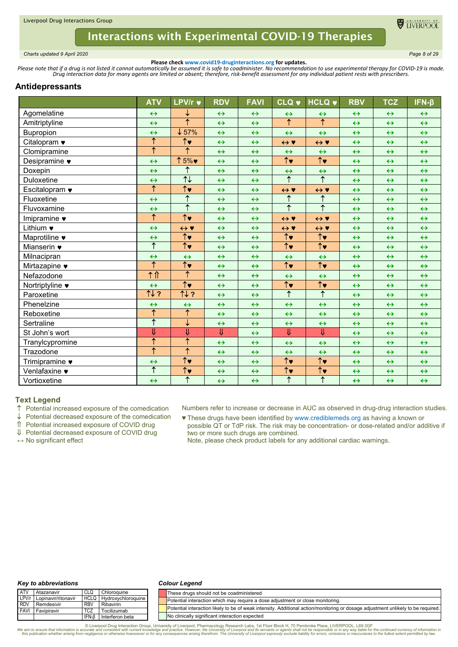

<span id="page-7-0"></span>*Charts updated 9 April 2020 Page 8 of 29*

**Please check www.covid19-druginteractions.org for updates.**<br>.Please note that if a drug is not listed it cannot automatically be assumed it is safe to coadminister. No recommendation to use experimental therapy for COVID-

### **Antidepressants**

|                                | <b>ATV</b>            | LPV/r v                         | <b>RDV</b>              | <b>FAVI</b>       | <b>CLQ v</b>                    | <b>HCLQ v</b>                   | <b>RBV</b>        | <b>TCZ</b>        | $IFN-\beta$       |
|--------------------------------|-----------------------|---------------------------------|-------------------------|-------------------|---------------------------------|---------------------------------|-------------------|-------------------|-------------------|
| Agomelatine                    | $\leftrightarrow$     | ↓                               | $\leftrightarrow$       | $\leftrightarrow$ | $\leftrightarrow$               | $\leftrightarrow$               | $\leftrightarrow$ | $\leftrightarrow$ | $\leftrightarrow$ |
| Amitriptyline                  | $\leftrightarrow$     | $\overline{\uparrow}$           | $\leftrightarrow$       | $\leftrightarrow$ | ↑                               | $\uparrow$                      | $\leftrightarrow$ | $\leftrightarrow$ | $\leftrightarrow$ |
| <b>Bupropion</b>               | $\leftrightarrow$     | $\downarrow$ 57%                | $\leftrightarrow$       | $\leftrightarrow$ | $\leftrightarrow$               | $\leftrightarrow$               | $\leftrightarrow$ | $\leftrightarrow$ | $\leftrightarrow$ |
| Citalopram •                   | $\uparrow$            | $\overline{\uparrow\downarrow}$ | $\leftrightarrow$       | $\leftrightarrow$ | $\leftrightarrow$ Y             | $\leftrightarrow$ Y             | $\leftrightarrow$ | $\leftrightarrow$ | $\leftrightarrow$ |
| Clomipramine                   | $\overline{\uparrow}$ | $\overline{\uparrow}$           | $\leftrightarrow$       | $\leftrightarrow$ | $\leftrightarrow$               | $\leftrightarrow$               | $\leftrightarrow$ | $\leftrightarrow$ | $\leftrightarrow$ |
| Desipramine $\bullet$          | $\leftrightarrow$     | ↑5%♥                            | $\leftrightarrow$       | $\leftrightarrow$ | $\overline{\uparrow}$           | $\overline{\uparrow\downarrow}$ | $\leftrightarrow$ | $\leftrightarrow$ | $\leftrightarrow$ |
| Doxepin                        | $\leftrightarrow$     | ↑                               | $\leftrightarrow$       | $\leftrightarrow$ | $\leftrightarrow$               | $\leftrightarrow$               | $\leftrightarrow$ | $\leftrightarrow$ | $\leftrightarrow$ |
| Duloxetine                     | $\leftrightarrow$     | $\overline{\uparrow\downarrow}$ | $\leftrightarrow$       | $\leftrightarrow$ | $\overline{\uparrow}$           | $\overline{\uparrow}$           | $\leftrightarrow$ | $\leftrightarrow$ | $\leftrightarrow$ |
| Escitalopram $\bullet$         | $\overline{\uparrow}$ | $\overline{\uparrow\downarrow}$ | $\leftrightarrow$       | $\leftrightarrow$ | $\leftrightarrow$ Y             | $\leftrightarrow$ Y             | $\leftrightarrow$ | $\leftrightarrow$ | $\leftrightarrow$ |
| Fluoxetine                     | $\leftrightarrow$     | $\overline{\uparrow}$           | $\leftrightarrow$       | $\leftrightarrow$ | $\uparrow$                      | $\uparrow$                      | $\leftrightarrow$ | $\leftrightarrow$ | $\leftrightarrow$ |
| Fluvoxamine                    | $\leftrightarrow$     | $\overline{\uparrow}$           | $\leftrightarrow$       | $\leftrightarrow$ | ↑                               | $\overline{\uparrow}$           | $\leftrightarrow$ | $\leftrightarrow$ | $\leftrightarrow$ |
| Imipramine •                   | ↑                     | $\uparrow$                      | $\leftrightarrow$       | $\leftrightarrow$ | $\leftrightarrow$ Y             | $\leftrightarrow$ Y             | $\leftrightarrow$ | $\leftrightarrow$ | $\leftrightarrow$ |
| Lithium •                      | $\leftrightarrow$     | $\leftrightarrow$ Y             | $\leftrightarrow$       | $\leftrightarrow$ | $\leftrightarrow$ Y             | $\leftrightarrow$ Y             | $\leftrightarrow$ | $\leftrightarrow$ | $\leftrightarrow$ |
| Maprotiline •                  | $\leftrightarrow$     | $\overline{\uparrow\downarrow}$ | $\leftrightarrow$       | $\leftrightarrow$ | $\overline{\uparrow\downarrow}$ | $\overline{\uparrow\downarrow}$ | $\leftrightarrow$ | $\leftrightarrow$ | $\leftrightarrow$ |
| Mianserin $\blacktriangledown$ | ↑                     | $\overline{\uparrow}$           | $\leftrightarrow$       | $\leftrightarrow$ | $\overline{\uparrow}$           | $\overline{\uparrow\downarrow}$ | $\leftrightarrow$ | $\leftrightarrow$ | $\leftrightarrow$ |
| Milnacipran                    | $\leftrightarrow$     | $\leftrightarrow$               | $\leftrightarrow$       | $\leftrightarrow$ | $\leftrightarrow$               | $\leftrightarrow$               | $\leftrightarrow$ | $\leftrightarrow$ | $\leftrightarrow$ |
| Mirtazapine •                  | ↑                     | $\uparrow\downarrow$            | $\leftrightarrow$       | $\leftrightarrow$ | $\overline{\uparrow}$           | $\overline{\uparrow\downarrow}$ | $\leftrightarrow$ | $\leftrightarrow$ | $\leftrightarrow$ |
| Nefazodone                     | 个介                    | $\overline{\uparrow}$           | $\leftrightarrow$       | $\leftrightarrow$ | $\leftrightarrow$               | $\leftrightarrow$               | $\leftrightarrow$ | $\leftrightarrow$ | $\leftrightarrow$ |
| Nortriptyline •                | $\leftrightarrow$     | $\overline{\uparrow\downarrow}$ | $\leftrightarrow$       | $\leftrightarrow$ | $\overline{\uparrow}$           | $\overline{\uparrow\downarrow}$ | $\leftrightarrow$ | $\leftrightarrow$ | $\leftrightarrow$ |
| Paroxetine                     | TV?                   | 112                             | $\leftrightarrow$       | $\leftrightarrow$ | $\overline{\uparrow}$           | $\overline{\uparrow}$           | $\leftrightarrow$ | $\leftrightarrow$ | $\leftrightarrow$ |
| Phenelzine                     | $\leftrightarrow$     | $\leftrightarrow$               | $\leftrightarrow$       | $\leftrightarrow$ | $\leftrightarrow$               | $\leftrightarrow$               | $\leftrightarrow$ | $\leftrightarrow$ | $\leftrightarrow$ |
| Reboxetine                     | ↑                     | $\overline{\uparrow}$           | $\leftrightarrow$       | $\leftrightarrow$ | $\leftrightarrow$               | $\leftrightarrow$               | $\leftrightarrow$ | $\leftrightarrow$ | $\leftrightarrow$ |
| Sertraline                     | $\overline{\uparrow}$ | ↓                               | $\leftrightarrow$       | $\leftrightarrow$ | $\leftrightarrow$               | $\leftrightarrow$               | $\leftrightarrow$ | $\leftrightarrow$ | $\leftrightarrow$ |
| St John's wort                 | ⇓                     | $\overline{\mathsf{U}}$         | $\overline{\mathsf{U}}$ | $\leftrightarrow$ | $\overline{\mathsf{U}}$         | $\overline{\mathsf{U}}$         | $\leftrightarrow$ | $\leftrightarrow$ | $\leftrightarrow$ |
| Tranylcypromine                | ↑                     | $\hat{\uparrow}$                | $\leftrightarrow$       | $\leftrightarrow$ | $\leftrightarrow$               | $\leftrightarrow$               | $\leftrightarrow$ | $\leftrightarrow$ | $\leftrightarrow$ |
| Trazodone                      | $\overline{\uparrow}$ | $\uparrow$                      | $\leftrightarrow$       | $\leftrightarrow$ | $\leftrightarrow$               | $\leftrightarrow$               | $\leftrightarrow$ | $\leftrightarrow$ | $\leftrightarrow$ |
| Trimipramine •                 | $\leftrightarrow$     | $\uparrow\downarrow$            | $\leftrightarrow$       | $\leftrightarrow$ | $\overline{\uparrow}$           | $\overline{\uparrow}$           | $\leftrightarrow$ | $\leftrightarrow$ | $\leftrightarrow$ |
| Venlafaxine •                  | ↑                     | $\overline{\uparrow\downarrow}$ | $\leftrightarrow$       | $\leftrightarrow$ | $\overline{\uparrow}$           | $\overline{\uparrow\downarrow}$ | $\leftrightarrow$ | $\leftrightarrow$ | $\leftrightarrow$ |
| Vortioxetine                   | $\leftrightarrow$     | $\overline{\uparrow}$           | $\leftrightarrow$       | $\leftrightarrow$ | $\uparrow$                      | $\overline{\uparrow}$           | $\leftrightarrow$ | $\leftrightarrow$ | $\leftrightarrow$ |

## **Text Legend**

- Potential increased exposure of the comedication
- $\downarrow$  Potential decreased exposure of the comedication
- Potential increased exposure of COVID drug

Potential decreased exposure of COVID drug

**↔** No significant effect

Numbers refer to increase or decrease in AUC as observed in drug-drug interaction studies.

♥ These drugs have been identified by www.crediblemeds.org as having a known or possible QT or TdP risk. The risk may be concentration- or dose-related and/or additive if two or more such drugs are combined.

Note, please check product labels for any additional cardiac warnings.

#### *Key to abbreviations*

#### *Colour Legend*

| <b>ATV</b>  | Atazanavir          |             | Chloroquine        | These drugs should not be coadministered                                                                                         |
|-------------|---------------------|-------------|--------------------|----------------------------------------------------------------------------------------------------------------------------------|
| LPV/r       | Lopinavir/ritonavir | <b>HCLQ</b> | Hydroxychloroguine | Potential interaction which may require a dose adjustment or close monitoring.                                                   |
| <b>RDV</b>  | Remdesivir          | <b>RBV</b>  | Ribavirin          |                                                                                                                                  |
| <b>FAVI</b> | Favipiravir         | <b>TCZ</b>  | Tocilizumab        | Potential interaction likely to be of weak intensity. Additional action/monitoring or dosage adjustment unlikely to be required. |
|             |                     | IFN-B       | Interferon beta    | No clinically significant interaction expected                                                                                   |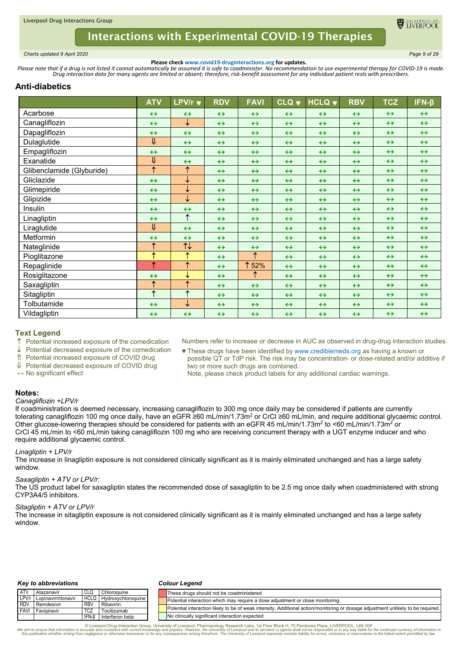

<span id="page-8-0"></span>*Charts updated 9 April 2020 Page 9 of 29*

**Please check www.covid19-druginteractions.org for updates.**<br>.Please note that if a drug is not listed it cannot automatically be assumed it is safe to coadminister. No recommendation to use experimental therapy for COVID-

# **Anti-diabetics**

|                           | <b>ATV</b>              | LPV/r $\blacktriangledown$      | <b>RDV</b>        | <b>FAVI</b>       | <b>CLQ v</b>      | <b>HCLQ v</b>     | <b>RBV</b>        | <b>TCZ</b>        | $IFN-\beta$       |
|---------------------------|-------------------------|---------------------------------|-------------------|-------------------|-------------------|-------------------|-------------------|-------------------|-------------------|
| Acarbose                  | $\leftrightarrow$       | $\leftrightarrow$               | $\leftrightarrow$ | $\leftrightarrow$ | $\leftrightarrow$ | $\leftrightarrow$ | $\leftrightarrow$ | $\leftrightarrow$ | $\leftrightarrow$ |
| Canagliflozin             | $\leftrightarrow$       | ↓                               | $\leftrightarrow$ | $\leftrightarrow$ | $\leftrightarrow$ | $\leftrightarrow$ | $\leftrightarrow$ | $\leftrightarrow$ | $\leftrightarrow$ |
| Dapagliflozin             | $\leftrightarrow$       | $\leftrightarrow$               | $\leftrightarrow$ | $\leftrightarrow$ | $\leftrightarrow$ | $\leftrightarrow$ | $\leftrightarrow$ | $\leftrightarrow$ | $\leftrightarrow$ |
| Dulaglutide               | ⇓                       | $\leftrightarrow$               | $\leftrightarrow$ | $\leftrightarrow$ | $\leftrightarrow$ | $\leftrightarrow$ | $\leftrightarrow$ | $\leftrightarrow$ | $\leftrightarrow$ |
| Empagliflozin             | $\leftrightarrow$       | $\leftrightarrow$               | $\leftrightarrow$ | $\leftrightarrow$ | $\leftrightarrow$ | $\leftrightarrow$ | $\leftrightarrow$ | $\leftrightarrow$ | $\leftrightarrow$ |
| Exanatide                 | $\overline{\mathsf{u}}$ | $\leftrightarrow$               | $\leftrightarrow$ | $\leftrightarrow$ | $\leftrightarrow$ | $\leftrightarrow$ | $\leftrightarrow$ | $\leftrightarrow$ | $\leftrightarrow$ |
| Glibenclamide (Glyburide) | $\uparrow$              | $\overline{\uparrow}$           | $\leftrightarrow$ | $\leftrightarrow$ | $\leftrightarrow$ | $\leftrightarrow$ | $\leftrightarrow$ | $\leftrightarrow$ | $\leftrightarrow$ |
| Gliclazide                | $\leftrightarrow$       | ↓                               | $\leftrightarrow$ | $\leftrightarrow$ | $\leftrightarrow$ | $\leftrightarrow$ | $\leftrightarrow$ | $\leftrightarrow$ | $\leftrightarrow$ |
| Glimepiride               | $\leftrightarrow$       | ↓                               | $\leftrightarrow$ | $\leftrightarrow$ | $\leftrightarrow$ | $\leftrightarrow$ | $\leftrightarrow$ | $\leftrightarrow$ | $\leftrightarrow$ |
| Glipizide                 | $\leftrightarrow$       | ↓                               | $\leftrightarrow$ | $\leftrightarrow$ | $\leftrightarrow$ | $\leftrightarrow$ | $\leftrightarrow$ | $\leftrightarrow$ | $\leftrightarrow$ |
| Insulin                   | $\leftrightarrow$       | $\leftrightarrow$               | $\leftrightarrow$ | $\leftrightarrow$ | $\leftrightarrow$ | $\leftrightarrow$ | $\leftrightarrow$ | $\leftrightarrow$ | $\leftrightarrow$ |
| Linagliptin               | $\leftrightarrow$       | $\uparrow$                      | $\leftrightarrow$ | $\leftrightarrow$ | $\leftrightarrow$ | $\leftrightarrow$ | $\leftrightarrow$ | $\leftrightarrow$ | $\leftrightarrow$ |
| Liraglutide               | $\overline{\mathsf{U}}$ | $\leftrightarrow$               | $\leftrightarrow$ | $\leftrightarrow$ | $\leftrightarrow$ | $\leftrightarrow$ | $\leftrightarrow$ | $\leftrightarrow$ | $\leftrightarrow$ |
| Metformin                 | $\leftrightarrow$       | $\leftrightarrow$               | $\leftrightarrow$ | $\leftrightarrow$ | $\leftrightarrow$ | $\leftrightarrow$ | $\leftrightarrow$ | $\leftrightarrow$ | $\leftrightarrow$ |
| Nateglinide               | $\overline{\uparrow}$   | $\overline{\uparrow\downarrow}$ | $\leftrightarrow$ | $\leftrightarrow$ | $\leftrightarrow$ | $\leftrightarrow$ | $\leftrightarrow$ | $\leftrightarrow$ | $\leftrightarrow$ |
| Pioglitazone              | $\uparrow$              | ↑                               | $\leftrightarrow$ | $\uparrow$        | $\leftrightarrow$ | $\leftrightarrow$ | $\leftrightarrow$ | $\leftrightarrow$ | $\leftrightarrow$ |
| Repaglinide               | $\uparrow$              | $\overline{\uparrow}$           | $\leftrightarrow$ | ↑<br>52%          | $\leftrightarrow$ | $\leftrightarrow$ | $\leftrightarrow$ | $\leftrightarrow$ | $\leftrightarrow$ |
| Rosiglitazone             | $\leftrightarrow$       | ↓                               | $\leftrightarrow$ | ↑                 | $\leftrightarrow$ | $\leftrightarrow$ | $\leftrightarrow$ | $\leftrightarrow$ | $\leftrightarrow$ |
| Saxagliptin               | $\overline{\uparrow}$   | $\overline{\uparrow}$           | $\leftrightarrow$ | $\leftrightarrow$ | $\leftrightarrow$ | $\leftrightarrow$ | $\leftrightarrow$ | $\leftrightarrow$ | $\leftrightarrow$ |
| Sitagliptin               | $\uparrow$              | $\overline{\uparrow}$           | $\leftrightarrow$ | $\leftrightarrow$ | $\leftrightarrow$ | $\leftrightarrow$ | $\leftrightarrow$ | $\leftrightarrow$ | $\leftrightarrow$ |
| Tolbutamide               | $\leftrightarrow$       | ↓                               | $\leftrightarrow$ | $\leftrightarrow$ | $\leftrightarrow$ | $\leftrightarrow$ | $\leftrightarrow$ | $\leftrightarrow$ | $\leftrightarrow$ |
| Vildagliptin              | $\leftrightarrow$       | $\leftrightarrow$               | $\leftrightarrow$ | $\leftrightarrow$ | $\leftrightarrow$ | $\leftrightarrow$ | $\leftrightarrow$ | $\leftrightarrow$ | $\leftrightarrow$ |

# **Text Legend**

Potential increased exposure of the comedication

Numbers refer to increase or decrease in AUC as observed in drug-drug interaction studies.

Potential decreased exposure of the comedication

Potential increased exposure of COVID drug

 Potential decreased exposure of COVID drug **↔** No significant effect

two or more such drugs are combined. Note, please check product labels for any additional cardiac warnings.

♥ These drugs have been identified by www.crediblemeds.org as having a known or possible QT or TdP risk. The risk may be concentration- or dose-related and/or additive if

## **Notes:**

#### *Canagliflozin +LPV/r*

If coadministration is deemed necessary, increasing canagliflozin to 300 mg once daily may be considered if patients are currently tolerating canagliflozin 100 mg once daily, have an eGFR ≥60 mL/min/1.73m2 or CrCl ≥60 mL/min, and require additional glycaemic control. Other glucose-lowering therapies should be considered for patients with an eGFR 45 mL/min/1.73m<sup>2</sup> to <60 mL/min/1.73m<sup>2</sup> or CrCl 45 mL/min to <60 mL/min taking canagliflozin 100 mg who are receiving concurrent therapy with a UGT enzyme inducer and who require additional glycaemic control.

### *Linagliptin + LPV/r*

The increase in linagliptin exposure is not considered clinically significant as it is mainly eliminated unchanged and has a large safety window.

### *Saxagliptin + ATV or LPV/r:*

The US product label for saxagliptin states the recommended dose of saxagliptin to be 2.5 mg once daily when coadministered with strong CYP3A4/5 inhibitors.

### *Sitagliptin + ATV or LPV/r*

The increase in sitagliptin exposure is not considered clinically significant as it is mainly eliminated unchanged and has a large safety window.

#### *Key to abbreviations*

#### *Colour Legend*

| <b>LATV</b>  | Atazanavir          | CLQ         | Chloroquine            | These drugs should not be coadministered                                                                                         |
|--------------|---------------------|-------------|------------------------|----------------------------------------------------------------------------------------------------------------------------------|
| $L$ PV/r     | Lopinavir/ritonavir | <b>HCLO</b> | J   Hvdroxvchloroguine | Potential interaction which may require a dose adjustment or close monitoring.                                                   |
| <b>I RDV</b> | Remdesivir          | <b>RBV</b>  | Ribavirin              |                                                                                                                                  |
| I FAVI       | Favipiravir         | <b>TCZ</b>  | Tocilizumab            | Potential interaction likely to be of weak intensity. Additional action/monitoring or dosage adjustment unlikely to be required. |
|              |                     | IFN-B       | Interferon beta        | No clinically significant interaction expected                                                                                   |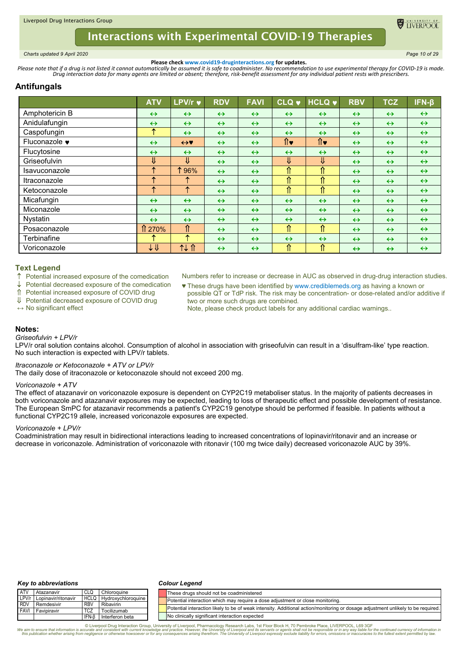

<span id="page-9-0"></span>*Charts updated 9 April 2020 Page 10 of 29*

**Please check www.covid19-druginteractions.org for updates.**<br>.Please note that if a drug is not listed it cannot automatically be assumed it is safe to coadminister. No recommendation to use experimental therapy for COVID-

# **Antifungals**

|                | <b>ATV</b>              | LPV/r v           | <b>RDV</b>        | <b>FAVI</b>       | <b>CLQ v</b>      | <b>HCLQ +</b>     | <b>RBV</b>        | <b>TCZ</b>        | $IFN-\beta$       |
|----------------|-------------------------|-------------------|-------------------|-------------------|-------------------|-------------------|-------------------|-------------------|-------------------|
| Amphotericin B | $\leftrightarrow$       | $\leftrightarrow$ | $\leftrightarrow$ | $\leftrightarrow$ | $\leftrightarrow$ | $\leftrightarrow$ | $\leftrightarrow$ | $\leftrightarrow$ | $\leftrightarrow$ |
| Anidulafungin  | $\leftrightarrow$       | $\leftrightarrow$ | $\leftrightarrow$ | $\leftrightarrow$ | $\leftrightarrow$ | $\leftrightarrow$ | $\leftrightarrow$ | $\leftrightarrow$ | $\leftrightarrow$ |
| Caspofungin    | ᠰ                       | $\leftrightarrow$ | $\leftrightarrow$ | $\leftrightarrow$ | $\leftrightarrow$ | $\leftrightarrow$ | $\leftrightarrow$ | $\leftrightarrow$ | $\leftrightarrow$ |
| Fluconazole •  | $\leftrightarrow$       | $\leftrightarrow$ | $\leftrightarrow$ | $\leftrightarrow$ | ∩∙                | ∩∙                | $\leftrightarrow$ | $\leftrightarrow$ | $\leftrightarrow$ |
| Flucytosine    | $\leftrightarrow$       | $\leftrightarrow$ | $\leftrightarrow$ | $\leftrightarrow$ | $\leftrightarrow$ | $\leftrightarrow$ | $\leftrightarrow$ | $\leftrightarrow$ | $\leftrightarrow$ |
| Griseofulvin   | J.                      | ⇓                 | $\leftrightarrow$ | $\leftrightarrow$ | ⇓                 | ⇓                 | $\leftrightarrow$ | $\leftrightarrow$ | $\leftrightarrow$ |
| Isavuconazole  | ᠰ                       | 196%              | $\leftrightarrow$ | $\leftrightarrow$ | ⇑                 | ⇑                 | $\leftrightarrow$ | $\leftrightarrow$ | $\leftrightarrow$ |
| Itraconazole   | ᠰ                       | ᠰ                 | $\leftrightarrow$ | $\leftrightarrow$ | ⇑                 | ⇑                 | $\leftrightarrow$ | $\leftrightarrow$ | $\leftrightarrow$ |
| Ketoconazole   | ᠰ                       | ↑                 | $\leftrightarrow$ | $\leftrightarrow$ | ⇑                 | ⇑                 | $\leftrightarrow$ | $\leftrightarrow$ | $\leftrightarrow$ |
| Micafungin     | $\leftrightarrow$       | $\leftrightarrow$ | $\leftrightarrow$ | $\leftrightarrow$ | $\leftrightarrow$ | $\leftrightarrow$ | $\leftrightarrow$ | $\leftrightarrow$ | $\leftrightarrow$ |
| Miconazole     | $\leftrightarrow$       | $\leftrightarrow$ | $\leftrightarrow$ | $\leftrightarrow$ | $\leftrightarrow$ | $\leftrightarrow$ | $\leftrightarrow$ | $\leftrightarrow$ | $\leftrightarrow$ |
| Nystatin       | $\leftrightarrow$       | $\leftrightarrow$ | $\leftrightarrow$ | $\leftrightarrow$ | $\leftrightarrow$ | $\leftrightarrow$ | $\leftrightarrow$ | $\leftrightarrow$ | $\leftrightarrow$ |
| Posaconazole   | $\hat{\text{1270\%}}$   | ⇑                 | $\leftrightarrow$ | $\leftrightarrow$ | ⇑                 | ⇑                 | $\leftrightarrow$ | $\leftrightarrow$ | $\leftrightarrow$ |
| Terbinafine    |                         | ᠰ                 | $\leftrightarrow$ | $\leftrightarrow$ | $\leftrightarrow$ | $\leftrightarrow$ | $\leftrightarrow$ | $\leftrightarrow$ | $\leftrightarrow$ |
| Voriconazole   | $\downarrow \Downarrow$ | 14 T              | $\leftrightarrow$ | $\leftrightarrow$ | ⇑                 | ⇑                 | $\leftrightarrow$ | $\leftrightarrow$ | $\leftrightarrow$ |

### **Text Legend**

- ↑ Potential increased exposure of the comedication
- Potential decreased exposure of the comedication
- Potential increased exposure of COVID drug
- Potential decreased exposure of COVID drug
- **↔** No significant effect
- Numbers refer to increase or decrease in AUC as observed in drug-drug interaction studies.
- ♥ These drugs have been identified by www.crediblemeds.org as having a known or possible QT or TdP risk. The risk may be concentration- or dose-related and/or additive if two or more such drugs are combined.
	- Note, please check product labels for any additional cardiac warnings..

## **Notes:**

#### *Griseofulvin + LPV/r*

LPV/r oral solution contains alcohol. Consumption of alcohol in association with griseofulvin can result in a 'disulfram-like' type reaction. No such interaction is expected with LPV/r tablets.

*Itraconazole or Ketoconazole + ATV or LPV/r*

The daily dose of itraconazole or ketoconazole should not exceed 200 mg.

#### *Voriconazole + ATV*

The effect of atazanavir on voriconazole exposure is dependent on CYP2C19 metaboliser status. In the majority of patients decreases in both voriconazole and atazanavir exposures may be expected, leading to loss of therapeutic effect and possible development of resistance. The European SmPC for atazanavir recommends a patient's CYP2C19 genotype should be performed if feasible. In patients without a functional CYP2C19 allele, increased voriconazole exposures are expected.

### *Voriconazole + LPV/r*

Coadministration may result in bidirectional interactions leading to increased concentrations of lopinavir/ritonavir and an increase or decrease in voriconazole. Administration of voriconazole with ritonavir (100 mg twice daily) decreased voriconazole AUC by 39%.

#### *Key to abbreviations*

#### *Colour Legend*

| <b>ATV</b> | Atazanavir                                       |                          | Chloroguine                    | These drugs should not be coadministered                                                                                         |
|------------|--------------------------------------------------|--------------------------|--------------------------------|----------------------------------------------------------------------------------------------------------------------------------|
|            | LPV/r Lopinavir/ritonavir                        |                          | <b>HCLQ Hydroxychloroquine</b> | Potential interaction which may require a dose adiustment or close monitoring.                                                   |
|            | <b>RDV</b> Remdesivir<br><b>FAVI</b> Favipiravir | <b>RBV</b><br><b>TCZ</b> | Ribavirin<br>Tocilizumab       | Potential interaction likely to be of weak intensity. Additional action/monitoring or dosage adjustment unlikely to be required. |
|            |                                                  | IFN-B                    | Interferon beta                | No clinically significant interaction expected                                                                                   |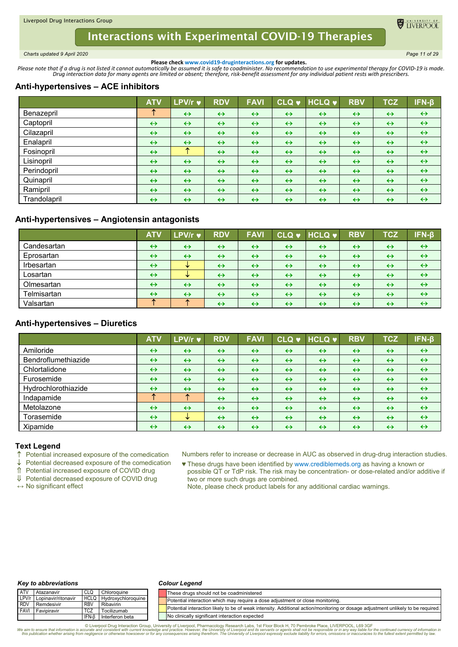<span id="page-10-0"></span>*Charts updated 9 April 2020 Page 11 of 29*

**DE TIVERPOO** 

**Please check www.covid19-druginteractions.org for updates.**<br>.Please note that if a drug is not listed it cannot automatically be assumed it is safe to coadminister. No recommendation to use experimental therapy for COVID-

# **Anti-hypertensives – ACE inhibitors**

|              | <b>ATV</b>        | LPV/r v           | <b>RDV</b>        | <b>FAVI</b>       | <u>lcLQ ♥ </u>    | HCLQ              | <b>RBV</b>        | <b>TCZ</b>        | $IFN-\beta$       |
|--------------|-------------------|-------------------|-------------------|-------------------|-------------------|-------------------|-------------------|-------------------|-------------------|
| Benazepril   |                   | $\leftrightarrow$ | $\leftrightarrow$ | $\leftrightarrow$ | $\leftrightarrow$ | $\leftrightarrow$ | $\leftrightarrow$ | $\leftrightarrow$ | $\leftrightarrow$ |
| Captopril    | $\leftrightarrow$ | $\leftrightarrow$ | $\leftrightarrow$ | $\leftrightarrow$ | $\leftrightarrow$ | $\leftrightarrow$ | $\leftrightarrow$ | $\leftrightarrow$ | $\leftrightarrow$ |
| Cilazapril   | $\leftrightarrow$ | $\leftrightarrow$ | $\leftrightarrow$ | $\leftrightarrow$ | $\leftrightarrow$ | $\leftrightarrow$ | $\leftrightarrow$ | $\leftrightarrow$ | $\leftrightarrow$ |
| Enalapril    | $\leftrightarrow$ | $\leftrightarrow$ | $\leftrightarrow$ | $\leftrightarrow$ | $\leftrightarrow$ | $\leftrightarrow$ | $\leftrightarrow$ | $\leftrightarrow$ | $\leftrightarrow$ |
| Fosinopril   | $\leftrightarrow$ | ≁                 | $\leftrightarrow$ | $\leftrightarrow$ | $\leftrightarrow$ | $\leftrightarrow$ | $\leftrightarrow$ | $\leftrightarrow$ | $\leftrightarrow$ |
| Lisinopril   | $\leftrightarrow$ | $\leftrightarrow$ | $\leftrightarrow$ | $\leftrightarrow$ | $\leftrightarrow$ | $\leftrightarrow$ | $\leftrightarrow$ | $\leftrightarrow$ | $\leftrightarrow$ |
| Perindopril  | $\leftrightarrow$ | $\leftrightarrow$ | $\leftrightarrow$ | $\leftrightarrow$ | $\leftrightarrow$ | $\leftrightarrow$ | $\leftrightarrow$ | $\leftrightarrow$ | $\leftrightarrow$ |
| Quinapril    | $\leftrightarrow$ | $\leftrightarrow$ | $\leftrightarrow$ | $\leftrightarrow$ | $\leftrightarrow$ | $\leftrightarrow$ | $\leftrightarrow$ | $\leftrightarrow$ | $\leftrightarrow$ |
| Ramipril     | $\leftrightarrow$ | $\leftrightarrow$ | $\leftrightarrow$ | $\leftrightarrow$ | $\leftrightarrow$ | $\leftrightarrow$ | $\leftrightarrow$ | $\leftrightarrow$ | $\leftrightarrow$ |
| Trandolapril | $\leftrightarrow$ | $\leftrightarrow$ | $\leftrightarrow$ | $\leftrightarrow$ | $\leftrightarrow$ | $\leftrightarrow$ | $\leftrightarrow$ | $\leftrightarrow$ | $\leftrightarrow$ |

# **Anti-hypertensives – Angiotensin antagonists**

|             | <b>ATV</b>        | LPV/r v           | <b>RDV</b>        | <b>FAVI</b>       | <b>CLQ v</b>      | $HCLQ$ $\blacktriangledown$ | <b>RBV</b>        | <b>TCZ</b>        | $IFN-\beta$       |
|-------------|-------------------|-------------------|-------------------|-------------------|-------------------|-----------------------------|-------------------|-------------------|-------------------|
| Candesartan | $\leftrightarrow$ | $\leftrightarrow$ | $\leftrightarrow$ | $\leftrightarrow$ | $\leftrightarrow$ | $\leftrightarrow$           | $\leftrightarrow$ | $\leftrightarrow$ | $\leftrightarrow$ |
| Eprosartan  | $\leftrightarrow$ | $\leftrightarrow$ | $\leftrightarrow$ | $\leftrightarrow$ | $\leftrightarrow$ | $\leftrightarrow$           | $\leftrightarrow$ | $\leftrightarrow$ | $\leftrightarrow$ |
| Irbesartan  | $\leftrightarrow$ | w                 | $\leftrightarrow$ | $\leftrightarrow$ | $\leftrightarrow$ | $\leftrightarrow$           | $\leftrightarrow$ | $\leftrightarrow$ | $\leftrightarrow$ |
| Losartan    | $\leftrightarrow$ | w                 | $\leftrightarrow$ | $\leftrightarrow$ | $\leftrightarrow$ | $\leftrightarrow$           | $\leftrightarrow$ | $\leftrightarrow$ | $\leftrightarrow$ |
| Olmesartan  | $\leftrightarrow$ | $\leftrightarrow$ | $\leftrightarrow$ | $\leftrightarrow$ | $\leftrightarrow$ | $\leftrightarrow$           | $\leftrightarrow$ | $\leftrightarrow$ | $\leftrightarrow$ |
| Telmisartan | $\leftrightarrow$ | $\leftrightarrow$ | $\leftrightarrow$ | $\leftrightarrow$ | $\leftrightarrow$ | $\leftrightarrow$           | $\leftrightarrow$ | $\leftrightarrow$ | $\leftrightarrow$ |
| Valsartan   |                   |                   | $\leftrightarrow$ | $\leftrightarrow$ | $\leftrightarrow$ | $\leftrightarrow$           | $\leftrightarrow$ | $\leftrightarrow$ | $\leftrightarrow$ |

# **Anti-hypertensives – Diuretics**

|                     | <b>ATV</b>        | LPV/r v           | <b>RDV</b>        | <b>FAVI</b>       |                   | CLQ v HCLQ v      | <b>RBV</b>        | <b>TCZ</b>        | IFN-β             |
|---------------------|-------------------|-------------------|-------------------|-------------------|-------------------|-------------------|-------------------|-------------------|-------------------|
| Amiloride           | $\leftrightarrow$ | $\leftrightarrow$ | $\leftrightarrow$ | $\leftrightarrow$ | $\leftrightarrow$ | $\leftrightarrow$ | $\leftrightarrow$ | $\leftrightarrow$ | $\leftrightarrow$ |
| Bendroflumethiazide | $\leftrightarrow$ | $\leftrightarrow$ | $\leftrightarrow$ | $\leftrightarrow$ | $\leftrightarrow$ | $\leftrightarrow$ | $\leftrightarrow$ | $\leftrightarrow$ | $\leftrightarrow$ |
| Chlortalidone       | $\leftrightarrow$ | $\leftrightarrow$ | $\leftrightarrow$ | $\leftrightarrow$ | $\leftrightarrow$ | $\leftrightarrow$ | $\leftrightarrow$ | $\leftrightarrow$ | $\leftrightarrow$ |
| Furosemide          | $\leftrightarrow$ | $\leftrightarrow$ | $\leftrightarrow$ | $\leftrightarrow$ | $\leftrightarrow$ | $\leftrightarrow$ | $\leftrightarrow$ | $\leftrightarrow$ | $\leftrightarrow$ |
| Hydrochlorothiazide | $\leftrightarrow$ | $\leftrightarrow$ | $\leftrightarrow$ | $\leftrightarrow$ | $\leftrightarrow$ | $\leftrightarrow$ | $\leftrightarrow$ | $\leftrightarrow$ | $\leftrightarrow$ |
| Indapamide          |                   | ́                 | $\leftrightarrow$ | $\leftrightarrow$ | $\leftrightarrow$ | $\leftrightarrow$ | $\leftrightarrow$ | $\leftrightarrow$ | $\leftrightarrow$ |
| Metolazone          | $\leftrightarrow$ | $\leftrightarrow$ | $\leftrightarrow$ | $\leftrightarrow$ | $\leftrightarrow$ | $\leftrightarrow$ | $\leftrightarrow$ | $\leftrightarrow$ | $\leftrightarrow$ |
| Torasemide          | $\leftrightarrow$ | ₩                 | $\leftrightarrow$ | $\leftrightarrow$ | $\leftrightarrow$ | $\leftrightarrow$ | $\leftrightarrow$ | $\leftrightarrow$ | $\leftrightarrow$ |
| Xipamide            | $\leftrightarrow$ | $\leftrightarrow$ | $\leftrightarrow$ | $\leftrightarrow$ | $\leftrightarrow$ | $\leftrightarrow$ | $\leftrightarrow$ | $\leftrightarrow$ | $\leftrightarrow$ |

## **Text Legend**

 $\uparrow$  Potential increased exposure of the comedication  $\downarrow$  Potential decreased exposure of the comedication

Potential decreased exposure of the comedication

Potential increased exposure of COVID drug

↓ Potential decreased exposure of COVID drug

**↔** No significant effect

Numbers refer to increase or decrease in AUC as observed in drug-drug interaction studies.

♥ These drugs have been identified by www.crediblemeds.org as having a known or possible QT or TdP risk. The risk may be concentration- or dose-related and/or additive if two or more such drugs are combined.

Note, please check product labels for any additional cardiac warnings.

#### *Key to abbreviations*

#### *Colour Legend*

| ATV   | Atazanavir                |                 | Chloroquine                    | These drugs should not be coadministered                                                                                         |
|-------|---------------------------|-----------------|--------------------------------|----------------------------------------------------------------------------------------------------------------------------------|
|       | LPV/r Lopinavir/ritonavir |                 | <b>HCLQ</b> Hydroxychloroquine | Potential interaction which may require a dose adjustment or close monitoring.                                                   |
| I RDV | Remdesivir                | RB <sub>V</sub> | Ribavirin                      |                                                                                                                                  |
|       | <b>FAVI Favipiravir</b>   | <b>TCZ</b>      | Tocilizumab                    | Potential interaction likely to be of weak intensity. Additional action/monitoring or dosage adjustment unlikely to be required. |
|       |                           | IFN-B           | Interferon beta                | No clinically significant interaction expected                                                                                   |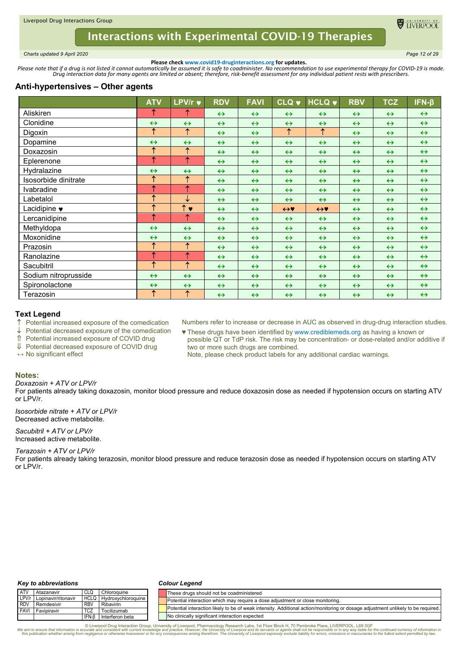<span id="page-11-0"></span>*Charts updated 9 April 2020 Page 12 of 29*

TIVERPOO

**Please check www.covid19-druginteractions.org for updates.**<br>.Please note that if a drug is not listed it cannot automatically be assumed it is safe to coadminister. No recommendation to use experimental therapy for COVID-

## **Anti-hypertensives – Other agents**

|                      | <b>ATV</b>        | LPV/r v               | <b>RDV</b>        | <b>FAVI</b>       | <b>CLQ v</b>      | <b>HCLQ v</b>     | <b>RBV</b>        | <b>TCZ</b>        | $IFN-\beta$       |
|----------------------|-------------------|-----------------------|-------------------|-------------------|-------------------|-------------------|-------------------|-------------------|-------------------|
| Aliskiren            | ↑                 | 1                     | $\leftrightarrow$ | $\leftrightarrow$ | $\leftrightarrow$ | $\leftrightarrow$ | $\leftrightarrow$ | $\leftrightarrow$ | $\leftrightarrow$ |
| Clonidine            | $\leftrightarrow$ | $\leftrightarrow$     | $\leftrightarrow$ | $\leftrightarrow$ | $\leftrightarrow$ | $\leftrightarrow$ | $\leftrightarrow$ | $\leftrightarrow$ | $\leftrightarrow$ |
| Digoxin              | ↑                 | $\uparrow$            | $\leftrightarrow$ | $\leftrightarrow$ | $\uparrow$        | $\uparrow$        | $\leftrightarrow$ | $\leftrightarrow$ | $\leftrightarrow$ |
| Dopamine             | $\leftrightarrow$ | $\leftrightarrow$     | $\leftrightarrow$ | $\leftrightarrow$ | $\leftrightarrow$ | $\leftrightarrow$ | $\leftrightarrow$ | $\leftrightarrow$ | $\leftrightarrow$ |
| Doxazosin            | ↑                 | $\uparrow$            | $\leftrightarrow$ | $\leftrightarrow$ | $\leftrightarrow$ | $\leftrightarrow$ | $\leftrightarrow$ | $\leftrightarrow$ | $\leftrightarrow$ |
| Eplerenone           | $\uparrow$        | $\uparrow$            | $\leftrightarrow$ | $\leftrightarrow$ | $\leftrightarrow$ | $\leftrightarrow$ | $\leftrightarrow$ | $\leftrightarrow$ | $\leftrightarrow$ |
| Hydralazine          | $\leftrightarrow$ | $\leftrightarrow$     | $\leftrightarrow$ | $\leftrightarrow$ | $\leftrightarrow$ | $\leftrightarrow$ | $\leftrightarrow$ | $\leftrightarrow$ | $\leftrightarrow$ |
| Isosorbide dinitrate | ↑                 | ↑                     | $\leftrightarrow$ | $\leftrightarrow$ | $\leftrightarrow$ | $\leftrightarrow$ | $\leftrightarrow$ | $\leftrightarrow$ | $\leftrightarrow$ |
| Ivabradine           | ↑                 | ↑                     | $\leftrightarrow$ | $\leftrightarrow$ | $\leftrightarrow$ | $\leftrightarrow$ | $\leftrightarrow$ | $\leftrightarrow$ | $\leftrightarrow$ |
| Labetalol            | ↑                 | ↓                     | $\leftrightarrow$ | $\leftrightarrow$ | $\leftrightarrow$ | $\leftrightarrow$ | $\leftrightarrow$ | $\leftrightarrow$ | $\leftrightarrow$ |
| Lacidipine ♥         | ↑                 | $\uparrow \bullet$    | $\leftrightarrow$ | $\leftrightarrow$ | $\leftrightarrow$ | $\leftrightarrow$ | $\leftrightarrow$ | $\leftrightarrow$ | $\leftrightarrow$ |
| Lercanidipine        | ↑                 | ↑                     | $\leftrightarrow$ | $\leftrightarrow$ | $\leftrightarrow$ | $\leftrightarrow$ | $\leftrightarrow$ | $\leftrightarrow$ | $\leftrightarrow$ |
| Methyldopa           | $\leftrightarrow$ | $\leftrightarrow$     | $\leftrightarrow$ | $\leftrightarrow$ | $\leftrightarrow$ | $\leftrightarrow$ | $\leftrightarrow$ | $\leftrightarrow$ | $\leftrightarrow$ |
| Moxonidine           | $\leftrightarrow$ | $\leftrightarrow$     | $\leftrightarrow$ | $\leftrightarrow$ | $\leftrightarrow$ | $\leftrightarrow$ | $\leftrightarrow$ | $\leftrightarrow$ | $\leftrightarrow$ |
| Prazosin             | ↑                 | $\uparrow$            | $\leftrightarrow$ | $\leftrightarrow$ | $\leftrightarrow$ | $\leftrightarrow$ | $\leftrightarrow$ | $\leftrightarrow$ | $\leftrightarrow$ |
| Ranolazine           | ↑                 | $\overline{\uparrow}$ | $\leftrightarrow$ | $\leftrightarrow$ | $\leftrightarrow$ | $\leftrightarrow$ | $\leftrightarrow$ | $\leftrightarrow$ | $\leftrightarrow$ |
| Sacubitril           | ↑                 | $\uparrow$            | $\leftrightarrow$ | $\leftrightarrow$ | $\leftrightarrow$ | $\leftrightarrow$ | $\leftrightarrow$ | $\leftrightarrow$ | $\leftrightarrow$ |
| Sodium nitroprusside | $\leftrightarrow$ | $\leftrightarrow$     | $\leftrightarrow$ | $\leftrightarrow$ | $\leftrightarrow$ | $\leftrightarrow$ | $\leftrightarrow$ | $\leftrightarrow$ | $\leftrightarrow$ |
| Spironolactone       | $\leftrightarrow$ | $\leftrightarrow$     | $\leftrightarrow$ | $\leftrightarrow$ | $\leftrightarrow$ | $\leftrightarrow$ | $\leftrightarrow$ | $\leftrightarrow$ | $\leftrightarrow$ |
| Terazosin            | ↑                 | $\uparrow$            | $\leftrightarrow$ | $\leftrightarrow$ | $\leftrightarrow$ | $\leftrightarrow$ | $\leftrightarrow$ | $\leftrightarrow$ | $\leftrightarrow$ |

## **Text Legend**

- $\uparrow$  Potential increased exposure of the comedication
- Potential decreased exposure of the comedication
- Potential increased exposure of COVID drug
- ↓ Potential decreased exposure of COVID drug
- **↔** No significant effect

Numbers refer to increase or decrease in AUC as observed in drug-drug interaction studies. ♥ These drugs have been identified by www.crediblemeds.org as having a known or

possible QT or TdP risk. The risk may be concentration- or dose-related and/or additive if two or more such drugs are combined.

Note, please check product labels for any additional cardiac warnings.

#### **Notes:**

*Doxazosin + ATV or LPV/r*

For patients already taking doxazosin, monitor blood pressure and reduce doxazosin dose as needed if hypotension occurs on starting ATV or LPV/r.

*Isosorbide nitrate + ATV or LPV/r* Decreased active metabolite.

*Sacubitril + ATV or LPV/r* Increased active metabolite.

*Terazosin + ATV or LPV/r*

For patients already taking terazosin, monitor blood pressure and reduce terazosin dose as needed if hypotension occurs on starting ATV or LPV/r.

#### *Key to abbreviations*

#### *Colour Legend*

| <b>ATV</b> | Atazanavir                | CLQ         | Chloroquine               | These drugs should not be coadministered                                                                                         |
|------------|---------------------------|-------------|---------------------------|----------------------------------------------------------------------------------------------------------------------------------|
|            | LPV/r Lopinavir/ritonavir | <b>HCLQ</b> | <b>Hydroxychloroguine</b> | Potential interaction which may require a dose adjustment or close monitoring.                                                   |
|            | RDV Remdesivir            | <b>RBV</b>  | Ribavirin                 | Potential interaction likely to be of weak intensity. Additional action/monitoring or dosage adjustment unlikely to be required. |
|            | <b>FAVI</b> Favipiravir   | <b>TCZ</b>  | Tocilizumab               |                                                                                                                                  |
|            |                           | IFN-B       | Interferon beta           | No clinically significant interaction expected                                                                                   |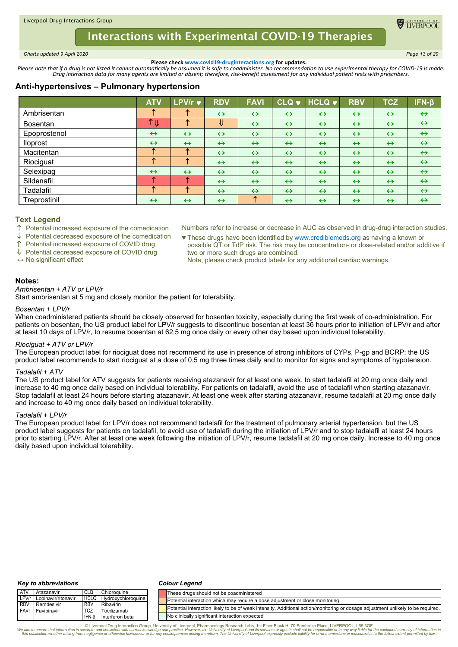<span id="page-12-0"></span>*Charts updated 9 April 2020 Page 13 of 29*

TIVERPOC

**Please check www.covid19-druginteractions.org for updates.**<br>.Please note that if a drug is not listed it cannot automatically be assumed it is safe to coadminister. No recommendation to use experimental therapy for COVID-

# **Anti-hypertensives – Pulmonary hypertension**

|                 | <b>ATV</b>        | <b>LPV/r ♥</b>    | <b>RDV</b>         | <b>FAVI</b>       | <b>CLQ v</b>      | <b>HCLQ v</b>     | <b>RBV</b>        | <b>TCZ</b>        | $IFN-\beta$       |
|-----------------|-------------------|-------------------|--------------------|-------------------|-------------------|-------------------|-------------------|-------------------|-------------------|
| Ambrisentan     |                   |                   | $\leftrightarrow$  | $\leftrightarrow$ | $\leftrightarrow$ | $\leftrightarrow$ | $\leftrightarrow$ | $\leftrightarrow$ | $\leftrightarrow$ |
| <b>Bosentan</b> | Υ<br>V            | æ                 | $\pmb{\Downarrow}$ | $\leftrightarrow$ | $\leftrightarrow$ | $\leftrightarrow$ | $\leftrightarrow$ | $\leftrightarrow$ | $\leftrightarrow$ |
| Epoprostenol    | $\leftrightarrow$ | $\leftrightarrow$ | $\leftrightarrow$  | $\leftrightarrow$ | $\leftrightarrow$ | $\leftrightarrow$ | $\leftrightarrow$ | $\leftrightarrow$ | $\leftrightarrow$ |
| <b>Iloprost</b> | $\leftrightarrow$ | $\leftrightarrow$ | $\leftrightarrow$  | $\leftrightarrow$ | $\leftrightarrow$ | $\leftrightarrow$ | $\leftrightarrow$ | $\leftrightarrow$ | $\leftrightarrow$ |
| Macitentan      | ́                 | ́                 | $\leftrightarrow$  | $\leftrightarrow$ | $\leftrightarrow$ | $\leftrightarrow$ | $\leftrightarrow$ | $\leftrightarrow$ | $\leftrightarrow$ |
| Riociguat       | ́                 | 全                 | $\leftrightarrow$  | $\leftrightarrow$ | $\leftrightarrow$ | $\leftrightarrow$ | $\leftrightarrow$ | $\leftrightarrow$ | $\leftrightarrow$ |
| Selexipag       | $\leftrightarrow$ | $\leftrightarrow$ | $\leftrightarrow$  | $\leftrightarrow$ | $\leftrightarrow$ | $\leftrightarrow$ | $\leftrightarrow$ | $\leftrightarrow$ | $\leftrightarrow$ |
| Sildenafil      |                   | ́∩                | $\leftrightarrow$  | $\leftrightarrow$ | $\leftrightarrow$ | $\leftrightarrow$ | $\leftrightarrow$ | $\leftrightarrow$ | $\leftrightarrow$ |
| Tadalafil       |                   | 不                 | $\leftrightarrow$  | $\leftrightarrow$ | $\leftrightarrow$ | $\leftrightarrow$ | $\leftrightarrow$ | $\leftrightarrow$ | $\leftrightarrow$ |
| Treprostinil    | $\leftrightarrow$ | $\leftrightarrow$ | $\leftrightarrow$  | ᠰ                 | $\leftrightarrow$ | $\leftrightarrow$ | $\leftrightarrow$ | $\leftrightarrow$ | $\leftrightarrow$ |

## **Text Legend**

 $\uparrow$  Potential increased exposure of the comedication

Potential decreased exposure of the comedication

Potential increased exposure of COVID drug

Potential decreased exposure of COVID drug

**↔** No significant effect

Numbers refer to increase or decrease in AUC as observed in drug-drug interaction studies. ♥ These drugs have been identified by www.crediblemeds.org as having a known or

possible QT or TdP risk. The risk may be concentration- or dose-related and/or additive if two or more such drugs are combined.

Note, please check product labels for any additional cardiac warnings.

## **Notes:**

## *Ambrisentan + ATV or LPV/r*

Start ambrisentan at 5 mg and closely monitor the patient for tolerability.

### *Bosentan + LPV/r*

When coadministered patients should be closely observed for bosentan toxicity, especially during the first week of co-administration. For patients on bosentan, the US product label for LPV/r suggests to discontinue bosentan at least 36 hours prior to initiation of LPV/r and after at least 10 days of LPV/r, to resume bosentan at 62.5 mg once daily or every other day based upon individual tolerability.

### *Riociguat + ATV or LPV/r*

The European product label for riociguat does not recommend its use in presence of strong inhibitors of CYPs, P-gp and BCRP; the US product label recommends to start riociguat at a dose of 0.5 mg three times daily and to monitor for signs and symptoms of hypotension.

### *Tadalafil + ATV*

The US product label for ATV suggests for patients receiving atazanavir for at least one week, to start tadalafil at 20 mg once daily and increase to 40 mg once daily based on individual tolerability. For patients on tadalafil, avoid the use of tadalafil when starting atazanavir. Stop tadalafil at least 24 hours before starting atazanavir. At least one week after starting atazanavir, resume tadalafil at 20 mg once daily and increase to 40 mg once daily based on individual tolerability.

#### *Tadalafil + LPV/r*

The European product label for LPV/r does not recommend tadalafil for the treatment of pulmonary arterial hypertension, but the US product label suggests for patients on tadalafil, to avoid use of tadalafil during the initiation of LPV/r and to stop tadalafil at least 24 hours prior to starting LPV/r. After at least one week following the initiation of LPV/r, resume tadalafil at 20 mg once daily. Increase to 40 mg once daily based upon individual tolerability.

#### *Key to abbreviations*

#### *Colour Legend*

| <b>ATV</b> | Atazanavir                | CLQ        | Chloroguine        | These drugs should not be coadministered                                                                                         |
|------------|---------------------------|------------|--------------------|----------------------------------------------------------------------------------------------------------------------------------|
|            | LPV/r Lopinavir/ritonavir | HCLQ       | Hydroxychloroquine | Potential interaction which may require a dose adjustment or close monitoring.                                                   |
| <b>RDV</b> | Remdesivir                | <b>RBV</b> | Ribavirin          |                                                                                                                                  |
|            | <b>FAVI</b> Favipiravir   | <b>TCZ</b> | Tocilizumab        | Potential interaction likely to be of weak intensity. Additional action/monitoring or dosage adjustment unlikely to be required. |
|            |                           | IFN-B      | Interferon beta    | No clinically significant interaction expected                                                                                   |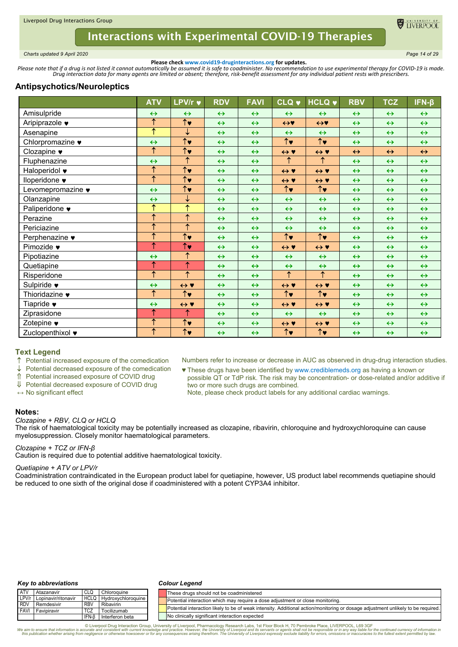

<span id="page-13-0"></span>*Charts updated 9 April 2020 Page 14 of 29*

**Please check www.covid19-druginteractions.org for updates.**<br>.Please note that if a drug is not listed it cannot automatically be assumed it is safe to coadminister. No recommendation to use experimental therapy for COVID-

# **Antipsychotics/Neuroleptics**

|                                   | <b>ATV</b>            | <b>LPV/r ♥</b>                  | <b>RDV</b>        | <b>FAVI</b>       | <b>CLQ v</b>                    | <b>HCLQ v</b>         | <b>RBV</b>        | <b>TCZ</b>        | $IFN-\beta$       |
|-----------------------------------|-----------------------|---------------------------------|-------------------|-------------------|---------------------------------|-----------------------|-------------------|-------------------|-------------------|
| Amisulpride                       | $\leftrightarrow$     | $\leftrightarrow$               | $\leftrightarrow$ | $\leftrightarrow$ | $\leftrightarrow$               | $\leftrightarrow$     | $\leftrightarrow$ | $\leftrightarrow$ | $\leftrightarrow$ |
| Aripiprazole •                    | ↑                     | $\overline{\uparrow}$           | $\leftrightarrow$ | $\leftrightarrow$ | $\leftrightarrow$               | $\leftrightarrow$     | $\leftrightarrow$ | $\leftrightarrow$ | $\leftrightarrow$ |
| Asenapine                         | $\overline{\uparrow}$ | ↓                               | $\leftrightarrow$ | $\leftrightarrow$ | $\leftrightarrow$               | $\leftrightarrow$     | $\leftrightarrow$ | $\leftrightarrow$ | $\leftrightarrow$ |
| Chlorpromazine •                  | $\leftrightarrow$     | $\overline{\uparrow\downarrow}$ | $\leftrightarrow$ | $\leftrightarrow$ | $\overline{\uparrow\downarrow}$ | $\overline{\uparrow}$ | $\leftrightarrow$ | $\leftrightarrow$ | $\leftrightarrow$ |
| Clozapine $\blacktriangledown$    | $\overline{\uparrow}$ | $\overline{\uparrow\downarrow}$ | $\leftrightarrow$ | $\leftrightarrow$ | $\leftrightarrow$ Y             | $\leftrightarrow$ Y   | $\leftrightarrow$ | $\leftrightarrow$ | $\leftrightarrow$ |
| Fluphenazine                      | $\leftrightarrow$     | $\overline{\uparrow}$           | $\leftrightarrow$ | $\leftrightarrow$ | $\overline{\uparrow}$           | $\overline{\uparrow}$ | $\leftrightarrow$ | $\leftrightarrow$ | $\leftrightarrow$ |
| Haloperidol •                     | $\overline{\uparrow}$ | $\uparrow\downarrow$            | $\leftrightarrow$ | $\leftrightarrow$ | $\leftrightarrow$ Y             | $\leftrightarrow$ Y   | $\leftrightarrow$ | $\leftrightarrow$ | $\leftrightarrow$ |
| Iloperidone ♥                     | $\overline{\uparrow}$ | $\uparrow\downarrow$            | $\leftrightarrow$ | $\leftrightarrow$ | $\leftrightarrow$ Y             | $\leftrightarrow$ Y   | $\leftrightarrow$ | $\leftrightarrow$ | $\leftrightarrow$ |
| Levomepromazine •                 | $\leftrightarrow$     | $\uparrow\downarrow$            | $\leftrightarrow$ | $\leftrightarrow$ | $\uparrow\downarrow$            | $\uparrow\downarrow$  | $\leftrightarrow$ | $\leftrightarrow$ | $\leftrightarrow$ |
| Olanzapine                        | $\leftrightarrow$     | ↓                               | $\leftrightarrow$ | $\leftrightarrow$ | $\leftrightarrow$               | $\leftrightarrow$     | $\leftrightarrow$ | $\leftrightarrow$ | $\leftrightarrow$ |
| Paliperidone •                    | ↑                     | ↑                               | $\leftrightarrow$ | $\leftrightarrow$ | $\leftrightarrow$               | $\leftrightarrow$     | $\leftrightarrow$ | $\leftrightarrow$ | $\leftrightarrow$ |
| Perazine                          | $\overline{\uparrow}$ | ↑                               | $\leftrightarrow$ | $\leftrightarrow$ | $\leftrightarrow$               | $\leftrightarrow$     | $\leftrightarrow$ | $\leftrightarrow$ | $\leftrightarrow$ |
| Periciazine                       | $\overline{\uparrow}$ | ↑                               | $\leftrightarrow$ | $\leftrightarrow$ | $\leftrightarrow$               | $\leftrightarrow$     | $\leftrightarrow$ | $\leftrightarrow$ | $\leftrightarrow$ |
| Perphenazine •                    | $\overline{\uparrow}$ | $\uparrow\downarrow$            | $\leftrightarrow$ | $\leftrightarrow$ | $\uparrow\downarrow$            | $\uparrow\downarrow$  | $\leftrightarrow$ | $\leftrightarrow$ | $\leftrightarrow$ |
| Pimozide •                        | ↑                     | $\uparrow\downarrow$            | $\leftrightarrow$ | $\leftrightarrow$ | $\leftrightarrow$ Y             | $\leftrightarrow$ Y   | $\leftrightarrow$ | $\leftrightarrow$ | $\leftrightarrow$ |
| Pipotiazine                       | $\leftrightarrow$     | ↑                               | $\leftrightarrow$ | $\leftrightarrow$ | $\leftrightarrow$               | $\leftrightarrow$     | $\leftrightarrow$ | $\leftrightarrow$ | $\leftrightarrow$ |
| Quetiapine                        | $\overline{\uparrow}$ | ↑                               | $\leftrightarrow$ | $\leftrightarrow$ | $\leftrightarrow$               | $\leftrightarrow$     | $\leftrightarrow$ | $\leftrightarrow$ | $\leftrightarrow$ |
| Risperidone                       | $\overline{\uparrow}$ | ↑                               | $\leftrightarrow$ | $\leftrightarrow$ | $\uparrow$                      | $\uparrow$            | $\leftrightarrow$ | $\leftrightarrow$ | $\leftrightarrow$ |
| Sulpiride $\bullet$               | $\leftrightarrow$     | $\leftrightarrow$ Y             | $\leftrightarrow$ | $\leftrightarrow$ | $\leftrightarrow$ Y             | $\leftrightarrow$ Y   | $\leftrightarrow$ | $\leftrightarrow$ | $\leftrightarrow$ |
| Thioridazine $\blacktriangledown$ | $\uparrow$            | $\uparrow\downarrow$            | $\leftrightarrow$ | $\leftrightarrow$ | $\uparrow\downarrow$            | $\uparrow\downarrow$  | $\leftrightarrow$ | $\leftrightarrow$ | $\leftrightarrow$ |
| Tiapride $\bullet$                | $\leftrightarrow$     | $\leftrightarrow$ Y             | $\leftrightarrow$ | $\leftrightarrow$ | $\leftrightarrow$ Y             | $\leftrightarrow$ Y   | $\leftrightarrow$ | $\leftrightarrow$ | $\leftrightarrow$ |
| Ziprasidone                       | ↑                     | ↑                               | $\leftrightarrow$ | $\leftrightarrow$ | $\leftrightarrow$               | $\leftrightarrow$     | $\leftrightarrow$ | $\leftrightarrow$ | $\leftrightarrow$ |
| Zotepine $\bullet$                | $\overline{\uparrow}$ | $\uparrow$                      | $\leftrightarrow$ | $\leftrightarrow$ | $\leftrightarrow$ Y             | $\leftrightarrow$ Y   | $\leftrightarrow$ | $\leftrightarrow$ | $\leftrightarrow$ |
| Zuclopenthixol ♥                  | $\uparrow$            | $\overline{\uparrow\downarrow}$ | $\leftrightarrow$ | $\leftrightarrow$ | $\uparrow\downarrow$            | $\uparrow\downarrow$  | $\leftrightarrow$ | $\leftrightarrow$ | $\leftrightarrow$ |

### **Text Legend**

 $\uparrow$  Potential increased exposure of the comedication  $\downarrow$  Potential decreased exposure of the comedication

Potential decreased exposure of the comedication

Potential increased exposure of COVID drug

Potential decreased exposure of COVID drug

**↔** No significant effect

Numbers refer to increase or decrease in AUC as observed in drug-drug interaction studies.

- ♥ These drugs have been identified by www.crediblemeds.org as having a known or possible QT or TdP risk. The risk may be concentration- or dose-related and/or additive if two or more such drugs are combined.
	- Note, please check product labels for any additional cardiac warnings.

### **Notes:**

### *Clozapine + RBV, CLQ or HCLQ*

The risk of haematological toxicity may be potentially increased as clozapine, ribavirin, chloroquine and hydroxychloroquine can cause myelosuppression. Closely monitor haematological parameters.

### *Clozapine + TCZ or IFN-β*

Caution is required due to potential additive haematological toxicity.

#### *Quetiapine + ATV or LPV/r*

Coadministration contraindicated in the European product label for quetiapine, however, US product label recommends quetiapine should be reduced to one sixth of the original dose if coadministered with a potent CYP3A4 inhibitor.

### *Key to abbreviations*

#### *Colour Legend*

| <b>ATV</b>   | Atazanavir          | CLQ         | Chloroauine        | These drugs should not be coadministered                                                                                         |
|--------------|---------------------|-------------|--------------------|----------------------------------------------------------------------------------------------------------------------------------|
| LPV/r        | Lopinavir/ritonavir | <b>HCLQ</b> | Hydroxychloroquine | Potential interaction which may require a dose adjustment or close monitoring.                                                   |
| <b>I RDV</b> | Remdesivir          | <b>RBV</b>  | Ribavirin          |                                                                                                                                  |
| <b>FAVI</b>  | Favipiravir         | <b>TCZ</b>  | Tocilizumab        | Potential interaction likely to be of weak intensity. Additional action/monitoring or dosage adjustment unlikely to be required. |
|              |                     | IFN-B       | Interferon beta    | No clinically significant interaction expected                                                                                   |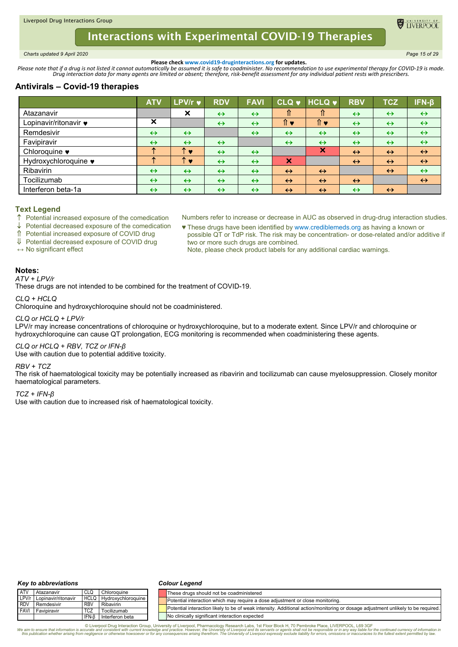<span id="page-14-0"></span>*Charts updated 9 April 2020 Page 15 of 29*

**ELIVERPOC** 

**Please check www.covid19-druginteractions.org for updates.**<br>.Please note that if a drug is not listed it cannot automatically be assumed it is safe to coadminister. No recommendation to use experimental therapy for COVID-

# **Antivirals – Covid-19 therapies**

|                       | <b>ATV</b>        | <b>LPV/r <math>\vee</math></b> | <b>RDV</b>        | <b>FAVI</b>       |                           | CLQ v HCLQ v              | <b>RBV</b>        | <b>TCZ</b>        | $IFN-\beta$       |
|-----------------------|-------------------|--------------------------------|-------------------|-------------------|---------------------------|---------------------------|-------------------|-------------------|-------------------|
| Atazanavir            |                   | $\boldsymbol{\mathsf{x}}$      | $\leftrightarrow$ | $\leftrightarrow$ | ⇑                         | ⇑                         | $\leftrightarrow$ | $\leftrightarrow$ | $\leftrightarrow$ |
| Lopinavir/ritonavir ♥ | X                 |                                | $\leftrightarrow$ | $\leftrightarrow$ | 1ो ♥                      | 1ो ♥                      | $\leftrightarrow$ | $\leftrightarrow$ | $\leftrightarrow$ |
| Remdesivir            | $\leftrightarrow$ | $\leftrightarrow$              |                   | $\leftrightarrow$ | $\leftrightarrow$         | $\leftrightarrow$         | $\leftrightarrow$ | $\leftrightarrow$ | $\leftrightarrow$ |
| Favipiravir           | $\leftrightarrow$ | $\leftrightarrow$              | $\leftrightarrow$ |                   | $\leftrightarrow$         | $\leftrightarrow$         | $\leftrightarrow$ | $\leftrightarrow$ | $\leftrightarrow$ |
| Chloroquine •         |                   | ́<br>$\bullet$                 | $\leftrightarrow$ | $\leftrightarrow$ |                           | $\boldsymbol{\mathsf{x}}$ | $\leftrightarrow$ | $\leftrightarrow$ | $\leftrightarrow$ |
| Hydroxychloroquine ♥  |                   | ́<br>$\bullet$                 | $\leftrightarrow$ | $\leftrightarrow$ | $\boldsymbol{\mathsf{x}}$ |                           | $\leftrightarrow$ | $\leftrightarrow$ | $\leftrightarrow$ |
| Ribavirin             | $\leftrightarrow$ | $\leftrightarrow$              | $\leftrightarrow$ | $\leftrightarrow$ | $\leftrightarrow$         | $\leftrightarrow$         |                   | $\leftrightarrow$ | $\leftrightarrow$ |
| Tocilizumab           | $\leftrightarrow$ | $\leftrightarrow$              | $\leftrightarrow$ | $\leftrightarrow$ | $\leftrightarrow$         | $\leftrightarrow$         | $\leftrightarrow$ |                   | $\leftrightarrow$ |
| Interferon beta-1a    | $\leftrightarrow$ | $\leftrightarrow$              | $\leftrightarrow$ | $\leftrightarrow$ | $\leftrightarrow$         | $\leftrightarrow$         | $\leftrightarrow$ | $\leftrightarrow$ |                   |

## **Text Legend**

 $\uparrow$  Potential increased exposure of the comedication

Potential decreased exposure of the comedication

Potential increased exposure of COVID drug

↓ Potential decreased exposure of COVID drug

**↔** No significant effect

Numbers refer to increase or decrease in AUC as observed in drug-drug interaction studies. ♥ These drugs have been identified by www.crediblemeds.org as having a known or

possible QT or TdP risk. The risk may be concentration- or dose-related and/or additive if two or more such drugs are combined.

Note, please check product labels for any additional cardiac warnings.

# **Notes:**

*ATV + LPV/r*

These drugs are not intended to be combined for the treatment of COVID-19.

*CLQ + HCLQ*

Chloroquine and hydroxychloroquine should not be coadministered.

### *CLQ or HCLQ + LPV/r*

LPV/r may increase concentrations of chloroquine or hydroxychloroquine, but to a moderate extent. Since LPV/r and chloroquine or hydroxychloroquine can cause QT prolongation, ECG monitoring is recommended when coadministering these agents.

### *CLQ or HCLQ + RBV, TCZ or IFN-β*

Use with caution due to potential additive toxicity.

### *RBV + TCZ*

The risk of haematological toxicity may be potentially increased as ribavirin and tocilizumab can cause myelosuppression. Closely monitor haematological parameters.

#### *TCZ + IFN-β*

Use with caution due to increased risk of haematological toxicity.

#### *Key to abbreviations*

#### *Colour Legend*

| <b>ATV</b> | Atazanavir                | CLQ        | Chloroguine        | These drugs should not be coadministered                                                                                         |
|------------|---------------------------|------------|--------------------|----------------------------------------------------------------------------------------------------------------------------------|
|            | LPV/r Lopinavir/ritonavir | HCLQ       | Hydroxychloroquine | Potential interaction which may require a dose adjustment or close monitoring.                                                   |
| <b>RDV</b> | Remdesivir                | <b>RBV</b> | Ribavirin          |                                                                                                                                  |
|            | <b>FAVI</b> Favipiravir   | <b>TCZ</b> | Tocilizumab        | Potential interaction likely to be of weak intensity. Additional action/monitoring or dosage adjustment unlikely to be required. |
|            |                           | IFN-B      | Interferon beta    | No clinically significant interaction expected                                                                                   |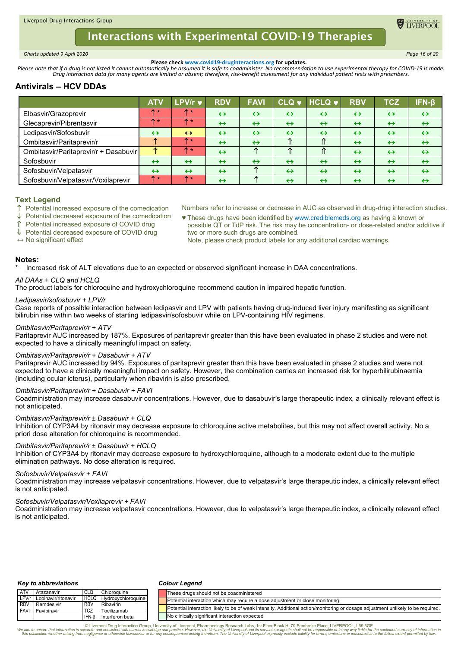<span id="page-15-0"></span>*Charts updated 9 April 2020 Page 16 of 29*

**ELIVERPOOL** 

**Please check www.covid19-druginteractions.org for updates.**<br>.Please note that if a drug is not listed it cannot automatically be assumed it is safe to coadminister. No recommendation to use experimental therapy for COVID-

# **Antivirals – HCV DDAs**

|                                       | <b>ATV</b>        | <b>LPV/r <math>\vee</math></b> | <b>RDV</b>        | <b>FAVI</b>       | CLQ v             | $HCLQ$ $\blacktriangleright$ | <b>RBV</b>        | <b>TCZ</b>        | ΊFN-β             |
|---------------------------------------|-------------------|--------------------------------|-------------------|-------------------|-------------------|------------------------------|-------------------|-------------------|-------------------|
| Elbasvir/Grazoprevir                  |                   | ↑*                             | $\leftrightarrow$ | $\leftrightarrow$ | $\leftrightarrow$ | $\leftrightarrow$            | $\leftrightarrow$ | $\leftrightarrow$ | $\leftrightarrow$ |
| Glecaprevir/Pibrentasvir              | m                 | $+$                            | $\leftrightarrow$ | $\leftrightarrow$ | $\leftrightarrow$ | $\leftrightarrow$            | $\leftrightarrow$ | $\leftrightarrow$ | $\leftrightarrow$ |
| Ledipasvir/Sofosbuvir                 | $\leftrightarrow$ | $\leftrightarrow$              | $\leftrightarrow$ | $\leftrightarrow$ | $\leftrightarrow$ | $\leftrightarrow$            | $\leftrightarrow$ | $\leftrightarrow$ | $\leftrightarrow$ |
| Ombitasvir/Paritaprevir/r             |                   | $+$                            | $\leftrightarrow$ | $\leftrightarrow$ |                   |                              | $\leftrightarrow$ | $\leftrightarrow$ | $\leftrightarrow$ |
| Ombitasvir/Paritaprevir/r + Dasabuvir |                   | $+$                            | $\leftrightarrow$ |                   |                   |                              | $\leftrightarrow$ | $\leftrightarrow$ | $\leftrightarrow$ |
| Sofosbuvir                            | $\leftrightarrow$ | $\leftrightarrow$              | $\leftrightarrow$ | $\leftrightarrow$ | $\leftrightarrow$ | $\leftrightarrow$            | $\leftrightarrow$ | $\leftrightarrow$ | $\leftrightarrow$ |
| Sofosbuvir/Velpatasvir                | $\leftrightarrow$ | $\leftrightarrow$              | $\leftrightarrow$ |                   | $\leftrightarrow$ | $\leftrightarrow$            | $\leftrightarrow$ | $\leftrightarrow$ | $\leftrightarrow$ |
| Sofosbuvir/Velpatasvir/Voxilaprevir   | ↑∗                | ↑∗                             | $\leftrightarrow$ |                   | $\leftrightarrow$ | $\leftrightarrow$            | $\leftrightarrow$ | $\leftrightarrow$ | $\leftrightarrow$ |

## **Text Legend**

- $\uparrow$  Potential increased exposure of the comedication
- Potential decreased exposure of the comedication
- Potential increased exposure of COVID drug
- ↓ Potential decreased exposure of COVID drug
- ♥ These drugs have been identified by www.crediblemeds.org as having a known or possible QT or TdP risk. The risk may be concentration- or dose-related and/or additive if

Numbers refer to increase or decrease in AUC as observed in drug-drug interaction studies.

- 
- **↔** No significant effect

# two or more such drugs are combined. Note, please check product labels for any additional cardiac warnings.

### **Notes:**

Increased risk of ALT elevations due to an expected or observed significant increase in DAA concentrations.

### *All DAAs + CLQ and HCLQ*

The product labels for chloroquine and hydroxychloroquine recommend caution in impaired hepatic function.

### *Ledipasvir/sofosbuvir + LPV/r*

Case reports of possible interaction between ledipasvir and LPV with patients having drug-induced liver injury manifesting as significant bilirubin rise within two weeks of starting ledipasvir/sofosbuvir while on LPV-containing HIV regimens.

### *Ombitasvir/Paritaprevir/r + ATV*

Paritaprevir AUC increased by 187%. Exposures of paritaprevir greater than this have been evaluated in phase 2 studies and were not expected to have a clinically meaningful impact on safety.

### *Ombitasvir/Paritaprevir/r + Dasabuvir + ATV*

Paritaprevir AUC increased by 94%. Exposures of paritaprevir greater than this have been evaluated in phase 2 studies and were not expected to have a clinically meaningful impact on safety. However, the combination carries an increased risk for hyperbilirubinaemia (including ocular icterus), particularly when ribavirin is also prescribed.

### *Ombitasvir/Paritaprevir/r + Dasabuvir + FAVI*

Coadministration may increase dasabuvir concentrations. However, due to dasabuvir's large therapeutic index, a clinically relevant effect is not anticipated.

### *Ombitasvir/Paritaprevir/r ± Dasabuvir + CLQ*

Inhibition of CYP3A4 by ritonavir may decrease exposure to chloroquine active metabolites, but this may not affect overall activity. No a priori dose alteration for chloroquine is recommended.

### *Ombitasvir/Paritaprevir/r ± Dasabuvir + HCLQ*

Inhibition of CYP3A4 by ritonavir may decrease exposure to hydroxychloroquine, although to a moderate extent due to the multiple elimination pathways. No dose alteration is required.

### *Sofosbuvir/Velpatasvir + FAVI*

Coadministration may increase velpatasvir concentrations. However, due to velpatasvir's large therapeutic index, a clinically relevant effect is not anticipated.

### *Sofosbuvir/Velpatasvir/Voxilaprevir + FAVI*

Coadministration may increase velpatasvir concentrations. However, due to velpatasvir's large therapeutic index, a clinically relevant effect is not anticipated.

#### *Key to abbreviations*

#### *Colour Legend*

| <b>ATV</b>  | Atazanavir          | CLC        | Chloroquine                    | These drugs should not be coadministered                                                                                         |
|-------------|---------------------|------------|--------------------------------|----------------------------------------------------------------------------------------------------------------------------------|
| LPV/r       | Lopinavir/ritonavir |            | <b>HCLQ Hydroxychloroquine</b> | Potential interaction which may require a dose adjustment or close monitoring.                                                   |
| <b>RDV</b>  | Remdesivir          | <b>RBV</b> | Ribavirin                      |                                                                                                                                  |
| <b>FAVI</b> | Favipiravir         |            | Tocilizumab                    | Potential interaction likely to be of weak intensity. Additional action/monitoring or dosage adjustment unlikely to be required. |
|             |                     | IFN-B      | Interferon beta                | No clinically significant interaction expected                                                                                   |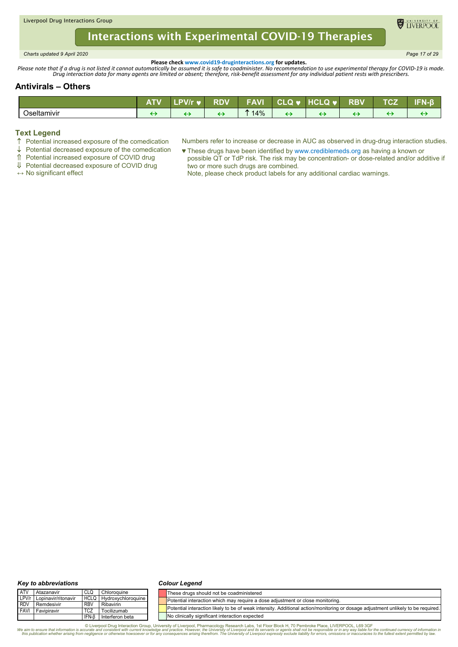<span id="page-16-0"></span>*Charts updated 9 April 2020 Page 17 of 29*

**DE TIVERPOOL** 

**Please check www.covid19-druginteractions.org for updates.**<br>.Please note that if a drug is not listed it cannot automatically be assumed it is safe to coadminister. No recommendation to use experimental therapy for COVID-

# **Antivirals – Others**

|             | 20 M 20 20<br>AII | <b>PVIrv</b> | RDV | <b>FAVI</b> | <b>CLQ V</b> | <b>HCLQ</b><br>, , | <b>RBV</b> | -^- | EEN A<br>' o |
|-------------|-------------------|--------------|-----|-------------|--------------|--------------------|------------|-----|--------------|
| Oseltamivir |                   |              |     | 14%         |              |                    |            |     |              |

# **Text Legend**

- Potential increased exposure of the comedication
- $\downarrow$  Potential decreased exposure of the comedication

Potential increased exposure of COVID drug

- Numbers refer to increase or decrease in AUC as observed in drug-drug interaction studies.
	- ♥ These drugs have been identified by www.crediblemeds.org as having a known or possible QT or TdP risk. The risk may be concentration- or dose-related and/or additive if two or more such drugs are combined.
	- Note, please check product labels for any additional cardiac warnings.
- Potential decreased exposure of COVID drug
- **↔** No significant effect

#### *Key to abbreviations*

#### *Colour Legend*

| <b>ATV</b>  | Atazanavir          | CLQ         | Chloroquine        | lThese druas should not be coadministered                                                                                        |
|-------------|---------------------|-------------|--------------------|----------------------------------------------------------------------------------------------------------------------------------|
| LPV/r       | Lopinavir/ritonavir | <b>HCLQ</b> | Hydroxychloroquine | Potential interaction which may require a dose adjustment or close monitoring.                                                   |
| <b>RDV</b>  | Remdesivir          | <b>RBV</b>  | Ribavirin          |                                                                                                                                  |
| <b>FAVI</b> | Favipiravir         |             | Tocilizumab        | Potential interaction likely to be of weak intensity. Additional action/monitoring or dosage adjustment unlikely to be required. |
|             |                     | IFN-f       | Interferon beta    | No clinically significant interaction expected                                                                                   |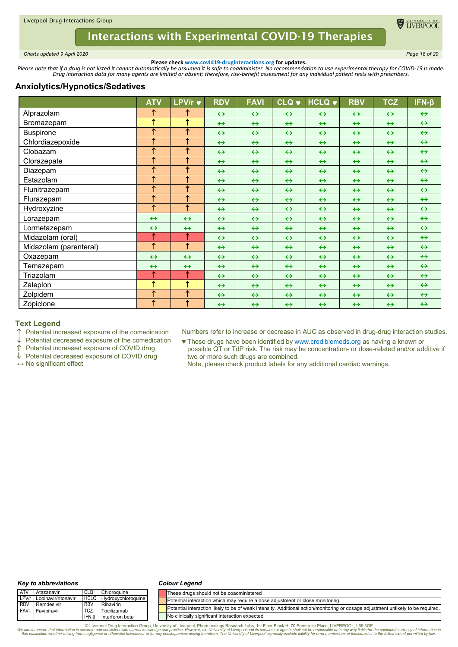

<span id="page-17-0"></span>*Charts updated 9 April 2020 Page 18 of 29*

**Please check www.covid19-druginteractions.org for updates.**<br>.Please note that if a drug is not listed it cannot automatically be assumed it is safe to coadminister. No recommendation to use experimental therapy for COVID-

# **Anxiolytics/Hypnotics/Sedatives**

|                        | <b>ATV</b>            | LPV/r $\blacktriangledown$ | <b>RDV</b>        | <b>FAVI</b>       | <b>CLQ v</b>      | <b>HCLQ v</b>     | <b>RBV</b>        | <b>TCZ</b>        | $IFN-\beta$       |
|------------------------|-----------------------|----------------------------|-------------------|-------------------|-------------------|-------------------|-------------------|-------------------|-------------------|
| Alprazolam             | ↑                     | ↑                          | $\leftrightarrow$ | $\leftrightarrow$ | $\leftrightarrow$ | $\leftrightarrow$ | $\leftrightarrow$ | $\leftrightarrow$ | $\leftrightarrow$ |
| Bromazepam             | ᠰ                     | $\uparrow$                 | $\leftrightarrow$ | $\leftrightarrow$ | $\leftrightarrow$ | $\leftrightarrow$ | $\leftrightarrow$ | $\leftrightarrow$ | $\leftrightarrow$ |
| <b>Buspirone</b>       | ↑                     | $\uparrow$                 | $\leftrightarrow$ | $\leftrightarrow$ | $\leftrightarrow$ | $\leftrightarrow$ | $\leftrightarrow$ | $\leftrightarrow$ | $\leftrightarrow$ |
| Chlordiazepoxide       | 个                     | $\uparrow$                 | $\leftrightarrow$ | $\leftrightarrow$ | $\leftrightarrow$ | $\leftrightarrow$ | $\leftrightarrow$ | $\leftrightarrow$ | $\leftrightarrow$ |
| Clobazam               | ↑                     | $\uparrow$                 | $\leftrightarrow$ | $\leftrightarrow$ | $\leftrightarrow$ | $\leftrightarrow$ | $\leftrightarrow$ | $\leftrightarrow$ | $\leftrightarrow$ |
| Clorazepate            | 个                     | $\uparrow$                 | $\leftrightarrow$ | $\leftrightarrow$ | $\leftrightarrow$ | $\leftrightarrow$ | $\leftrightarrow$ | $\leftrightarrow$ | $\leftrightarrow$ |
| Diazepam               | 个                     | ↑                          | $\leftrightarrow$ | $\leftrightarrow$ | $\leftrightarrow$ | $\leftrightarrow$ | $\leftrightarrow$ | $\leftrightarrow$ | $\leftrightarrow$ |
| Estazolam              | ↑                     | $\uparrow$                 | $\leftrightarrow$ | $\leftrightarrow$ | $\leftrightarrow$ | $\leftrightarrow$ | $\leftrightarrow$ | $\leftrightarrow$ | $\leftrightarrow$ |
| Flunitrazepam          | $\uparrow$            | $\uparrow$                 | $\leftrightarrow$ | $\leftrightarrow$ | $\leftrightarrow$ | $\leftrightarrow$ | $\leftrightarrow$ | $\leftrightarrow$ | $\leftrightarrow$ |
| Flurazepam             | ↑                     | $\uparrow$                 | $\leftrightarrow$ | $\leftrightarrow$ | $\leftrightarrow$ | $\leftrightarrow$ | $\leftrightarrow$ | $\leftrightarrow$ | $\leftrightarrow$ |
| Hydroxyzine            | 个                     | $\uparrow$                 | $\leftrightarrow$ | $\leftrightarrow$ | $\leftrightarrow$ | $\leftrightarrow$ | $\leftrightarrow$ | $\leftrightarrow$ | $\leftrightarrow$ |
| Lorazepam              | $\leftrightarrow$     | $\leftrightarrow$          | $\leftrightarrow$ | $\leftrightarrow$ | $\leftrightarrow$ | $\leftrightarrow$ | $\leftrightarrow$ | $\leftrightarrow$ | $\leftrightarrow$ |
| Lormetazepam           | $\leftrightarrow$     | $\leftrightarrow$          | $\leftrightarrow$ | $\leftrightarrow$ | $\leftrightarrow$ | $\leftrightarrow$ | $\leftrightarrow$ | $\leftrightarrow$ | $\leftrightarrow$ |
| Midazolam (oral)       | ↑                     | ↑                          | $\leftrightarrow$ | $\leftrightarrow$ | $\leftrightarrow$ | $\leftrightarrow$ | $\leftrightarrow$ | $\leftrightarrow$ | $\leftrightarrow$ |
| Midazolam (parenteral) | $\uparrow$            | $\uparrow$                 | $\leftrightarrow$ | $\leftrightarrow$ | $\leftrightarrow$ | $\leftrightarrow$ | $\leftrightarrow$ | $\leftrightarrow$ | $\leftrightarrow$ |
| Oxazepam               | $\leftrightarrow$     | $\leftrightarrow$          | $\leftrightarrow$ | $\leftrightarrow$ | $\leftrightarrow$ | $\leftrightarrow$ | $\leftrightarrow$ | $\leftrightarrow$ | $\leftrightarrow$ |
| Temazepam              | $\leftrightarrow$     | $\leftrightarrow$          | $\leftrightarrow$ | $\leftrightarrow$ | $\leftrightarrow$ | $\leftrightarrow$ | $\leftrightarrow$ | $\leftrightarrow$ | $\leftrightarrow$ |
| Triazolam              | ↑                     | $\uparrow$                 | $\leftrightarrow$ | $\leftrightarrow$ | $\leftrightarrow$ | $\leftrightarrow$ | $\leftrightarrow$ | $\leftrightarrow$ | $\leftrightarrow$ |
| Zaleplon               | 个                     | ↑                          | $\leftrightarrow$ | $\leftrightarrow$ | $\leftrightarrow$ | $\leftrightarrow$ | $\leftrightarrow$ | $\leftrightarrow$ | $\leftrightarrow$ |
| Zolpidem               | $\overline{\uparrow}$ | $\overline{\uparrow}$      | $\leftrightarrow$ | $\leftrightarrow$ | $\leftrightarrow$ | $\leftrightarrow$ | $\leftrightarrow$ | $\leftrightarrow$ | $\leftrightarrow$ |
| Zopiclone              | ↑                     | $\uparrow$                 | $\leftrightarrow$ | $\leftrightarrow$ | $\leftrightarrow$ | $\leftrightarrow$ | $\leftrightarrow$ | $\leftrightarrow$ | $\leftrightarrow$ |

### **Text Legend**

 $\uparrow$  Potential increased exposure of the comedication  $\downarrow$  Potential decreased exposure of the comedication

 Potential decreased exposure of the comedication Potential increased exposure of COVID drug

Numbers refer to increase or decrease in AUC as observed in drug-drug interaction studies.

♥ These drugs have been identified by www.crediblemeds.org as having a known or possible QT or TdP risk. The risk may be concentration- or dose-related and/or additive if two or more such drugs are combined.

Note, please check product labels for any additional cardiac warnings.

Potential decreased exposure of COVID drug

**↔** No significant effect

#### *Key to abbreviations*

#### *Colour Legend*

| ATV   | Atazanavir                |              | Chloroquine             | These drugs should not be coadministered                                                                                         |
|-------|---------------------------|--------------|-------------------------|----------------------------------------------------------------------------------------------------------------------------------|
|       | LPV/r Lopinavir/ritonavir |              | HCLQ Hydroxychloroquine | Potential interaction which may require a dose adiustment or close monitoring.                                                   |
| I RDV | Remdesivir                | RBV          | Ribavirin               |                                                                                                                                  |
|       | <b>FAVI</b> Favipiravir   | TCZ          | Tocilizumab             | Potential interaction likely to be of weak intensity. Additional action/monitoring or dosage adjustment unlikely to be required. |
|       |                           | <b>IFN-B</b> | Interferon beta         | No clinically significant interaction expected                                                                                   |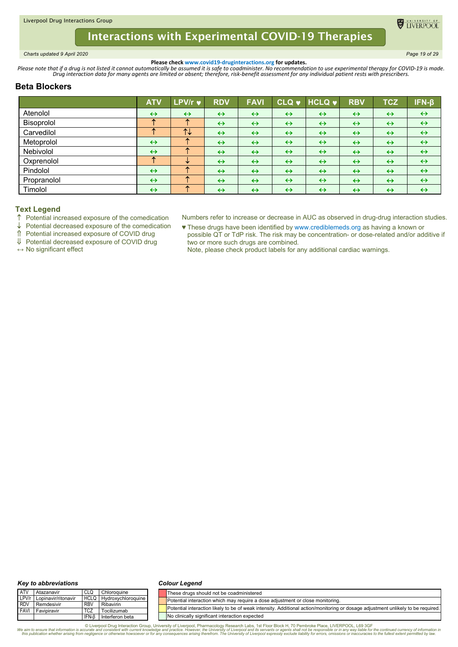<span id="page-18-0"></span>*Charts updated 9 April 2020 Page 19 of 29*

**DE TIVERPOO** 

**Please check www.covid19-druginteractions.org for updates.**<br>.Please note that if a drug is not listed it cannot automatically be assumed it is safe to coadminister. No recommendation to use experimental therapy for COVID-

# **Beta Blockers**

|             | <b>ATV</b>        | LPV/r v           | <b>RDV</b>        | <b>FAVI</b>       |                   | CLQ v HCLQ v      | <b>RBV</b>        | <b>TCZ</b>        | IFN-β             |
|-------------|-------------------|-------------------|-------------------|-------------------|-------------------|-------------------|-------------------|-------------------|-------------------|
| Atenolol    | $\leftrightarrow$ | $\leftrightarrow$ | $\leftrightarrow$ | $\leftrightarrow$ | $\leftrightarrow$ | $\leftrightarrow$ | $\leftrightarrow$ | $\leftrightarrow$ | $\leftrightarrow$ |
| Bisoprolol  | 灬                 | 不                 | $\leftrightarrow$ | $\leftrightarrow$ | $\leftrightarrow$ | $\leftrightarrow$ | $\leftrightarrow$ | $\leftrightarrow$ | $\leftrightarrow$ |
| Carvedilol  |                   | $T+$              | $\leftrightarrow$ | $\leftrightarrow$ | $\leftrightarrow$ | $\leftrightarrow$ | $\leftrightarrow$ | $\leftrightarrow$ | $\leftrightarrow$ |
| Metoprolol  | $\leftrightarrow$ | 灬                 | $\leftrightarrow$ | $\leftrightarrow$ | $\leftrightarrow$ | $\leftrightarrow$ | $\leftrightarrow$ | $\leftrightarrow$ | $\leftrightarrow$ |
| Nebivolol   | $\leftrightarrow$ | $\sim$            | $\leftrightarrow$ | $\leftrightarrow$ | $\leftrightarrow$ | $\leftrightarrow$ | $\leftrightarrow$ | $\leftrightarrow$ | $\leftrightarrow$ |
| Oxprenolol  | 灬                 | v                 | $\leftrightarrow$ | $\leftrightarrow$ | $\leftrightarrow$ | $\leftrightarrow$ | $\leftrightarrow$ | $\leftrightarrow$ | $\leftrightarrow$ |
| Pindolol    | $\leftrightarrow$ | 灬                 | $\leftrightarrow$ | $\leftrightarrow$ | $\leftrightarrow$ | $\leftrightarrow$ | $\leftrightarrow$ | $\leftrightarrow$ | $\leftrightarrow$ |
| Propranolol | $\leftrightarrow$ |                   | $\leftrightarrow$ | $\leftrightarrow$ | $\leftrightarrow$ | $\leftrightarrow$ | $\leftrightarrow$ | $\leftrightarrow$ | $\leftrightarrow$ |
| Timolol     | $\leftrightarrow$ |                   | $\leftrightarrow$ | $\leftrightarrow$ | $\leftrightarrow$ | $\leftrightarrow$ | $\leftrightarrow$ | $\leftrightarrow$ | $\leftrightarrow$ |

## **Text Legend**

 $\uparrow$  Potential increased exposure of the comedication

 $\downarrow$  Potential decreased exposure of the comedication

Potential increased exposure of COVID drug

Potential decreased exposure of COVID drug

**↔** No significant effect

Numbers refer to increase or decrease in AUC as observed in drug-drug interaction studies.

♥ These drugs have been identified by www.crediblemeds.org as having a known or possible QT or TdP risk. The risk may be concentration- or dose-related and/or additive if two or more such drugs are combined.

Note, please check product labels for any additional cardiac warnings.

#### *Key to abbreviations*

#### *Colour Legend*

| <b>ATV</b>  | Atazanavir                | CLQ         | Chloroquine        | These drugs should not be coadministered                                                                                         |
|-------------|---------------------------|-------------|--------------------|----------------------------------------------------------------------------------------------------------------------------------|
|             | LPV/r Lopinavir/ritonavir | <b>HCLQ</b> | Hydroxychloroquine | Potential interaction which may require a dose adjustment or close monitoring.                                                   |
| <b>RDV</b>  | Remdesivir                | <b>RBV</b>  | Ribavirin          |                                                                                                                                  |
| <b>FAVI</b> | Favipiravir               | <b>TCZ</b>  | Tocilizumab        | Potential interaction likely to be of weak intensity. Additional action/monitoring or dosage adjustment unlikely to be required. |
|             |                           | IFN-B       | Interferon beta    | No clinically significant interaction expected                                                                                   |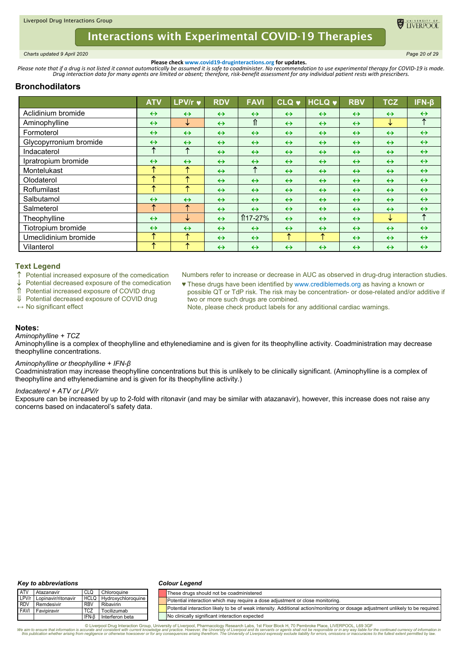

<span id="page-19-0"></span>*Charts updated 9 April 2020 Page 20 of 29*

**ELIVERPOO** 

**Please check www.covid19-druginteractions.org for updates.**<br>.Please note that if a drug is not listed it cannot automatically be assumed it is safe to coadminister. No recommendation to use experimental therapy for COVID-

# **Bronchodilators**

|                        | <b>ATV</b>        | LPV/r v           | <b>RDV</b>        | <b>FAVI</b>       | <b>CLQ v</b>      | <b>HCLQ</b>       | <b>RBV</b>        | <b>TCZ</b>        | $IFN-\beta$       |
|------------------------|-------------------|-------------------|-------------------|-------------------|-------------------|-------------------|-------------------|-------------------|-------------------|
| Aclidinium bromide     | $\leftrightarrow$ | $\leftrightarrow$ | $\leftrightarrow$ | $\leftrightarrow$ | $\leftrightarrow$ | $\leftrightarrow$ | $\leftrightarrow$ | $\leftrightarrow$ | $\leftrightarrow$ |
| Aminophylline          | $\leftrightarrow$ | ↓                 | $\leftrightarrow$ | ⇑                 | $\leftrightarrow$ | $\leftrightarrow$ | $\leftrightarrow$ | ↓                 | ↑                 |
| Formoterol             | $\leftrightarrow$ | $\leftrightarrow$ | $\leftrightarrow$ | $\leftrightarrow$ | $\leftrightarrow$ | $\leftrightarrow$ | $\leftrightarrow$ | $\leftrightarrow$ | $\leftrightarrow$ |
| Glycopyrronium bromide | $\leftrightarrow$ | $\leftrightarrow$ | $\leftrightarrow$ | $\leftrightarrow$ | $\leftrightarrow$ | $\leftrightarrow$ | $\leftrightarrow$ | $\leftrightarrow$ | $\leftrightarrow$ |
| Indacaterol            | ᠰ                 | ↑                 | $\leftrightarrow$ | $\leftrightarrow$ | $\leftrightarrow$ | $\leftrightarrow$ | $\leftrightarrow$ | $\leftrightarrow$ | $\leftrightarrow$ |
| Ipratropium bromide    | $\leftrightarrow$ | $\leftrightarrow$ | $\leftrightarrow$ | $\leftrightarrow$ | $\leftrightarrow$ | $\leftrightarrow$ | $\leftrightarrow$ | $\leftrightarrow$ | $\leftrightarrow$ |
| Montelukast            | ́                 | ↑                 | $\leftrightarrow$ | ↑                 | $\leftrightarrow$ | $\leftrightarrow$ | $\leftrightarrow$ | $\leftrightarrow$ | $\leftrightarrow$ |
| Olodaterol             | ́                 | ↑                 | $\leftrightarrow$ | $\leftrightarrow$ | $\leftrightarrow$ | $\leftrightarrow$ | $\leftrightarrow$ | $\leftrightarrow$ | $\leftrightarrow$ |
| Roflumilast            | ᠰ                 | ↑                 | $\leftrightarrow$ | $\leftrightarrow$ | $\leftrightarrow$ | $\leftrightarrow$ | $\leftrightarrow$ | $\leftrightarrow$ | $\leftrightarrow$ |
| Salbutamol             | $\leftrightarrow$ | $\leftrightarrow$ | $\leftrightarrow$ | $\leftrightarrow$ | $\leftrightarrow$ | $\leftrightarrow$ | $\leftrightarrow$ | $\leftrightarrow$ | $\leftrightarrow$ |
| Salmeterol             | ᠰ                 | ↑                 | $\leftrightarrow$ | $\leftrightarrow$ | $\leftrightarrow$ | $\leftrightarrow$ | $\leftrightarrow$ | $\leftrightarrow$ | $\leftrightarrow$ |
| Theophylline           | $\leftrightarrow$ | ↓                 | $\leftrightarrow$ | $$17-27\%$        | $\leftrightarrow$ | $\leftrightarrow$ | $\leftrightarrow$ | ↓                 | ↑                 |
| Tiotropium bromide     | $\leftrightarrow$ | $\leftrightarrow$ | $\leftrightarrow$ | $\leftrightarrow$ | $\leftrightarrow$ | $\leftrightarrow$ | $\leftrightarrow$ | $\leftrightarrow$ | $\leftrightarrow$ |
| Umeclidinium bromide   | ᠰ                 | ↑                 | $\leftrightarrow$ | $\leftrightarrow$ | ᠰ                 | ↑                 | $\leftrightarrow$ | $\leftrightarrow$ | $\leftrightarrow$ |
| Vilanterol             | ́                 | 个                 | $\leftrightarrow$ | $\leftrightarrow$ | $\leftrightarrow$ | $\leftrightarrow$ | $\leftrightarrow$ | $\leftrightarrow$ | $\leftrightarrow$ |

## **Text Legend**

- $\uparrow$  Potential increased exposure of the comedication  $\downarrow$  Potential decreased exposure of the comedication
- Potential decreased exposure of the comedication
- Potential increased exposure of COVID drug

Numbers refer to increase or decrease in AUC as observed in drug-drug interaction studies.

- ♥ These drugs have been identified by www.crediblemeds.org as having a known or
- Potential decreased exposure of COVID drug
- **↔** No significant effect
- possible QT or TdP risk. The risk may be concentration- or dose-related and/or additive if two or more such drugs are combined.
- Note, please check product labels for any additional cardiac warnings.

## **Notes:**

### *Aminophylline + TCZ*

Aminophylline is a complex of theophylline and ethylenediamine and is given for its theophylline activity. Coadministration may decrease theophylline concentrations.

#### *Aminophylline or theophylline + IFN-β*

Coadministration may increase theophylline concentrations but this is unlikely to be clinically significant. (Aminophylline is a complex of theophylline and ethylenediamine and is given for its theophylline activity.)

### *Indacaterol + ATV or LPV/r*

Exposure can be increased by up to 2-fold with ritonavir (and may be similar with atazanavir), however, this increase does not raise any concerns based on indacaterol's safety data.

#### *Key to abbreviations*

#### *Colour Legend*

| <b>ATV</b>  | Atazanavir                | CLQ         | Chloroguine        | These drugs should not be coadministered                                                                                         |
|-------------|---------------------------|-------------|--------------------|----------------------------------------------------------------------------------------------------------------------------------|
|             | LPV/r Lopinavir/ritonavir | <b>HCLQ</b> | Hydroxychloroquine | Potential interaction which may require a dose adjustment or close monitoring.                                                   |
| <b>RDV</b>  | Remdesivir                | <b>RBV</b>  | Ribavirin          | Potential interaction likely to be of weak intensity. Additional action/monitoring or dosage adjustment unlikely to be required. |
| <b>FAVI</b> | Favipiravir               | <b>TCZ</b>  | Tocilizumab        |                                                                                                                                  |
|             |                           | IFN-B       | Interferon beta    | No clinically significant interaction expected                                                                                   |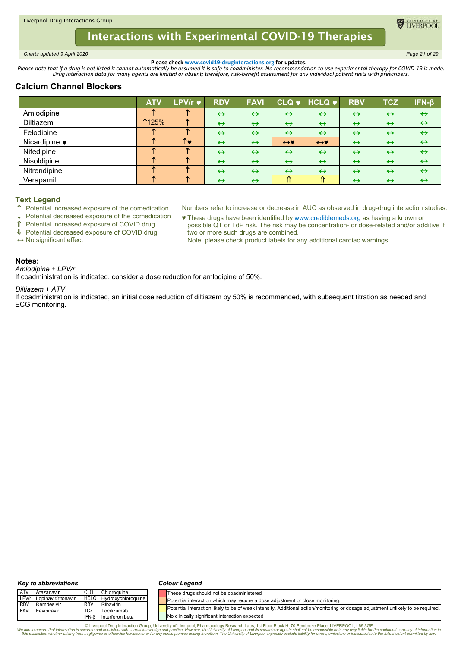<span id="page-20-0"></span>*Charts updated 9 April 2020 Page 21 of 29*

**ELIVERPOO** 

**Please check www.covid19-druginteractions.org for updates.**<br>.Please note that if a drug is not listed it cannot automatically be assumed it is safe to coadminister. No recommendation to use experimental therapy for COVID-

# **Calcium Channel Blockers**

|                       | <b>ATV</b>   | <b>LPV/r <math>\vee</math></b> | <b>RDV</b>        | <b>FAVI</b>       |                   | CLQ v HCLQ v        | <b>RBV</b>        | TCZ               | IFN-β             |
|-----------------------|--------------|--------------------------------|-------------------|-------------------|-------------------|---------------------|-------------------|-------------------|-------------------|
| Amlodipine            |              |                                | $\leftrightarrow$ | $\leftrightarrow$ | $\leftrightarrow$ | $\leftrightarrow$   | $\leftrightarrow$ | $\leftrightarrow$ | $\leftrightarrow$ |
| Diltiazem             | <b>1125%</b> |                                | $\leftrightarrow$ | $\leftrightarrow$ | $\leftrightarrow$ | $\leftrightarrow$   | $\leftrightarrow$ | $\leftrightarrow$ | $\leftrightarrow$ |
| Felodipine            |              |                                | $\leftrightarrow$ | $\leftrightarrow$ | $\leftrightarrow$ | $\leftrightarrow$   | $\leftrightarrow$ | $\leftrightarrow$ | $\leftrightarrow$ |
| Nicardipine $\bullet$ |              | ↑♥                             | $\leftrightarrow$ | $\leftrightarrow$ | $\leftrightarrow$ | $\leftrightarrow$ v | $\leftrightarrow$ | $\leftrightarrow$ | $\leftrightarrow$ |
| Nifedipine            |              |                                | $\leftrightarrow$ | $\leftrightarrow$ | $\leftrightarrow$ | $\leftrightarrow$   | $\leftrightarrow$ | $\leftrightarrow$ | $\leftrightarrow$ |
| Nisoldipine           |              |                                | $\leftrightarrow$ | $\leftrightarrow$ | $\leftrightarrow$ | $\leftrightarrow$   | $\leftrightarrow$ | $\leftrightarrow$ | $\leftrightarrow$ |
| Nitrendipine          |              |                                | $\leftrightarrow$ | $\leftrightarrow$ | $\leftrightarrow$ | $\leftrightarrow$   | $\leftrightarrow$ | $\leftrightarrow$ | $\leftrightarrow$ |
| Verapamil             |              |                                | $\leftrightarrow$ | $\leftrightarrow$ | ⇑                 | ⇑                   | $\leftrightarrow$ | $\leftrightarrow$ | $\leftrightarrow$ |

## **Text Legend**

 $\uparrow$  Potential increased exposure of the comedication

 $\downarrow$  Potential decreased exposure of the comedication

Potential increased exposure of COVID drug

Potential decreased exposure of COVID drug

**↔** No significant effect

- Numbers refer to increase or decrease in AUC as observed in drug-drug interaction studies. ♥ These drugs have been identified by www.crediblemeds.org as having a known or possible QT or TdP risk. The risk may be concentration- or dose-related and/or additive if
	- two or more such drugs are combined. Note, please check product labels for any additional cardiac warnings.

### **Notes:**

*Amlodipine + LPV/r* If coadministration is indicated, consider a dose reduction for amlodipine of 50%.

#### *Diltiazem + ATV*

If coadministration is indicated, an initial dose reduction of diltiazem by 50% is recommended, with subsequent titration as needed and ECG monitoring.

#### *Key to abbreviations*

#### *Colour Legend*

| <b>ATV</b>  | Atazanavir              | CLQ                   | Chloroquine            | lThese druas should not be coadministered                                                                                        |
|-------------|-------------------------|-----------------------|------------------------|----------------------------------------------------------------------------------------------------------------------------------|
| LPV/r       | r I Lopinavir/ritonavir | <b>HCLQ</b>           | l Hydroxychloroguine l | Potential interaction which may require a dose adjustment or close monitoring.                                                   |
| <b>RDV</b>  | Remdesivir              | <b>RBV</b>            | Ribavirin              |                                                                                                                                  |
| <b>FAVI</b> | Favipiravir             | <b>TC<sub>2</sub></b> | Tocilizumab            | Potential interaction likely to be of weak intensity. Additional action/monitoring or dosage adjustment unlikely to be required. |
|             |                         | IFN-B                 | Interferon beta        | No clinically significant interaction expected                                                                                   |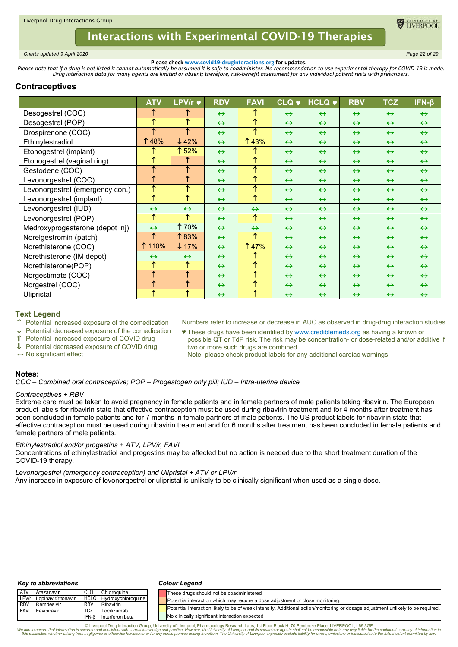

<span id="page-21-0"></span>*Charts updated 9 April 2020 Page 22 of 29*

**Please check www.covid19-druginteractions.org for updates.**<br>.Please note that if a drug is not listed it cannot automatically be assumed it is safe to coadminister. No recommendation to use experimental therapy for COVID-

# **Contraceptives**

|                                 | <b>ATV</b>        | LPV/r v           | <b>RDV</b>        | <b>FAVI</b>       | <b>CLQ v</b>      | <b>HCLQ v</b>     | <b>RBV</b>        | <b>TCZ</b>        | $IFN-\beta$       |
|---------------------------------|-------------------|-------------------|-------------------|-------------------|-------------------|-------------------|-------------------|-------------------|-------------------|
| Desogestrel (COC)               | ᠰ                 | ↑                 | $\leftrightarrow$ | ↑                 | $\leftrightarrow$ | $\leftrightarrow$ | $\leftrightarrow$ | $\leftrightarrow$ | $\leftrightarrow$ |
| Desogestrel (POP)               | ́                 | ↑                 | $\leftrightarrow$ | ↑                 | $\leftrightarrow$ | $\leftrightarrow$ | $\leftrightarrow$ | $\leftrightarrow$ | $\leftrightarrow$ |
| Drospirenone (COC)              | ∧                 | ↑                 | $\leftrightarrow$ | ↑                 | $\leftrightarrow$ | $\leftrightarrow$ | $\leftrightarrow$ | $\leftrightarrow$ | $\leftrightarrow$ |
| Ethinylestradiol                | 48%               | $\downarrow$ 42%  | $\leftrightarrow$ | 1 43%             | $\leftrightarrow$ | $\leftrightarrow$ | $\leftrightarrow$ | $\leftrightarrow$ | $\leftrightarrow$ |
| Etonogestrel (implant)          |                   | ↑ 52%             | $\leftrightarrow$ | ↑                 | $\leftrightarrow$ | $\leftrightarrow$ | $\leftrightarrow$ | $\leftrightarrow$ | $\leftrightarrow$ |
| Etonogestrel (vaginal ring)     | ́                 | ↑                 | $\leftrightarrow$ | ↑                 | $\leftrightarrow$ | $\leftrightarrow$ | $\leftrightarrow$ | $\leftrightarrow$ | $\leftrightarrow$ |
| Gestodene (COC)                 | ₳                 | ↑                 | $\leftrightarrow$ | ↑                 | $\leftrightarrow$ | $\leftrightarrow$ | $\leftrightarrow$ | $\leftrightarrow$ | $\leftrightarrow$ |
| Levonorgestrel (COC)            | ᠰ                 | ↑                 | $\leftrightarrow$ | ↑                 | $\leftrightarrow$ | $\leftrightarrow$ | $\leftrightarrow$ | $\leftrightarrow$ | $\leftrightarrow$ |
| Levonorgestrel (emergency con.) | ↑                 | ↑                 | $\leftrightarrow$ | ↑                 | $\leftrightarrow$ | $\leftrightarrow$ | $\leftrightarrow$ | $\leftrightarrow$ | $\leftrightarrow$ |
| Levonorgestrel (implant)        | 木                 | ↑                 | $\leftrightarrow$ | ↑                 | $\leftrightarrow$ | $\leftrightarrow$ | $\leftrightarrow$ | $\leftrightarrow$ | $\leftrightarrow$ |
| Levonorgestrel (IUD)            | $\leftrightarrow$ | $\leftrightarrow$ | $\leftrightarrow$ | $\leftrightarrow$ | $\leftrightarrow$ | $\leftrightarrow$ | $\leftrightarrow$ | $\leftrightarrow$ | $\leftrightarrow$ |
| Levonorgestrel (POP)            | ↑                 | ↑                 | $\leftrightarrow$ | ↑                 | $\leftrightarrow$ | $\leftrightarrow$ | $\leftrightarrow$ | $\leftrightarrow$ | $\leftrightarrow$ |
| Medroxyprogesterone (depot inj) | $\leftrightarrow$ | <b>170%</b>       | $\leftrightarrow$ | $\leftrightarrow$ | $\leftrightarrow$ | $\leftrightarrow$ | $\leftrightarrow$ | $\leftrightarrow$ | $\leftrightarrow$ |
| Norelgestromin (patch)          | ᠰ                 | ↑83%              | $\leftrightarrow$ | ↑                 | $\leftrightarrow$ | $\leftrightarrow$ | $\leftrightarrow$ | $\leftrightarrow$ | $\leftrightarrow$ |
| Norethisterone (COC)            | ↑ 110%            | $\downarrow$ 17%  | $\leftrightarrow$ | <b>147%</b>       | $\leftrightarrow$ | $\leftrightarrow$ | $\leftrightarrow$ | $\leftrightarrow$ | $\leftrightarrow$ |
| Norethisterone (IM depot)       | $\leftrightarrow$ | $\leftrightarrow$ | $\leftrightarrow$ | ↑                 | $\leftrightarrow$ | $\leftrightarrow$ | $\leftrightarrow$ | $\leftrightarrow$ | $\leftrightarrow$ |
| Norethisterone(POP)             | ́                 | ↑                 | $\leftrightarrow$ | ↑                 | $\leftrightarrow$ | $\leftrightarrow$ | $\leftrightarrow$ | $\leftrightarrow$ | $\leftrightarrow$ |
| Norgestimate (COC)              | ᠰ                 | ↑                 | $\leftrightarrow$ | ↑                 | $\leftrightarrow$ | $\leftrightarrow$ | $\leftrightarrow$ | $\leftrightarrow$ | $\leftrightarrow$ |
| Norgestrel (COC)                | ₳                 | ↑                 | $\leftrightarrow$ | ↑                 | $\leftrightarrow$ | $\leftrightarrow$ | $\leftrightarrow$ | $\leftrightarrow$ | $\leftrightarrow$ |
| Ulipristal                      | ↑                 | $\uparrow$        | $\leftrightarrow$ | ↑                 | $\leftrightarrow$ | $\leftrightarrow$ | $\leftrightarrow$ | $\leftrightarrow$ | $\leftrightarrow$ |

### **Text Legend**

- $\uparrow$  Potential increased exposure of the comedication
- $\downarrow$  Potential decreased exposure of the comedication
- Potential increased exposure of COVID drug
- ↓ Potential decreased exposure of COVID drug
- **↔** No significant effect

Numbers refer to increase or decrease in AUC as observed in drug-drug interaction studies.

♥ These drugs have been identified by www.crediblemeds.org as having a known or possible QT or TdP risk. The risk may be concentration- or dose-related and/or additive if two or more such drugs are combined.

Note, please check product labels for any additional cardiac warnings.

### **Notes:**

*COC – Combined oral contraceptive; POP – Progestogen only pill; IUD – Intra-uterine device*

### *Contraceptives + RBV*

Extreme care must be taken to avoid pregnancy in female patients and in female partners of male patients taking ribavirin. The European product labels for ribavirin state that effective contraception must be used during ribavirin treatment and for 4 months after treatment has been concluded in female patients and for 7 months in female partners of male patients. The US product labels for ribavirin state that effective contraception must be used during ribavirin treatment and for 6 months after treatment has been concluded in female patients and female partners of male patients.

## *Ethinylestradiol and/or progestins + ATV, LPV/r, FAVI*

Concentrations of ethinylestradiol and progestins may be affected but no action is needed due to the short treatment duration of the COVID-19 therapy.

*Levonorgestrel (emergency contraception) and Ulipristal + ATV or LPV/r* Any increase in exposure of levonorgestrel or ulipristal is unlikely to be clinically significant when used as a single dose.

#### *Key to abbreviations*

#### *Colour Legend*

| <b>ATV</b>                  | Atazanavir                | CLQ                      | Chloroquine                    |  | These drugs should not be coadministered                                                                                         |
|-----------------------------|---------------------------|--------------------------|--------------------------------|--|----------------------------------------------------------------------------------------------------------------------------------|
|                             | LPV/r Lopinavir/ritonavir |                          | <b>HCLQ</b> Hydroxychloroquine |  | Potential interaction which may require a dose adjustment or close monitoring.                                                   |
| <b>I</b> RDV<br><b>FAVI</b> | Remdesivir<br>Favipiravir | <b>RBV</b><br><b>TCZ</b> | Ribavirin<br>Tocilizumab       |  | Potential interaction likely to be of weak intensity. Additional action/monitoring or dosage adjustment unlikely to be required. |
|                             |                           |                          |                                |  |                                                                                                                                  |
|                             |                           | IFN-B                    | Interferon beta                |  | No clinically significant interaction expected                                                                                   |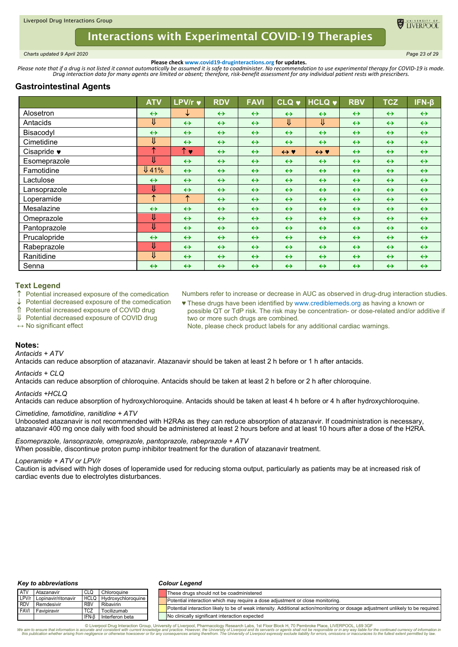

<span id="page-22-0"></span>*Charts updated 9 April 2020 Page 23 of 29*

**Please check www.covid19-druginteractions.org for updates.**<br>.Please note that if a drug is not listed it cannot automatically be assumed it is safe to coadminister. No recommendation to use experimental therapy for COVID-

# **Gastrointestinal Agents**

|                     | <b>ATV</b>            | LPV/r v            | <b>RDV</b>        | <b>FAVI</b>       | <b>CLQ v</b>            | <b>HCLQ v</b>           | <b>RBV</b>        | <b>TCZ</b>        | $IFN-\beta$       |
|---------------------|-----------------------|--------------------|-------------------|-------------------|-------------------------|-------------------------|-------------------|-------------------|-------------------|
| Alosetron           | $\leftrightarrow$     | ┶                  | $\leftrightarrow$ | $\leftrightarrow$ | $\leftrightarrow$       | $\leftrightarrow$       | $\leftrightarrow$ | $\leftrightarrow$ | $\leftrightarrow$ |
| Antacids            | ⇓                     | $\leftrightarrow$  | $\leftrightarrow$ | $\leftrightarrow$ | $\overline{\mathsf{U}}$ | $\overline{\mathsf{L}}$ | $\leftrightarrow$ | $\leftrightarrow$ | $\leftrightarrow$ |
| Bisacodyl           | $\leftrightarrow$     | $\leftrightarrow$  | $\leftrightarrow$ | $\leftrightarrow$ | $\leftrightarrow$       | $\leftrightarrow$       | $\leftrightarrow$ | $\leftrightarrow$ | $\leftrightarrow$ |
| Cimetidine          | ⇓                     | $\leftrightarrow$  | $\leftrightarrow$ | $\leftrightarrow$ | $\leftrightarrow$       | $\leftrightarrow$       | $\leftrightarrow$ | $\leftrightarrow$ | $\leftrightarrow$ |
| Cisapride $\bullet$ | ́                     | $\uparrow \bullet$ | $\leftrightarrow$ | $\leftrightarrow$ | $\leftrightarrow$ Y     | $\leftrightarrow$ Y     | $\leftrightarrow$ | $\leftrightarrow$ | $\leftrightarrow$ |
| Esomeprazole        | ⇓                     | $\leftrightarrow$  | $\leftrightarrow$ | $\leftrightarrow$ | $\leftrightarrow$       | $\leftrightarrow$       | $\leftrightarrow$ | $\leftrightarrow$ | $\leftrightarrow$ |
| Famotidine          | $\overline{\Psi}$ 41% | $\leftrightarrow$  | $\leftrightarrow$ | $\leftrightarrow$ | $\leftrightarrow$       | $\leftrightarrow$       | $\leftrightarrow$ | $\leftrightarrow$ | $\leftrightarrow$ |
| Lactulose           | $\leftrightarrow$     | $\leftrightarrow$  | $\leftrightarrow$ | $\leftrightarrow$ | $\leftrightarrow$       | $\leftrightarrow$       | $\leftrightarrow$ | $\leftrightarrow$ | $\leftrightarrow$ |
| Lansoprazole        | ⇓                     | $\leftrightarrow$  | $\leftrightarrow$ | $\leftrightarrow$ | $\leftrightarrow$       | $\leftrightarrow$       | $\leftrightarrow$ | $\leftrightarrow$ | $\leftrightarrow$ |
| Loperamide          | ↑                     | ↑                  | $\leftrightarrow$ | $\leftrightarrow$ | $\leftrightarrow$       | $\leftrightarrow$       | $\leftrightarrow$ | $\leftrightarrow$ | $\leftrightarrow$ |
| Mesalazine          | $\leftrightarrow$     | $\leftrightarrow$  | $\leftrightarrow$ | $\leftrightarrow$ | $\leftrightarrow$       | $\leftrightarrow$       | $\leftrightarrow$ | $\leftrightarrow$ | $\leftrightarrow$ |
| Omeprazole          | ⇓                     | $\leftrightarrow$  | $\leftrightarrow$ | $\leftrightarrow$ | $\leftrightarrow$       | $\leftrightarrow$       | $\leftrightarrow$ | $\leftrightarrow$ | $\leftrightarrow$ |
| Pantoprazole        | ⇓                     | $\leftrightarrow$  | $\leftrightarrow$ | $\leftrightarrow$ | $\leftrightarrow$       | $\leftrightarrow$       | $\leftrightarrow$ | $\leftrightarrow$ | $\leftrightarrow$ |
| Prucalopride        | $\leftrightarrow$     | $\leftrightarrow$  | $\leftrightarrow$ | $\leftrightarrow$ | $\leftrightarrow$       | $\leftrightarrow$       | $\leftrightarrow$ | $\leftrightarrow$ | $\leftrightarrow$ |
| Rabeprazole         | ⇓                     | $\leftrightarrow$  | $\leftrightarrow$ | $\leftrightarrow$ | $\leftrightarrow$       | $\leftrightarrow$       | $\leftrightarrow$ | $\leftrightarrow$ | $\leftrightarrow$ |
| Ranitidine          | ⇓                     | $\leftrightarrow$  | $\leftrightarrow$ | $\leftrightarrow$ | $\leftrightarrow$       | $\leftrightarrow$       | $\leftrightarrow$ | $\leftrightarrow$ | $\leftrightarrow$ |
| Senna               | $\leftrightarrow$     | $\leftrightarrow$  | $\leftrightarrow$ | $\leftrightarrow$ | $\leftrightarrow$       | $\leftrightarrow$       | $\leftrightarrow$ | $\leftrightarrow$ | $\leftrightarrow$ |

### **Text Legend**

Potential increased exposure of the comedication

Potential decreased exposure of the comedication

Potential increased exposure of COVID drug

↓ Potential decreased exposure of COVID drug

**↔** No significant effect

- Numbers refer to increase or decrease in AUC as observed in drug-drug interaction studies.
- ♥ These drugs have been identified by www.crediblemeds.org as having a known or possible QT or TdP risk. The risk may be concentration- or dose-related and/or additive if two or more such drugs are combined.

Note, please check product labels for any additional cardiac warnings.

## **Notes:**

### *Antacids + ATV*

Antacids can reduce absorption of atazanavir. Atazanavir should be taken at least 2 h before or 1 h after antacids.

#### *Antacids + CLQ*

Antacids can reduce absorption of chloroquine. Antacids should be taken at least 2 h before or 2 h after chloroquine.

### *Antacids +HCLQ*

Antacids can reduce absorption of hydroxychloroquine. Antacids should be taken at least 4 h before or 4 h after hydroxychloroquine.

#### *Cimetidine, famotidine, ranitidine + ATV*

Unboosted atazanavir is not recommended with H2RAs as they can reduce absorption of atazanavir. If coadministration is necessary, atazanavir 400 mg once daily with food should be administered at least 2 hours before and at least 10 hours after a dose of the H2RA.

*Esomeprazole, lansoprazole, omeprazole, pantoprazole, rabeprazole + ATV* When possible, discontinue proton pump inhibitor treatment for the duration of atazanavir treatment.

#### *Loperamide + ATV or LPV/r*

Caution is advised with high doses of loperamide used for reducing stoma output, particularly as patients may be at increased risk of cardiac events due to electrolytes disturbances.

#### *Key to abbreviations*

#### *Colour Legend*

| <b>ATV</b>  | Atazanavir                | <b>CLQ</b> | Chloroquine             | These drugs should not be coadministered                                                                                         |
|-------------|---------------------------|------------|-------------------------|----------------------------------------------------------------------------------------------------------------------------------|
|             | LPV/r Lopinavir/ritonavir |            | HCLQ Hydroxychloroquine | Potential interaction which may require a dose adjustment or close monitoring.                                                   |
| <b>RDV</b>  | Remdesivir                | <b>RBV</b> | Ribavirin               |                                                                                                                                  |
| <b>FAVI</b> | Favipiravir               | <b>TCZ</b> | Tocilizumab             | Potential interaction likely to be of weak intensity. Additional action/monitoring or dosage adjustment unlikely to be required. |
|             |                           | IFN-B      | Interferon beta         | No clinically significant interaction expected                                                                                   |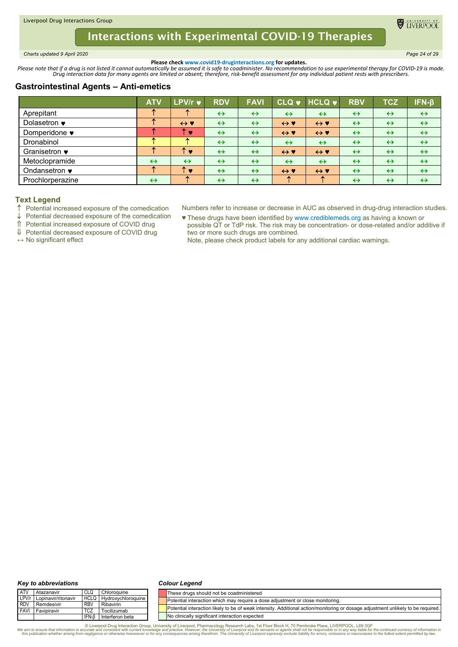<span id="page-23-0"></span>*Charts updated 9 April 2020 Page 24 of 29*

**O** TIVERPOO

**Please check www.covid19-druginteractions.org for updates.**<br>.Please note that if a drug is not listed it cannot automatically be assumed it is safe to coadminister. No recommendation to use experimental therapy for COVID-

# **Gastrointestinal Agents – Anti-emetics**

|                  | <b>ATV</b>        | LPV/r v             | <b>RDV</b>        | <b>FAVI</b>       |                     | CLQ v HCLQ v        | <b>RBV</b>        | <b>TCZ</b>        | $IFN-\beta$       |
|------------------|-------------------|---------------------|-------------------|-------------------|---------------------|---------------------|-------------------|-------------------|-------------------|
| Aprepitant       |                   |                     | $\leftrightarrow$ | $\leftrightarrow$ | $\leftrightarrow$   | $\leftrightarrow$   | $\leftrightarrow$ | $\leftrightarrow$ | $\leftrightarrow$ |
| Dolasetron •     |                   | $\leftrightarrow$ Y | $\leftrightarrow$ | $\leftrightarrow$ | $\leftrightarrow$ Y | $\leftrightarrow$ Y | $\leftrightarrow$ | $\leftrightarrow$ | $\leftrightarrow$ |
| Domperidone •    |                   | 灬<br>$\bullet$      | $\leftrightarrow$ | $\leftrightarrow$ | $\leftrightarrow$ Y | $\leftrightarrow$ Y | $\leftrightarrow$ | $\leftrightarrow$ | $\leftrightarrow$ |
| Dronabinol       |                   |                     | $\leftrightarrow$ | $\leftrightarrow$ | $\leftrightarrow$   | $\leftrightarrow$   | $\leftrightarrow$ | $\leftrightarrow$ | $\leftrightarrow$ |
| Granisetron •    |                   | ́<br>×              | $\leftrightarrow$ | $\leftrightarrow$ | $\leftrightarrow$ Y | $\leftrightarrow$ Y | $\leftrightarrow$ | $\leftrightarrow$ | $\leftrightarrow$ |
| Metoclopramide   | $\leftrightarrow$ | $\leftrightarrow$   | $\leftrightarrow$ | $\leftrightarrow$ | $\leftrightarrow$   | $\leftrightarrow$   | $\leftrightarrow$ | $\leftrightarrow$ | $\leftrightarrow$ |
| Ondansetron •    |                   | ᠰ<br><b>A</b>       | $\leftrightarrow$ | $\leftrightarrow$ | $\leftrightarrow$ Y | $\leftrightarrow$ Y | $\leftrightarrow$ | $\leftrightarrow$ | $\leftrightarrow$ |
| Prochlorperazine | $\leftrightarrow$ |                     | $\leftrightarrow$ | $\leftrightarrow$ |                     |                     | $\leftrightarrow$ | $\leftrightarrow$ | $\leftrightarrow$ |

## **Text Legend**

- Potential increased exposure of the comedication
- $\downarrow$  Potential decreased exposure of the comedication

Potential increased exposure of COVID drug

Potential decreased exposure of COVID drug

**↔** No significant effect

- Numbers refer to increase or decrease in AUC as observed in drug-drug interaction studies.
- ♥ These drugs have been identified by www.crediblemeds.org as having a known or possible QT or TdP risk. The risk may be concentration- or dose-related and/or additive if two or more such drugs are combined.
	- Note, please check product labels for any additional cardiac warnings.

#### *Key to abbreviations*

#### *Colour Legend*

| <b>ATV</b>  | Atazanavir                | <b>CLQ</b>  | Chloroquine        | These drugs should not be coadministered                                                                                         |
|-------------|---------------------------|-------------|--------------------|----------------------------------------------------------------------------------------------------------------------------------|
|             | LPV/r Lopinavir/ritonavir | <b>HCLQ</b> | Hydroxychloroquine | Potential interaction which may require a dose adjustment or close monitoring.                                                   |
| <b>RDV</b>  | Remdesivir                | <b>RBV</b>  | Ribavirin          |                                                                                                                                  |
| <b>FAVI</b> | Favipiravir               | <b>TCZ</b>  | Tocilizumab        | Potential interaction likely to be of weak intensity. Additional action/monitoring or dosage adjustment unlikely to be required. |
|             |                           | IFN-B       | Interferon beta    | No clinically significant interaction expected                                                                                   |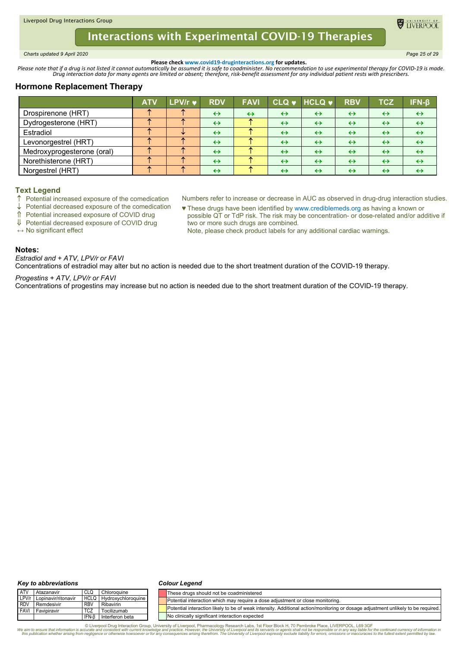<span id="page-24-0"></span>*Charts updated 9 April 2020 Page 25 of 29*

TIVERPOO

**Please check www.covid19-druginteractions.org for updates.**<br>.Please note that if a drug is not listed it cannot automatically be assumed it is safe to coadminister. No recommendation to use experimental therapy for COVID-

# **Hormone Replacement Therapy**

|                            | <b>ATV</b> | $LPV/r$ $\bullet$ | <b>RDV</b>        | <b>FAVI</b>       |                   | CLQ v HCLQ v      | <b>RBV</b>        | <b>TCZ</b>        | IFN-B             |
|----------------------------|------------|-------------------|-------------------|-------------------|-------------------|-------------------|-------------------|-------------------|-------------------|
| Drospirenone (HRT)         |            |                   | $\leftrightarrow$ | $\leftrightarrow$ | $\leftrightarrow$ | $\leftrightarrow$ | $\leftrightarrow$ | $\leftrightarrow$ | $\leftrightarrow$ |
| Dydrogesterone (HRT)       |            |                   | $\leftrightarrow$ |                   | $\leftrightarrow$ | $\leftrightarrow$ | $\leftrightarrow$ | $\leftrightarrow$ | $\leftrightarrow$ |
| Estradiol                  |            |                   | $\leftrightarrow$ |                   | $\leftrightarrow$ | $\leftrightarrow$ | $\leftrightarrow$ | $\leftrightarrow$ | $\leftrightarrow$ |
| Levonorgestrel (HRT)       |            |                   | $\leftrightarrow$ |                   | $\leftrightarrow$ | $\leftrightarrow$ | $\leftrightarrow$ | $\leftrightarrow$ | ↔                 |
| Medroxyprogesterone (oral) |            |                   | $\leftrightarrow$ |                   | $\leftrightarrow$ | $\leftrightarrow$ | $\leftrightarrow$ | $\leftrightarrow$ | $\leftrightarrow$ |
| Norethisterone (HRT)       |            |                   | $\leftrightarrow$ |                   | $\leftrightarrow$ | $\leftrightarrow$ | $\leftrightarrow$ | $\leftrightarrow$ | $\leftrightarrow$ |
| Norgestrel (HRT)           |            |                   | $\leftrightarrow$ |                   | $\leftrightarrow$ | $\leftrightarrow$ | $\leftrightarrow$ | $\leftrightarrow$ | ↔                 |

### **Text Legend**

- $\uparrow$  Potential increased exposure of the comedication
- $\downarrow$  Potential decreased exposure of the comedication
- Potential increased exposure of COVID drug
- Potential decreased exposure of COVID drug

**↔** No significant effect

- Numbers refer to increase or decrease in AUC as observed in drug-drug interaction studies. ♥ These drugs have been identified by www.crediblemeds.org as having a known or
- possible QT or TdP risk. The risk may be concentration- or dose-related and/or additive if two or more such drugs are combined.
	- Note, please check product labels for any additional cardiac warnings.

## **Notes:**

*Estradiol and + ATV, LPV/r or FAVI*

Concentrations of estradiol may alter but no action is needed due to the short treatment duration of the COVID-19 therapy.

### *Progestins + ATV, LPV/r or FAVI*

Concentrations of progestins may increase but no action is needed due to the short treatment duration of the COVID-19 therapy.

#### *Key to abbreviations*

#### *Colour Legend*

| <b>ATV</b>  | Atazanavir                | CLQ         | Chloroquine        | These drugs should not be coadministered                                                                                         |
|-------------|---------------------------|-------------|--------------------|----------------------------------------------------------------------------------------------------------------------------------|
|             | LPV/r Lopinavir/ritonavir | <b>HCLQ</b> | Hydroxychloroquine | Potential interaction which may require a dose adjustment or close monitoring.                                                   |
| <b>RDV</b>  | Remdesivir                | <b>RBV</b>  | Ribavirin          |                                                                                                                                  |
| <b>FAVI</b> | Favipiravir               | <b>TCZ</b>  | Tocilizumab        | Potential interaction likely to be of weak intensity. Additional action/monitoring or dosage adjustment unlikely to be required. |
|             |                           | IFN-B       | Interferon beta    | No clinically significant interaction expected                                                                                   |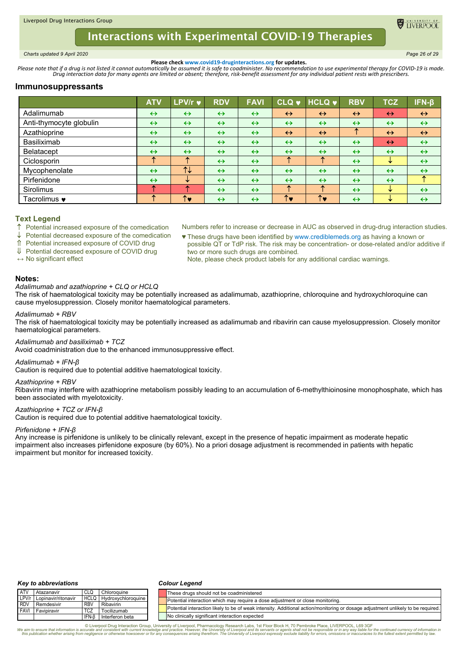<span id="page-25-0"></span>*Charts updated 9 April 2020 Page 26 of 29*

TIVERPOO

**Please check www.covid19-druginteractions.org for updates.**<br>.Please note that if a drug is not listed it cannot automatically be assumed it is safe to coadminister. No recommendation to use experimental therapy for COVID-

## **Immunosuppressants**

|                         | <b>ATV</b>        | LPV/r v           | <b>RDV</b>        | <b>FAVI</b>       | $^\prime$ CLQ $\bullet$ , | $HCLQ$ $\blacktriangleright$ | <b>RBV</b>        | <b>TCZ</b>        | $IFN-\beta$       |
|-------------------------|-------------------|-------------------|-------------------|-------------------|---------------------------|------------------------------|-------------------|-------------------|-------------------|
| Adalimumab              | $\leftrightarrow$ | $\leftrightarrow$ | $\leftrightarrow$ | $\leftrightarrow$ | $\leftrightarrow$         | $\leftrightarrow$            | $\leftrightarrow$ | $\leftrightarrow$ | $\leftrightarrow$ |
| Anti-thymocyte globulin | $\leftrightarrow$ | $\leftrightarrow$ | $\leftrightarrow$ | $\leftrightarrow$ | $\leftrightarrow$         | $\leftrightarrow$            | $\leftrightarrow$ | $\leftrightarrow$ | $\leftrightarrow$ |
| Azathioprine            | $\leftrightarrow$ | $\leftrightarrow$ | $\leftrightarrow$ | $\leftrightarrow$ | $\leftrightarrow$         | $\leftrightarrow$            | ᠰ                 | $\leftrightarrow$ | $\leftrightarrow$ |
| Basiliximab             | $\leftrightarrow$ | $\leftrightarrow$ | $\leftrightarrow$ | $\leftrightarrow$ | $\leftrightarrow$         | $\leftrightarrow$            | $\leftrightarrow$ | $\leftrightarrow$ | $\leftrightarrow$ |
| Belatacept              | $\leftrightarrow$ | $\leftrightarrow$ | $\leftrightarrow$ | $\leftrightarrow$ | $\leftrightarrow$         | $\leftrightarrow$            | $\leftrightarrow$ | $\leftrightarrow$ | $\leftrightarrow$ |
| Ciclosporin             | ́                 | ᠰ                 | $\leftrightarrow$ | $\leftrightarrow$ | ᠰ                         | ᠰ                            | $\leftrightarrow$ | ₩                 | $\leftrightarrow$ |
| Mycophenolate           | $\leftrightarrow$ | T                 | $\leftrightarrow$ | $\leftrightarrow$ | $\leftrightarrow$         | $\leftrightarrow$            | $\leftrightarrow$ | $\leftrightarrow$ | $\leftrightarrow$ |
| Pirfenidone             | $\leftrightarrow$ | ₩                 | $\leftrightarrow$ | $\leftrightarrow$ | $\leftrightarrow$         | $\leftrightarrow$            | $\leftrightarrow$ | $\leftrightarrow$ | ́                 |
| Sirolimus               |                   |                   | $\leftrightarrow$ | $\leftrightarrow$ | ᠰ                         | ᠰ                            | $\leftrightarrow$ | ₩                 | $\leftrightarrow$ |
| Tacrolimus $\bullet$    |                   | ↑♥                | $\leftrightarrow$ | $\leftrightarrow$ | ↑♥                        | ↑♥                           | $\leftrightarrow$ | ₩                 | $\leftrightarrow$ |

## **Text Legend**

 $\uparrow$  Potential increased exposure of the comedication

 $\downarrow$  Potential decreased exposure of the comedication

Potential increased exposure of COVID drug

Potential decreased exposure of COVID drug

**↔** No significant effect

♥ These drugs have been identified by www.crediblemeds.org as having a known or possible QT or TdP risk. The risk may be concentration- or dose-related and/or additive if two or more such drugs are combined. Note, please check product labels for any additional cardiac warnings.

Numbers refer to increase or decrease in AUC as observed in drug-drug interaction studies.

### **Notes:**

### *Adalimumab and azathioprine + CLQ or HCLQ*

The risk of haematological toxicity may be potentially increased as adalimumab, azathioprine, chloroquine and hydroxychloroquine can cause myelosuppression. Closely monitor haematological parameters.

### *Adalimumab + RBV*

The risk of haematological toxicity may be potentially increased as adalimumab and ribavirin can cause myelosuppression. Closely monitor haematological parameters.

### *Adalimumab and basiliximab + TCZ*

Avoid coadministration due to the enhanced immunosuppressive effect.

### *Adalimumab + IFN-β*

Caution is required due to potential additive haematological toxicity.

### *Azathioprine + RBV*

Ribavirin may interfere with azathioprine metabolism possibly leading to an accumulation of 6-methylthioinosine monophosphate, which has been associated with myelotoxicity.

## *Azathioprine + TCZ or IFN-β*

Caution is required due to potential additive haematological toxicity.

### *Pirfenidone + IFN-β*

Any increase is pirfenidone is unlikely to be clinically relevant, except in the presence of hepatic impairment as moderate hepatic impairment also increases pirfenidone exposure (by 60%). No a priori dosage adjustment is recommended in patients with hepatic impairment but monitor for increased toxicity.

#### *Key to abbreviations*

#### *Colour Legend*

| <b>ATV</b> | l Atazanavir              |            | Chloroquine               | These drugs should not be coadministered                                                                                         |
|------------|---------------------------|------------|---------------------------|----------------------------------------------------------------------------------------------------------------------------------|
|            | LPV/r Lopinavir/ritonavir |            | HCLQ   Hydroxychloroquine | Potential interaction which may require a dose adjustment or close monitoring.                                                   |
|            | RDV Remdesivir            | <b>RBV</b> | Ribavirin                 |                                                                                                                                  |
|            | <b>FAVI</b> Favipiravir   | <b>TCZ</b> | Tocilizumab               | Potential interaction likely to be of weak intensity. Additional action/monitoring or dosage adjustment unlikely to be required. |
|            |                           |            | IFN-6 Interferon beta     | No clinically significant interaction expected                                                                                   |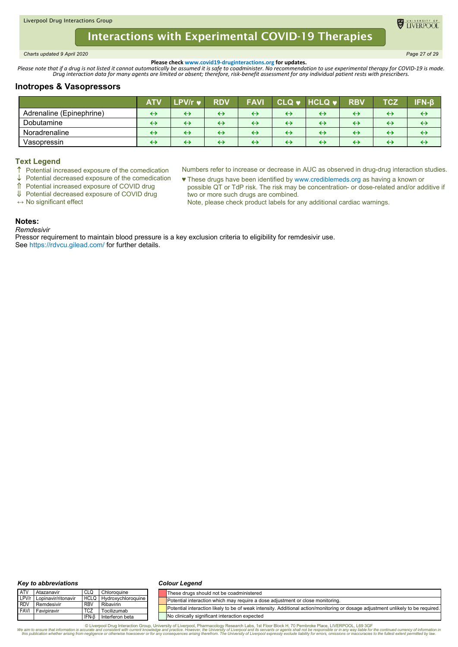<span id="page-26-0"></span>*Charts updated 9 April 2020 Page 27 of 29*

**O** TIVERPOO

**Please check www.covid19-druginteractions.org for updates.**<br>.Please note that if a drug is not listed it cannot automatically be assumed it is safe to coadminister. No recommendation to use experimental therapy for COVID-

# **Inotropes & Vasopressors**

|                          | <b>ATV</b> | LPV/r w           | <b>RDV</b> | <b>FAVI</b>       | $CLQ$ $\blacktriangleright$ | $HCLQ$ $\blacktriangleright$   | <b>RBV</b>        | TCZ               | $IFN-B$ |
|--------------------------|------------|-------------------|------------|-------------------|-----------------------------|--------------------------------|-------------------|-------------------|---------|
| Adrenaline (Epinephrine) | ↔          | $\leftrightarrow$ | ↔          | $\leftrightarrow$ | $\leftrightarrow$           | ↔                              | $\leftrightarrow$ | $\leftrightarrow$ | ↔       |
| Dobutamine               | ↔          | ↔                 | ↔          | $\leftrightarrow$ | $\leftrightarrow$           | ↔                              | $\leftrightarrow$ | $\leftrightarrow$ | ↔       |
| Noradrenaline            | ↔          | ↔                 | ↔          | ↔                 | ↔                           | ↔                              | $\leftrightarrow$ | ↔                 | ↔       |
| Vasopressin              | ↔          | ↔                 | ↔          | ↔                 | ↔                           | $\boldsymbol{\leftrightarrow}$ | $\leftrightarrow$ | ↔                 | ↔       |

#### **Text Legend**

- $\uparrow$  Potential increased exposure of the comedication  $\downarrow$  Potential decreased exposure of the comedication
- $\downarrow$  Potential decreased exposure of the comedication<br>  $\uparrow$  Potential increased exposure of COVID drug Potential increased exposure of COVID drug

Potential decreased exposure of COVID drug

- Numbers refer to increase or decrease in AUC as observed in drug-drug interaction studies.
- ♥ These drugs have been identified by www.crediblemeds.org as having a known or possible QT or TdP risk. The risk may be concentration- or dose-related and/or additive if two or more such drugs are combined.

Note, please check product labels for any additional cardiac warnings.

## **Notes:**

*Remdesivir*

**↔** No significant effect

Pressor requirement to maintain blood pressure is a key exclusion criteria to eligibility for remdesivir use. See https://rdvcu.gilead.com/ for further details.

#### *Key to abbreviations*

#### *Colour Legend*

| <b>ATV</b>  | Atazanavir          |                 | Chloroquine        | These drugs should not be coadministered                                                                                         |
|-------------|---------------------|-----------------|--------------------|----------------------------------------------------------------------------------------------------------------------------------|
| LPV/r       | Lopinavir/ritonavir | <b>HCLQ</b>     | Hydroxychloroquine | Potential interaction which may require a dose adjustment or close monitoring.                                                   |
| <b>RDV</b>  | Remdesivir          | RB <sub>V</sub> | Ribavirin          |                                                                                                                                  |
| <b>FAVI</b> | I Favipiravir       | TCZ             | Tocilizumab        | Potential interaction likely to be of weak intensity. Additional action/monitoring or dosage adjustment unlikely to be required. |
|             |                     | IFN-B           | Interferon beta    | No clinically significant interaction expected                                                                                   |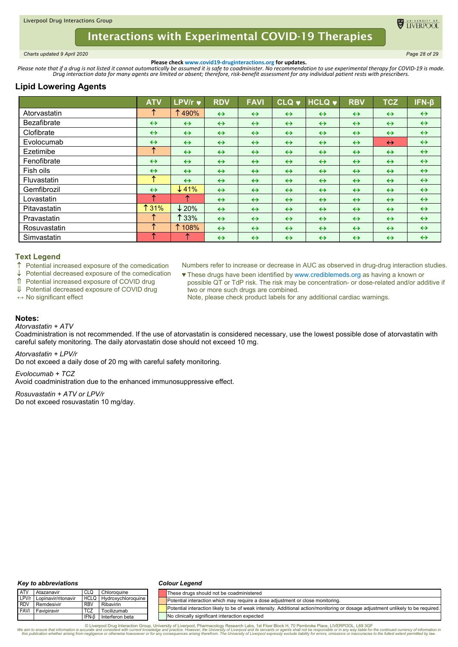<span id="page-27-0"></span>*Charts updated 9 April 2020 Page 28 of 29*

**ELIVERPOO** 

**Please check www.covid19-druginteractions.org for updates.**<br>.Please note that if a drug is not listed it cannot automatically be assumed it is safe to coadminister. No recommendation to use experimental therapy for COVID-

# **Lipid Lowering Agents**

|                    | <b>ATV</b>        | LPV/r v           | <b>RDV</b>        | <b>FAVI</b>       | <b>CLQ v</b>      | <b>HCLQ v</b>     | <b>RBV</b>        | <b>TCZ</b>        | $IFN-\beta$       |
|--------------------|-------------------|-------------------|-------------------|-------------------|-------------------|-------------------|-------------------|-------------------|-------------------|
| Atorvastatin       | ́                 | 1490%             | $\leftrightarrow$ | $\leftrightarrow$ | $\leftrightarrow$ | $\leftrightarrow$ | $\leftrightarrow$ | $\leftrightarrow$ | $\leftrightarrow$ |
| <b>Bezafibrate</b> | $\leftrightarrow$ | $\leftrightarrow$ | $\leftrightarrow$ | $\leftrightarrow$ | $\leftrightarrow$ | $\leftrightarrow$ | $\leftrightarrow$ | $\leftrightarrow$ | $\leftrightarrow$ |
| Clofibrate         | $\leftrightarrow$ | $\leftrightarrow$ | $\leftrightarrow$ | $\leftrightarrow$ | $\leftrightarrow$ | $\leftrightarrow$ | $\leftrightarrow$ | $\leftrightarrow$ | $\leftrightarrow$ |
| Evolocumab         | $\leftrightarrow$ | $\leftrightarrow$ | $\leftrightarrow$ | $\leftrightarrow$ | $\leftrightarrow$ | $\leftrightarrow$ | $\leftrightarrow$ | $\leftrightarrow$ | $\leftrightarrow$ |
| Ezetimibe          | ↑                 | $\leftrightarrow$ | $\leftrightarrow$ | $\leftrightarrow$ | $\leftrightarrow$ | $\leftrightarrow$ | $\leftrightarrow$ | $\leftrightarrow$ | $\leftrightarrow$ |
| Fenofibrate        | $\leftrightarrow$ | $\leftrightarrow$ | $\leftrightarrow$ | $\leftrightarrow$ | $\leftrightarrow$ | $\leftrightarrow$ | $\leftrightarrow$ | $\leftrightarrow$ | $\leftrightarrow$ |
| Fish oils          | $\leftrightarrow$ | $\leftrightarrow$ | $\leftrightarrow$ | $\leftrightarrow$ | $\leftrightarrow$ | $\leftrightarrow$ | $\leftrightarrow$ | $\leftrightarrow$ | $\leftrightarrow$ |
| Fluvastatin        | ᠰ                 | $\leftrightarrow$ | $\leftrightarrow$ | $\leftrightarrow$ | $\leftrightarrow$ | $\leftrightarrow$ | $\leftrightarrow$ | $\leftrightarrow$ | $\leftrightarrow$ |
| Gemfibrozil        | $\leftrightarrow$ | $\downarrow$ 41%  | $\leftrightarrow$ | $\leftrightarrow$ | $\leftrightarrow$ | $\leftrightarrow$ | $\leftrightarrow$ | $\leftrightarrow$ | $\leftrightarrow$ |
| Lovastatin         | ́                 |                   | $\leftrightarrow$ | $\leftrightarrow$ | $\leftrightarrow$ | $\leftrightarrow$ | $\leftrightarrow$ | $\leftrightarrow$ | $\leftrightarrow$ |
| Pitavastatin       | ↑ 31%             | $\downarrow$ 20%  | $\leftrightarrow$ | $\leftrightarrow$ | $\leftrightarrow$ | $\leftrightarrow$ | $\leftrightarrow$ | $\leftrightarrow$ | $\leftrightarrow$ |
| Pravastatin        |                   | $\uparrow$ 33%    | $\leftrightarrow$ | $\leftrightarrow$ | $\leftrightarrow$ | $\leftrightarrow$ | $\leftrightarrow$ | $\leftrightarrow$ | $\leftrightarrow$ |
| Rosuvastatin       |                   | 1 108%            | $\leftrightarrow$ | $\leftrightarrow$ | $\leftrightarrow$ | $\leftrightarrow$ | $\leftrightarrow$ | $\leftrightarrow$ | $\leftrightarrow$ |
| Simvastatin        | ^                 |                   | $\leftrightarrow$ | $\leftrightarrow$ | $\leftrightarrow$ | $\leftrightarrow$ | $\leftrightarrow$ | $\leftrightarrow$ | $\leftrightarrow$ |

### **Text Legend**

 $\uparrow$  Potential increased exposure of the comedication

Potential decreased exposure of the comedication

Potential increased exposure of COVID drug

Potential decreased exposure of COVID drug

**↔** No significant effect

Numbers refer to increase or decrease in AUC as observed in drug-drug interaction studies.

- ♥ These drugs have been identified by www.crediblemeds.org as having a known or possible QT or TdP risk. The risk may be concentration- or dose-related and/or additive if two or more such drugs are combined.
	- Note, please check product labels for any additional cardiac warnings.

## **Notes:**

### *Atorvastatin + ATV*

Coadministration is not recommended. If the use of atorvastatin is considered necessary, use the lowest possible dose of atorvastatin with careful safety monitoring. The daily atorvastatin dose should not exceed 10 mg.

*Atorvastatin + LPV/r*

Do not exceed a daily dose of 20 mg with careful safety monitoring.

*Evolocumab + TCZ* Avoid coadministration due to the enhanced immunosuppressive effect.

*Rosuvastatin + ATV or LPV/r* Do not exceed rosuvastatin 10 mg/day.

#### *Key to abbreviations*

#### *Colour Legend*

| <b>ATV</b>  | Atazanavir          | CLQ        | Chloroquine             | These drugs should not be coadministered                                                                                         |
|-------------|---------------------|------------|-------------------------|----------------------------------------------------------------------------------------------------------------------------------|
| LPV/r       | Lopinavir/ritonavir |            | HCLQ Hydroxychloroquine | Potential interaction which may require a dose adjustment or close monitoring.                                                   |
| <b>IRDV</b> | Remdesivir          | <b>RBV</b> | Ribavirin               |                                                                                                                                  |
| <b>FAVI</b> | Favipiravir         | <b>TCZ</b> | Tocilizumab             | Potential interaction likely to be of weak intensity. Additional action/monitoring or dosage adjustment unlikely to be required. |
|             |                     | IFN-B      | Interferon beta         | No clinically significant interaction expected                                                                                   |